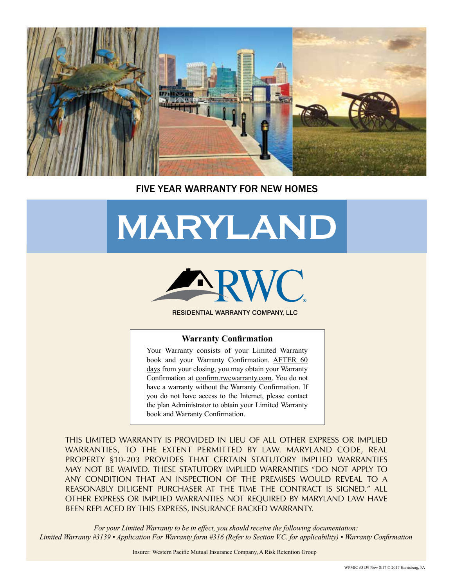

#### FIVE YEAR WARRANTY FOR NEW HOMES

# **MARYLAND**



RESIDENTIAL WARRANTY COMPANY, LLC

#### **Warranty Confirmation**

Your Warranty consists of your Limited Warranty book and your Warranty Confirmation. AFTER 60 days from your closing, you may obtain your Warranty Confirmation at confirm.rwcwarranty.com. You do not have a warranty without the Warranty Confirmation. If you do not have access to the Internet, please contact the plan Administrator to obtain your Limited Warranty book and Warranty Confirmation.

THIS LIMITED WARRANTY IS PROVIDED IN LIEU OF ALL OTHER EXPRESS OR IMPLIED WARRANTIES, TO THE EXTENT PERMITTED BY LAW. MARYLAND CODE, REAL PROPERTY §10-203 PROVIDES THAT CERTAIN STATUTORY IMPLIED WARRANTIES MAY NOT BE WAIVED. THESE STATUTORY IMPLIED WARRANTIES "DO NOT APPLY TO ANY CONDITION THAT AN INSPECTION OF THE PREMISES WOULD REVEAL TO A REASONABLY DILIGENT PURCHASER AT THE TIME THE CONTRACT IS SIGNED." ALL OTHER EXPRESS OR IMPLIED WARRANTIES NOT REQUIRED BY MARYLAND LAW HAVE BEEN REPLACED BY THIS EXPRESS, INSURANCE BACKED WARRANTY.

*For your Limited Warranty to be in effect, you should receive the following documentation: Limited Warranty #3139 • Application For Warranty form #316 (Refer to Section V.C. for applicability) • Warranty Confirmation*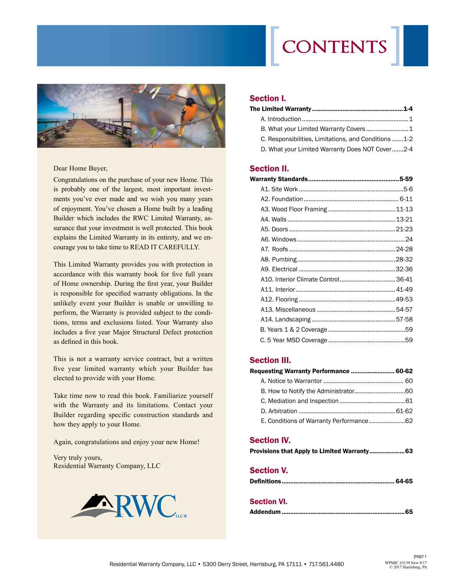# **contents**



Dear Home Buyer,

Congratulations on the purchase of your new Home. This is probably one of the largest, most important investments you've ever made and we wish you many years of enjoyment. You've chosen a Home built by a leading Builder which includes the RWC Limited Warranty, assurance that your investment is well protected. This book explains the Limited Warranty in its entirety, and we encourage you to take time to READ IT CAREFULLY.

This Limited Warranty provides you with protection in accordance with this warranty book for five full years of Home ownership. During the first year, your Builder is responsible for specified warranty obligations. In the unlikely event your Builder is unable or unwilling to perform, the Warranty is provided subject to the conditions, terms and exclusions listed. Your Warranty also includes a five year Major Structural Defect protection as defined in this book.

This is not a warranty service contract, but a written five year limited warranty which your Builder has elected to provide with your Home.

Take time now to read this book. Familiarize yourself with the Warranty and its limitations. Contact your Builder regarding specific construction standards and how they apply to your Home.

Again, congratulations and enjoy your new Home!

Very truly yours, Residential Warranty Company, LLC



#### Section I.

| C. Responsibilities, Limitations, and Conditions 1-2 |  |
|------------------------------------------------------|--|
| D. What your Limited Warranty Does NOT Cover2-4      |  |

#### Section II.

#### Section III.

| Requesting Warranty Performance  60-62  |  |
|-----------------------------------------|--|
|                                         |  |
|                                         |  |
|                                         |  |
|                                         |  |
| E. Conditions of Warranty Performance62 |  |

#### Section IV.

|  |  |  |  |  |  | Provisions that Apply to Limited Warranty63 |
|--|--|--|--|--|--|---------------------------------------------|
|--|--|--|--|--|--|---------------------------------------------|

#### Section V.

|--|--|

#### Section VI.

|--|--|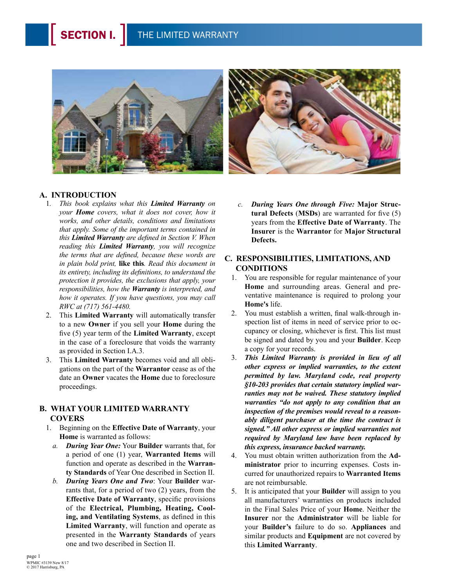

#### **A. INTRODUCTION**

- 1*. This book explains what this Limited Warranty on your Home covers, what it does not cover, how it works, and other details, conditions and limitations that apply. Some of the important terms contained in this Limited Warranty are defined in Section V. When reading this Limited Warranty, you will recognize the terms that are defined, because these words are in plain bold print,* **like this***. Read this document in its entirety, including its definitions, to understand the protection it provides, the exclusions that apply, your responsibilities, how the Warranty is interpreted, and how it operates. If you have questions, you may call RWC at (717) 561-4480.*
- 2. This **Limited Warranty** will automatically transfer to a new **Owner** if you sell your **Home** during the five (5) year term of the **Limited Warranty**, except in the case of a foreclosure that voids the warranty as provided in Section I.A.3.
- 3. This **Limited Warranty** becomes void and all obligations on the part of the **Warrantor** cease as of the date an **Owner** vacates the **Home** due to foreclosure proceedings.

#### **B. WHAT YOUR LIMITED WARRANTY COVERS**

- 1. Beginning on the **Effective Date of Warranty**, your **Home** is warranted as follows:
	- *a. During Year One:* Your **Builder** warrants that, for a period of one (1) year, **Warranted Items** will function and operate as described in the **Warranty Standards** of Year One described in Section II.
	- *b. During Years One and Two*: Your **Builder** warrants that, for a period of two (2) years, from the **Effective Date of Warranty**, specific provisions of the **Electrical, Plumbing, Heating, Cooling, and Ventilating Systems**, as defined in this **Limited Warranty**, will function and operate as presented in the **Warranty Standards** of years one and two described in Section II.

*c. During Years One through Five:* **Major Structural Defects** (**MSDs**) are warranted for five (5) years from the **Effective Date of Warranty**. The **Insurer** is the **Warrantor** for **Major Structural Defects.**

#### **C. RESPONSIBILITIES, LIMITATIONS, AND CONDITIONS**

- 1. You are responsible for regular maintenance of your **Home** and surrounding areas. General and preventative maintenance is required to prolong your **Home's** life.
- 2. You must establish a written, final walk-through inspection list of items in need of service prior to occupancy or closing, whichever is first. This list must be signed and dated by you and your **Builder**. Keep a copy for your records.
- 3. *This Limited Warranty is provided in lieu of all other express or implied warranties, to the extent permitted by law. Maryland code, real property §10-203 provides that certain statutory implied warranties may not be waived. These statutory implied warranties "do not apply to any condition that an inspection of the premises would reveal to a reasonably diligent purchaser at the time the contract is signed." All other express or implied warranties not required by Maryland law have been replaced by this express, insurance backed warranty.*
- 4. You must obtain written authorization from the **Administrator** prior to incurring expenses. Costs incurred for unauthorized repairs to **Warranted Items** are not reimbursable.
- 5. It is anticipated that your **Builder** will assign to you all manufacturers' warranties on products included in the Final Sales Price of your **Home**. Neither the **Insurer** nor the **Administrator** will be liable for your **Builder's** failure to do so. **Appliances** and similar products and **Equipment** are not covered by this **Limited Warranty**.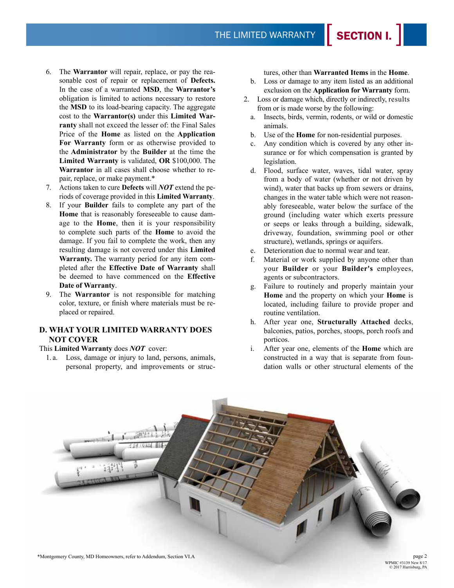- 6. The **Warrantor** will repair, replace, or pay the reasonable cost of repair or replacement of **Defects.**  In the case of a warranted **MSD**, the **Warrantor's**  obligation is limited to actions necessary to restore the **MSD** to its load-bearing capacity. The aggregate cost to the **Warrantor(s)** under this **Limited Warranty** shall not exceed the lesser of: the Final Sales Price of the **Home** as listed on the **Application For Warranty** form or as otherwise provided to the **Administrator** by the **Builder** at the time the **Limited Warranty** is validated, **OR** \$100,000. The **Warrantor** in all cases shall choose whether to repair, replace, or make payment.\*
- 7. Actions taken to cure **Defects** will *NOT* extend the periods of coverage provided in this **Limited Warranty**.
- 8. If your **Builder** fails to complete any part of the **Home** that is reasonably foreseeable to cause damage to the **Home**, then it is your responsibility to complete such parts of the **Home** to avoid the damage. If you fail to complete the work, then any resulting damage is not covered under this **Limited Warranty.** The warranty period for any item completed after the **Effective Date of Warranty** shall be deemed to have commenced on the **Effective Date of Warranty**.
- 9. The **Warrantor** is not responsible for matching color, texture, or finish where materials must be replaced or repaired.

#### **D. WHAT YOUR LIMITED WARRANTY DOES NOT COVER**

#### This **Limited Warranty** does *NOT* cover:

1. a. Loss, damage or injury to land, persons, animals, personal property, and improvements or structures, other than **Warranted Items** in the **Home**.

- b. Loss or damage to any item listed as an additional exclusion on the **Application for Warranty** form.
- 2. Loss or damage which, directly or indirectly, results from or is made worse by the following:
	- a. Insects, birds, vermin, rodents, or wild or domestic animals.
	- b. Use of the **Home** for non-residential purposes.
	- c. Any condition which is covered by any other insurance or for which compensation is granted by legislation.
	- d. Flood, surface water, waves, tidal water, spray from a body of water (whether or not driven by wind), water that backs up from sewers or drains, changes in the water table which were not reasonably foreseeable, water below the surface of the ground (including water which exerts pressure or seeps or leaks through a building, sidewalk, driveway, foundation, swimming pool or other structure), wetlands, springs or aquifers.
	- e. Deterioration due to normal wear and tear.
	- f. Material or work supplied by anyone other than your **Builder** or your **Builder's** employees, agents or subcontractors.
	- g. Failure to routinely and properly maintain your **Home** and the property on which your **Home** is located, including failure to provide proper and routine ventilation.
	- h. After year one, **Structurally Attached** decks, balconies, patios, porches, stoops, porch roofs and porticos.
	- i. After year one, elements of the **Home** which are constructed in a way that is separate from foundation walls or other structural elements of the



\*Montgomery County, MD Homeowners, refer to Addendum, Section VI.A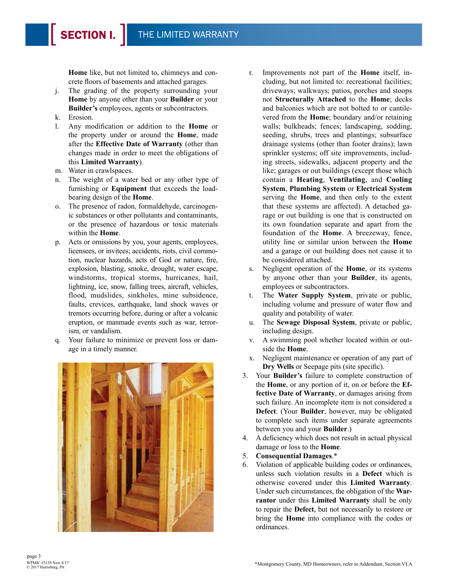**Home** like, but not limited to, chimneys and concrete floors of basements and attached garages.

- j. The grading of the property surrounding your **Home** by anyone other than your **Builder** or your **Builder's** employees, agents or subcontractors.
- k. Erosion.
- l. Any modification or addition to the **Home** or the property under or around the **Home**, made after the **Effective Date of Warranty** (other than changes made in order to meet the obligations of this **Limited Warranty**).
- m. Water in crawlspaces.
- n. The weight of a water bed or any other type of furnishing or **Equipment** that exceeds the loadbearing design of the **Home**.
- o. The presence of radon, formaldehyde, carcinogenic substances or other pollutants and contaminants, or the presence of hazardous or toxic materials within the **Home**.
- p. Acts or omissions by you, your agents, employees, licensees, or invitees; accidents, riots, civil commotion, nuclear hazards, acts of God or nature, fire, explosion, blasting, smoke, drought, water escape, windstorms, tropical storms, hurricanes, hail, lightning, ice, snow, falling trees, aircraft, vehicles, flood, mudslides, sinkholes, mine subsidence, faults, crevices, earthquake, land shock waves or tremors occurring before, during or after a volcanic eruption, or manmade events such as war, terrorism, or vandalism.
- q. Your failure to minimize or prevent loss or damage in a timely manner.



- r. Improvements not part of the **Home** itself, including, but not limited to: recreational facilities; driveways; walkways; patios, porches and stoops not **Structurally Attached** to the **Home**; decks and balconies which are not bolted to or cantilevered from the **Home**; boundary and/or retaining walls; bulkheads; fences; landscaping, sodding, seeding, shrubs, trees and plantings; subsurface drainage systems (other than footer drains); lawn sprinkler systems; off site improvements, including streets, sidewalks, adjacent property and the like; garages or out buildings (except those which contain a **Heating**, **Ventilating**, and **Cooling System**, **Plumbing System** or **Electrical System** serving the **Home**, and then only to the extent that these systems are affected). A detached garage or out building is one that is constructed on its own foundation separate and apart from the foundation of the **Home**. A breezeway, fence, utility line or similar union between the **Home** and a garage or out building does not cause it to be considered attached.
- s. Negligent operation of the **Home**, or its systems by anyone other than your **Builder**, its agents, employees or subcontractors.
- t. The **Water Supply System**, private or public, including volume and pressure of water flow and quality and potability of water.
- u. The **Sewage Disposal System**, private or public, including design.
- v. A swimming pool whether located within or outside the **Home**.
- x. Negligent maintenance or operation of any part of **Dry Wells** or Seepage pits (site specific).
- 3. Your **Builder's** failure to complete construction of the **Home**, or any portion of it, on or before the **Effective Date of Warranty**, or damages arising from such failure. An incomplete item is not considered a **Defect**. (Your **Builder**, however, may be obligated to complete such items under separate agreements between you and your **Builder**.)
- 4. A deficiency which does not result in actual physical damage or loss to the **Home**.
- 5. **Consequential Damages**.\*
- 6. Violation of applicable building codes or ordinances, unless such violation results in a **Defect** which is otherwise covered under this **Limited Warranty**. Under such circumstances, the obligation of the **Warrantor** under this **Limited Warranty** shall be only to repair the **Defect**, but not necessarily to restore or bring the **Home** into compliance with the codes or ordinances.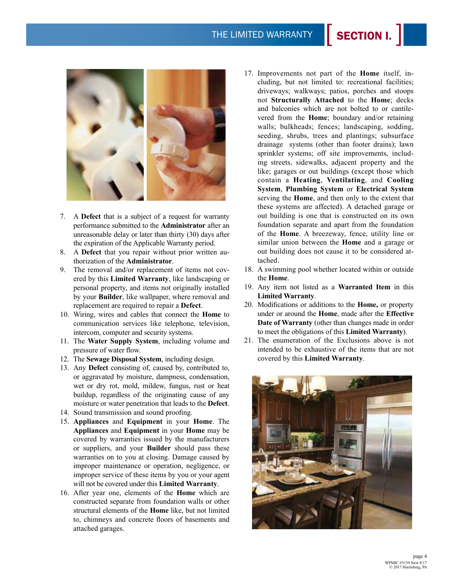THE LIMITED WARRANTY



- 7. A **Defect** that is a subject of a request for warranty performance submitted to the **Administrator** after an unreasonable delay or later than thirty (30) days after the expiration of the Applicable Warranty period.
- 8. A **Defect** that you repair without prior written authorization of the **Administrator**.
- 9. The removal and/or replacement of items not covered by this **Limited Warranty**, like landscaping or personal property, and items not originally installed by your **Builder**, like wallpaper, where removal and replacement are required to repair a **Defect**.
- 10. Wiring, wires and cables that connect the **Home** to communication services like telephone, television, intercom, computer and security systems.
- 11. The **Water Supply System**, including volume and pressure of water flow.
- 12. The **Sewage Disposal System**, including design.
- 13. Any **Defect** consisting of, caused by, contributed to, or aggravated by moisture, dampness, condensation, wet or dry rot, mold, mildew, fungus, rust or heat buildup, regardless of the originating cause of any moisture or water penetration that leads to the **Defect**.
- 14. Sound transmission and sound proofing.
- 15. **Appliances** and **Equipment** in your **Home**. The **Appliances** and **Equipment** in your **Home** may be covered by warranties issued by the manufacturers or suppliers, and your **Builder** should pass these warranties on to you at closing. Damage caused by improper maintenance or operation, negligence, or improper service of these items by you or your agent will not be covered under this **Limited Warranty**.
- 16. After year one, elements of the **Home** which are constructed separate from foundation walls or other structural elements of the **Home** like, but not limited to, chimneys and concrete floors of basements and attached garages.

17. Improvements not part of the **Home** itself, including, but not limited to: recreational facilities; driveways; walkways; patios, porches and stoops not **Structurally Attached** to the **Home**; decks and balconies which are not bolted to or cantilevered from the **Home**; boundary and/or retaining walls; bulkheads; fences; landscaping, sodding, seeding, shrubs, trees and plantings; subsurface drainage systems (other than footer drains); lawn sprinkler systems; off site improvements, including streets, sidewalks, adjacent property and the like; garages or out buildings (except those which contain a **Heating**, **Ventilating**, and **Cooling System**, **Plumbing System** or **Electrical System** serving the **Home**, and then only to the extent that these systems are affected). A detached garage or out building is one that is constructed on its own foundation separate and apart from the foundation of the **Home**. A breezeway, fence, utility line or similar union between the **Home** and a garage or out building does not cause it to be considered attached.

SECTION I.

- 18. A swimming pool whether located within or outside the **Home**.
- 19. Any item not listed as a **Warranted Item** in this **Limited Warranty**.
- 20. Modifications or additions to the **Home,** or property under or around the **Home**, made after the **Effective Date of Warranty** (other than changes made in order to meet the obligations of this **Limited Warranty**).
- 21. The enumeration of the Exclusions above is not intended to be exhaustive of the items that are not covered by this **Limited Warranty**.

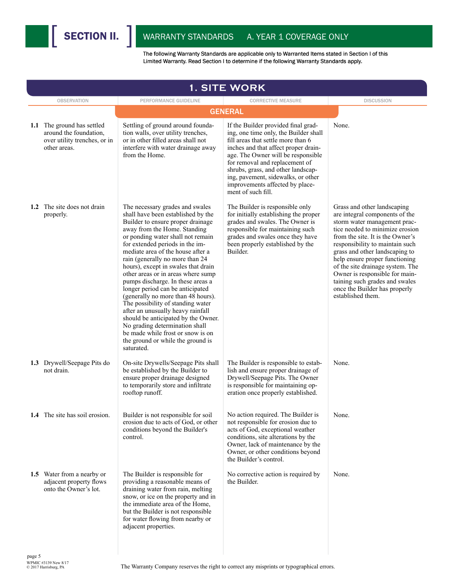

|        | <b>1. SITE WORK</b>                                                                                  |                                                                                                                                                                                                                                                                                                                                                                                                                                                                                                                                                                                                                                                                                                                                   |                                                                                                                                                                                                                                                                                                                                                                         |                                                                                                                                                                                                                                                                                                                                                                                                                                           |  |  |  |
|--------|------------------------------------------------------------------------------------------------------|-----------------------------------------------------------------------------------------------------------------------------------------------------------------------------------------------------------------------------------------------------------------------------------------------------------------------------------------------------------------------------------------------------------------------------------------------------------------------------------------------------------------------------------------------------------------------------------------------------------------------------------------------------------------------------------------------------------------------------------|-------------------------------------------------------------------------------------------------------------------------------------------------------------------------------------------------------------------------------------------------------------------------------------------------------------------------------------------------------------------------|-------------------------------------------------------------------------------------------------------------------------------------------------------------------------------------------------------------------------------------------------------------------------------------------------------------------------------------------------------------------------------------------------------------------------------------------|--|--|--|
|        | <b>OBSERVATION</b>                                                                                   | PERFORMANCE GUIDELINE                                                                                                                                                                                                                                                                                                                                                                                                                                                                                                                                                                                                                                                                                                             | <b>CORRECTIVE MEASURE</b>                                                                                                                                                                                                                                                                                                                                               | <b>DISCUSSION</b>                                                                                                                                                                                                                                                                                                                                                                                                                         |  |  |  |
|        |                                                                                                      |                                                                                                                                                                                                                                                                                                                                                                                                                                                                                                                                                                                                                                                                                                                                   | <b>GENERAL</b>                                                                                                                                                                                                                                                                                                                                                          |                                                                                                                                                                                                                                                                                                                                                                                                                                           |  |  |  |
|        | 1.1 The ground has settled<br>around the foundation,<br>over utility trenches, or in<br>other areas. | Settling of ground around founda-<br>tion walls, over utility trenches,<br>or in other filled areas shall not<br>interfere with water drainage away<br>from the Home.                                                                                                                                                                                                                                                                                                                                                                                                                                                                                                                                                             | If the Builder provided final grad-<br>ing, one time only, the Builder shall<br>fill areas that settle more than 6<br>inches and that affect proper drain-<br>age. The Owner will be responsible<br>for removal and replacement of<br>shrubs, grass, and other landscap-<br>ing, pavement, sidewalks, or other<br>improvements affected by place-<br>ment of such fill. | None.                                                                                                                                                                                                                                                                                                                                                                                                                                     |  |  |  |
|        | 1.2 The site does not drain<br>properly.                                                             | The necessary grades and swales<br>shall have been established by the<br>Builder to ensure proper drainage<br>away from the Home. Standing<br>or ponding water shall not remain<br>for extended periods in the im-<br>mediate area of the house after a<br>rain (generally no more than 24<br>hours), except in swales that drain<br>other areas or in areas where sump<br>pumps discharge. In these areas a<br>longer period can be anticipated<br>(generally no more than 48 hours).<br>The possibility of standing water<br>after an unusually heavy rainfall<br>should be anticipated by the Owner.<br>No grading determination shall<br>be made while frost or snow is on<br>the ground or while the ground is<br>saturated. | The Builder is responsible only<br>for initially establishing the proper<br>grades and swales. The Owner is<br>responsible for maintaining such<br>grades and swales once they have<br>been properly established by the<br>Builder.                                                                                                                                     | Grass and other landscaping<br>are integral components of the<br>storm water management prac-<br>tice needed to minimize erosion<br>from the site. It is the Owner's<br>responsibility to maintain such<br>grass and other landscaping to<br>help ensure proper functioning<br>of the site drainage system. The<br>Owner is responsible for main-<br>taining such grades and swales<br>once the Builder has properly<br>established them. |  |  |  |
|        | 1.3 Drywell/Seepage Pits do<br>not drain.                                                            | On-site Drywells/Seepage Pits shall<br>be established by the Builder to<br>ensure proper drainage designed<br>to temporarily store and infiltrate<br>rooftop runoff.                                                                                                                                                                                                                                                                                                                                                                                                                                                                                                                                                              | The Builder is responsible to estab-<br>lish and ensure proper drainage of<br>Drywell/Seepage Pits. The Owner<br>is responsible for maintaining op-<br>eration once properly established.                                                                                                                                                                               | None.                                                                                                                                                                                                                                                                                                                                                                                                                                     |  |  |  |
|        | 1.4 The site has soil erosion.                                                                       | Builder is not responsible for soil<br>erosion due to acts of God, or other<br>conditions beyond the Builder's<br>control.                                                                                                                                                                                                                                                                                                                                                                                                                                                                                                                                                                                                        | No action required. The Builder is<br>not responsible for erosion due to<br>acts of God, exceptional weather<br>conditions, site alterations by the<br>Owner, lack of maintenance by the<br>Owner, or other conditions beyond<br>the Builder's control.                                                                                                                 | None.                                                                                                                                                                                                                                                                                                                                                                                                                                     |  |  |  |
|        | 1.5 Water from a nearby or<br>adjacent property flows<br>onto the Owner's lot.                       | The Builder is responsible for<br>providing a reasonable means of<br>draining water from rain, melting<br>snow, or ice on the property and in<br>the immediate area of the Home,<br>but the Builder is not responsible<br>for water flowing from nearby or<br>adjacent properties.                                                                                                                                                                                                                                                                                                                                                                                                                                                | No corrective action is required by<br>the Builder.                                                                                                                                                                                                                                                                                                                     | None.                                                                                                                                                                                                                                                                                                                                                                                                                                     |  |  |  |
| page 5 |                                                                                                      |                                                                                                                                                                                                                                                                                                                                                                                                                                                                                                                                                                                                                                                                                                                                   |                                                                                                                                                                                                                                                                                                                                                                         |                                                                                                                                                                                                                                                                                                                                                                                                                                           |  |  |  |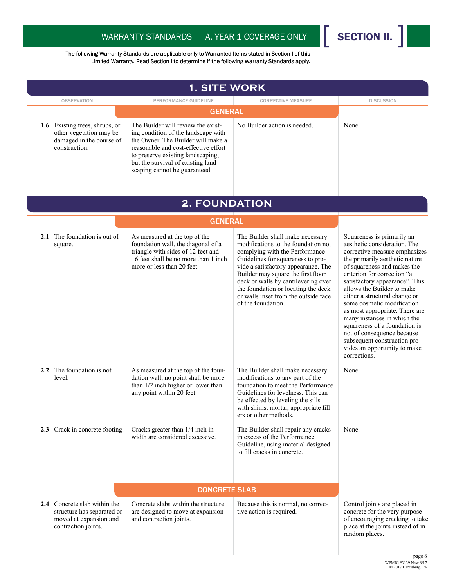

WPMIC #3139 New 8/17 © 2017 Harrisburg, PA

|                                                                                                             | <b>1. SITE WORK</b>                                                                                                                                                                                                                                                                   |                                                                                                                                                                                                                                                                                                                                                                         |                                                                                                                                                                                                                                                                                                                                                                                                                                                                                                                                            |
|-------------------------------------------------------------------------------------------------------------|---------------------------------------------------------------------------------------------------------------------------------------------------------------------------------------------------------------------------------------------------------------------------------------|-------------------------------------------------------------------------------------------------------------------------------------------------------------------------------------------------------------------------------------------------------------------------------------------------------------------------------------------------------------------------|--------------------------------------------------------------------------------------------------------------------------------------------------------------------------------------------------------------------------------------------------------------------------------------------------------------------------------------------------------------------------------------------------------------------------------------------------------------------------------------------------------------------------------------------|
| <b>OBSERVATION</b>                                                                                          | PERFORMANCE GUIDELINE                                                                                                                                                                                                                                                                 | <b>CORRECTIVE MEASURE</b>                                                                                                                                                                                                                                                                                                                                               | <b>DISCUSSION</b>                                                                                                                                                                                                                                                                                                                                                                                                                                                                                                                          |
| 1.6 Existing trees, shrubs, or<br>other vegetation may be<br>damaged in the course of<br>construction.      | <b>GENERAL</b><br>The Builder will review the exist-<br>ing condition of the landscape with<br>the Owner. The Builder will make a<br>reasonable and cost-effective effort<br>to preserve existing landscaping,<br>but the survival of existing land-<br>scaping cannot be guaranteed. | No Builder action is needed.                                                                                                                                                                                                                                                                                                                                            | None.                                                                                                                                                                                                                                                                                                                                                                                                                                                                                                                                      |
|                                                                                                             | <b>2. FOUNDATION</b>                                                                                                                                                                                                                                                                  |                                                                                                                                                                                                                                                                                                                                                                         |                                                                                                                                                                                                                                                                                                                                                                                                                                                                                                                                            |
|                                                                                                             | <b>GENERAL</b>                                                                                                                                                                                                                                                                        |                                                                                                                                                                                                                                                                                                                                                                         |                                                                                                                                                                                                                                                                                                                                                                                                                                                                                                                                            |
| <b>2.1</b> The foundation is out of<br>square.                                                              | As measured at the top of the<br>foundation wall, the diagonal of a<br>triangle with sides of 12 feet and<br>16 feet shall be no more than 1 inch<br>more or less than 20 feet.                                                                                                       | The Builder shall make necessary<br>modifications to the foundation not<br>complying with the Performance<br>Guidelines for squareness to pro-<br>vide a satisfactory appearance. The<br>Builder may square the first floor<br>deck or walls by cantilevering over<br>the foundation or locating the deck<br>or walls inset from the outside face<br>of the foundation. | Squareness is primarily an<br>aesthetic consideration. The<br>corrective measure emphasizes<br>the primarily aesthetic nature<br>of squareness and makes the<br>criterion for correction "a<br>satisfactory appearance". This<br>allows the Builder to make<br>either a structural change or<br>some cosmetic modification<br>as most appropriate. There are<br>many instances in which the<br>squareness of a foundation is<br>not of consequence because<br>subsequent construction pro-<br>vides an opportunity to make<br>corrections. |
| 2.2 The foundation is not<br>level.                                                                         | As measured at the top of the foun-<br>dation wall, no point shall be more<br>than 1/2 inch higher or lower than<br>any point within 20 feet.                                                                                                                                         | The Builder shall make necessary<br>modifications to any part of the<br>foundation to meet the Performance<br>Guidelines for levelness. This can<br>be effected by leveling the sills<br>with shims, mortar, appropriate fill-<br>ers or other methods.                                                                                                                 | None.                                                                                                                                                                                                                                                                                                                                                                                                                                                                                                                                      |
| 2.3 Crack in concrete footing.                                                                              | Cracks greater than 1/4 inch in<br>width are considered excessive.                                                                                                                                                                                                                    | The Builder shall repair any cracks<br>in excess of the Performance<br>Guideline, using material designed<br>to fill cracks in concrete.                                                                                                                                                                                                                                | None.                                                                                                                                                                                                                                                                                                                                                                                                                                                                                                                                      |
|                                                                                                             | <b>CONCRETE SLAB</b>                                                                                                                                                                                                                                                                  |                                                                                                                                                                                                                                                                                                                                                                         |                                                                                                                                                                                                                                                                                                                                                                                                                                                                                                                                            |
| 2.4 Concrete slab within the<br>structure has separated or<br>moved at expansion and<br>contraction joints. | Concrete slabs within the structure<br>are designed to move at expansion<br>and contraction joints.                                                                                                                                                                                   | Because this is normal, no correc-<br>tive action is required.                                                                                                                                                                                                                                                                                                          | Control joints are placed in<br>concrete for the very purpose<br>of encouraging cracking to take<br>place at the joints instead of in<br>random places.                                                                                                                                                                                                                                                                                                                                                                                    |
|                                                                                                             |                                                                                                                                                                                                                                                                                       |                                                                                                                                                                                                                                                                                                                                                                         | page 6                                                                                                                                                                                                                                                                                                                                                                                                                                                                                                                                     |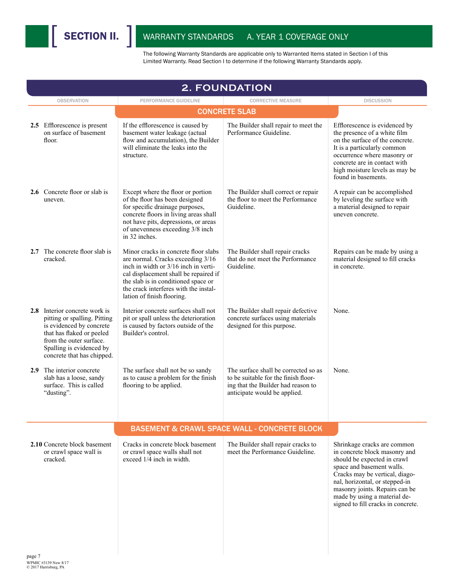

| <b>2. FOUNDATION</b>                                                                                                                                                                                                                                                     |                                                                                                                                                    |                                                                                                                                                                                                                                                                                                      |  |  |  |  |
|--------------------------------------------------------------------------------------------------------------------------------------------------------------------------------------------------------------------------------------------------------------------------|----------------------------------------------------------------------------------------------------------------------------------------------------|------------------------------------------------------------------------------------------------------------------------------------------------------------------------------------------------------------------------------------------------------------------------------------------------------|--|--|--|--|
| PERFORMANCE GUIDELINE                                                                                                                                                                                                                                                    | <b>CORRECTIVE MEASURE</b>                                                                                                                          | <b>DISCUSSION</b>                                                                                                                                                                                                                                                                                    |  |  |  |  |
|                                                                                                                                                                                                                                                                          |                                                                                                                                                    |                                                                                                                                                                                                                                                                                                      |  |  |  |  |
| If the efflorescence is caused by<br>basement water leakage (actual<br>flow and accumulation), the Builder<br>will eliminate the leaks into the<br>structure.                                                                                                            | The Builder shall repair to meet the<br>Performance Guideline.                                                                                     | Efflorescence is evidenced by<br>the presence of a white film<br>on the surface of the concrete.<br>It is a particularly common<br>occurrence where masonry or<br>concrete are in contact with<br>high moisture levels as may be<br>found in basements.                                              |  |  |  |  |
| Except where the floor or portion<br>of the floor has been designed<br>for specific drainage purposes,<br>concrete floors in living areas shall<br>not have pits, depressions, or areas<br>of unevenness exceeding 3/8 inch<br>in 32 inches.                             | The Builder shall correct or repair<br>the floor to meet the Performance<br>Guideline.                                                             | A repair can be accomplished<br>by leveling the surface with<br>a material designed to repair<br>uneven concrete.                                                                                                                                                                                    |  |  |  |  |
| Minor cracks in concrete floor slabs<br>are normal. Cracks exceeding 3/16<br>inch in width or 3/16 inch in verti-<br>cal displacement shall be repaired if<br>the slab is in conditioned space or<br>the crack interferes with the instal-<br>lation of finish flooring. | The Builder shall repair cracks<br>that do not meet the Performance<br>Guideline.                                                                  | Repairs can be made by using a<br>material designed to fill cracks<br>in concrete.                                                                                                                                                                                                                   |  |  |  |  |
| Interior concrete surfaces shall not<br>pit or spall unless the deterioration<br>is caused by factors outside of the<br>Builder's control.                                                                                                                               | The Builder shall repair defective<br>concrete surfaces using materials<br>designed for this purpose.                                              | None.                                                                                                                                                                                                                                                                                                |  |  |  |  |
| The surface shall not be so sandy<br>as to cause a problem for the finish<br>flooring to be applied.                                                                                                                                                                     | The surface shall be corrected so as<br>to be suitable for the finish floor-<br>ing that the Builder had reason to<br>anticipate would be applied. | None.                                                                                                                                                                                                                                                                                                |  |  |  |  |
|                                                                                                                                                                                                                                                                          |                                                                                                                                                    |                                                                                                                                                                                                                                                                                                      |  |  |  |  |
| Cracks in concrete block basement<br>or crawl space walls shall not<br>exceed $1/\hat{4}$ inch in width                                                                                                                                                                  | The Builder shall repair cracks to<br>meet the Performance Guideline.                                                                              | Shrinkage cracks are common<br>in concrete block masonry and<br>should be expected in crawl<br>space and basement walls.<br>Cracks may be vertical, diago-<br>nal, horizontal, or stepped-in<br>masonry joints. Repairs can be<br>made by using a material de-<br>signed to fill cracks in concrete. |  |  |  |  |
|                                                                                                                                                                                                                                                                          |                                                                                                                                                    | <b>CONCRETE SLAB</b><br><b>BASEMENT &amp; CRAWL SPACE WALL - CONCRETE BLOCK</b>                                                                                                                                                                                                                      |  |  |  |  |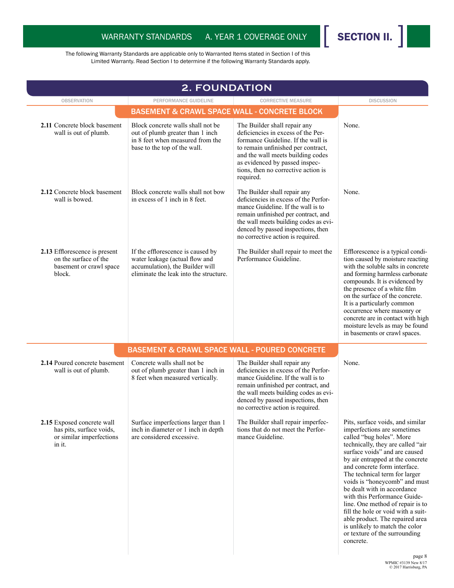

WPMIC #3139 New 8/17 © 2017 Harrisburg, PA

| <b>2. FOUNDATION</b>                                                                         |                                                                                                                                                  |                                                                                                                                                                                                                                                                           |                                                                                                                                                                                                                                                                                                                                                                                                                                                                                                                                                                     |  |  |
|----------------------------------------------------------------------------------------------|--------------------------------------------------------------------------------------------------------------------------------------------------|---------------------------------------------------------------------------------------------------------------------------------------------------------------------------------------------------------------------------------------------------------------------------|---------------------------------------------------------------------------------------------------------------------------------------------------------------------------------------------------------------------------------------------------------------------------------------------------------------------------------------------------------------------------------------------------------------------------------------------------------------------------------------------------------------------------------------------------------------------|--|--|
| <b>OBSERVATION</b>                                                                           | PERFORMANCE GUIDELINE                                                                                                                            | <b>CORRECTIVE MEASURE</b>                                                                                                                                                                                                                                                 | <b>DISCUSSION</b>                                                                                                                                                                                                                                                                                                                                                                                                                                                                                                                                                   |  |  |
|                                                                                              | <b>BASEMENT &amp; CRAWL SPACE WALL - CONCRETE BLOCK</b>                                                                                          |                                                                                                                                                                                                                                                                           |                                                                                                                                                                                                                                                                                                                                                                                                                                                                                                                                                                     |  |  |
| 2.11 Concrete block basement<br>wall is out of plumb.                                        | Block concrete walls shall not be<br>out of plumb greater than 1 inch<br>in 8 feet when measured from the<br>base to the top of the wall.        | The Builder shall repair any<br>deficiencies in excess of the Per-<br>formance Guideline. If the wall is<br>to remain unfinished per contract,<br>and the wall meets building codes<br>as evidenced by passed inspec-<br>tions, then no corrective action is<br>required. | None.                                                                                                                                                                                                                                                                                                                                                                                                                                                                                                                                                               |  |  |
| 2.12 Concrete block basement<br>wall is bowed.                                               | Block concrete walls shall not bow<br>in excess of 1 inch in 8 feet.                                                                             | The Builder shall repair any<br>deficiencies in excess of the Perfor-<br>mance Guideline. If the wall is to<br>remain unfinished per contract, and<br>the wall meets building codes as evi-<br>denced by passed inspections, then<br>no corrective action is required.    | None.                                                                                                                                                                                                                                                                                                                                                                                                                                                                                                                                                               |  |  |
| 2.13 Efflorescence is present<br>on the surface of the<br>basement or crawl space<br>block.  | If the efflorescence is caused by<br>water leakage (actual flow and<br>accumulation), the Builder will<br>eliminate the leak into the structure. | The Builder shall repair to meet the<br>Performance Guideline.                                                                                                                                                                                                            | Efflorescence is a typical condi-<br>tion caused by moisture reacting<br>with the soluble salts in concrete<br>and forming harmless carbonate<br>compounds. It is evidenced by<br>the presence of a white film<br>on the surface of the concrete.<br>It is a particularly common<br>occurrence where masonry or<br>concrete are in contact with high<br>moisture levels as may be found<br>in basements or crawl spaces.                                                                                                                                            |  |  |
|                                                                                              | <b>BASEMENT &amp; CRAWL SPACE WALL - POURED CONCRETE</b>                                                                                         |                                                                                                                                                                                                                                                                           |                                                                                                                                                                                                                                                                                                                                                                                                                                                                                                                                                                     |  |  |
| 2.14 Poured concrete basement<br>wall is out of plumb.                                       | Concrete walls shall not be<br>out of plumb greater than 1 inch in<br>8 feet when measured vertically.                                           | The Builder shall repair any<br>deficiencies in excess of the Perfor-<br>mance Guideline. If the wall is to<br>remain unfinished per contract, and<br>the wall meets building codes as evi-<br>denced by passed inspections, then<br>no corrective action is required.    | None.                                                                                                                                                                                                                                                                                                                                                                                                                                                                                                                                                               |  |  |
| 2.15 Exposed concrete wall<br>has pits, surface voids,<br>or similar imperfections<br>in it. | Surface imperfections larger than 1<br>inch in diameter or 1 inch in depth<br>are considered excessive.                                          | The Builder shall repair imperfec-<br>tions that do not meet the Perfor-<br>mance Guideline.                                                                                                                                                                              | Pits, surface voids, and similar<br>imperfections are sometimes<br>called "bug holes". More<br>technically, they are called "air<br>surface voids" and are caused<br>by air entrapped at the concrete<br>and concrete form interface.<br>The technical term for larger<br>voids is "honeycomb" and must<br>be dealt with in accordance<br>with this Performance Guide-<br>line. One method of repair is to<br>fill the hole or void with a suit-<br>able product. The repaired area<br>is unlikely to match the color<br>or texture of the surrounding<br>concrete. |  |  |
|                                                                                              |                                                                                                                                                  |                                                                                                                                                                                                                                                                           | page 8                                                                                                                                                                                                                                                                                                                                                                                                                                                                                                                                                              |  |  |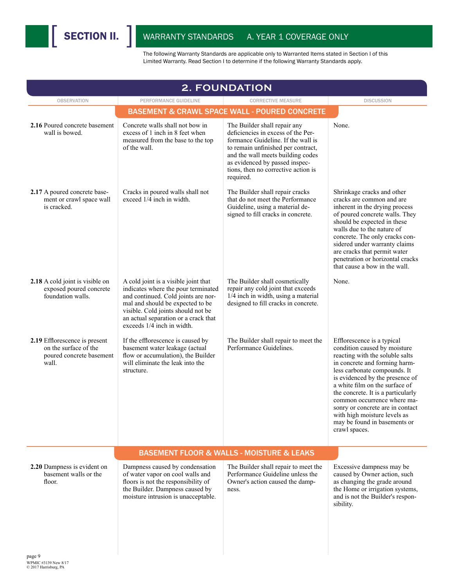| <b>2. FOUNDATION</b>                                                                        |                                                                                                                                                                                                                                                                    |                                                                                                                                                                                                                                                                           |                                                                                                                                                                                                                                                                                                                                                                                                                               |  |  |  |
|---------------------------------------------------------------------------------------------|--------------------------------------------------------------------------------------------------------------------------------------------------------------------------------------------------------------------------------------------------------------------|---------------------------------------------------------------------------------------------------------------------------------------------------------------------------------------------------------------------------------------------------------------------------|-------------------------------------------------------------------------------------------------------------------------------------------------------------------------------------------------------------------------------------------------------------------------------------------------------------------------------------------------------------------------------------------------------------------------------|--|--|--|
| <b>OBSERVATION</b>                                                                          | PERFORMANCE GUIDELINE                                                                                                                                                                                                                                              | <b>CORRECTIVE MEASURE</b>                                                                                                                                                                                                                                                 | <b>DISCUSSION</b>                                                                                                                                                                                                                                                                                                                                                                                                             |  |  |  |
|                                                                                             |                                                                                                                                                                                                                                                                    | <b>BASEMENT &amp; CRAWL SPACE WALL - POURED CONCRETE</b>                                                                                                                                                                                                                  |                                                                                                                                                                                                                                                                                                                                                                                                                               |  |  |  |
| 2.16 Poured concrete basement<br>wall is bowed.                                             | Concrete walls shall not bow in<br>excess of 1 inch in 8 feet when<br>measured from the base to the top<br>of the wall.                                                                                                                                            | The Builder shall repair any<br>deficiencies in excess of the Per-<br>formance Guideline. If the wall is<br>to remain unfinished per contract,<br>and the wall meets building codes<br>as evidenced by passed inspec-<br>tions, then no corrective action is<br>required. | None.                                                                                                                                                                                                                                                                                                                                                                                                                         |  |  |  |
| 2.17 A poured concrete base-<br>ment or crawl space wall<br>is cracked.                     | Cracks in poured walls shall not<br>exceed 1/4 inch in width.                                                                                                                                                                                                      | The Builder shall repair cracks<br>that do not meet the Performance<br>Guideline, using a material de-<br>signed to fill cracks in concrete.                                                                                                                              | Shrinkage cracks and other<br>cracks are common and are<br>inherent in the drying process<br>of poured concrete walls. They<br>should be expected in these<br>walls due to the nature of<br>concrete. The only cracks con-<br>sidered under warranty claims<br>are cracks that permit water<br>penetration or horizontal cracks<br>that cause a bow in the wall.                                                              |  |  |  |
| 2.18 A cold joint is visible on<br>exposed poured concrete<br>foundation walls.             | A cold joint is a visible joint that<br>indicates where the pour terminated<br>and continued. Cold joints are nor-<br>mal and should be expected to be<br>visible. Cold joints should not be<br>an actual separation or a crack that<br>exceeds 1/4 inch in width. | The Builder shall cosmetically<br>repair any cold joint that exceeds<br>$1/\overline{4}$ inch in width, using a material<br>designed to fill cracks in concrete.                                                                                                          | None.                                                                                                                                                                                                                                                                                                                                                                                                                         |  |  |  |
| 2.19 Efflorescence is present<br>on the surface of the<br>poured concrete basement<br>wall. | If the efflorescence is caused by<br>basement water leakage (actual<br>flow or accumulation), the Builder<br>will eliminate the leak into the<br>structure.                                                                                                        | The Builder shall repair to meet the<br>Performance Guidelines.                                                                                                                                                                                                           | Efflorescence is a typical<br>condition caused by moisture<br>reacting with the soluble salts<br>in concrete and forming harm-<br>less carbonate compounds. It<br>is evidenced by the presence of<br>a white film on the surface of<br>the concrete. It is a particularly<br>common occurrence where ma-<br>sonry or concrete are in contact<br>with high moisture levels as<br>may be found in basements or<br>crawl spaces. |  |  |  |
|                                                                                             |                                                                                                                                                                                                                                                                    | <b>BASEMENT FLOOR &amp; WALLS - MOISTURE &amp; LEAKS</b>                                                                                                                                                                                                                  |                                                                                                                                                                                                                                                                                                                                                                                                                               |  |  |  |
| 2.20 Dampness is evident on<br>basement walls or the<br>floor.                              | Dampness caused by condensation<br>of water vapor on cool walls and<br>floors is not the responsibility of<br>the Builder. Dampness caused by<br>moisture intrusion is unacceptable.                                                                               | The Builder shall repair to meet the<br>Performance Guideline unless the<br>Owner's action caused the damp-<br>ness.                                                                                                                                                      | Excessive dampness may be<br>caused by Owner action, such<br>as changing the grade around<br>the Home or irrigation systems,<br>and is not the Builder's respon-<br>sibility.                                                                                                                                                                                                                                                 |  |  |  |
| page 9<br>WPMIC #3139 New 8/17<br>C 2017 Harrisburg, PA                                     |                                                                                                                                                                                                                                                                    |                                                                                                                                                                                                                                                                           |                                                                                                                                                                                                                                                                                                                                                                                                                               |  |  |  |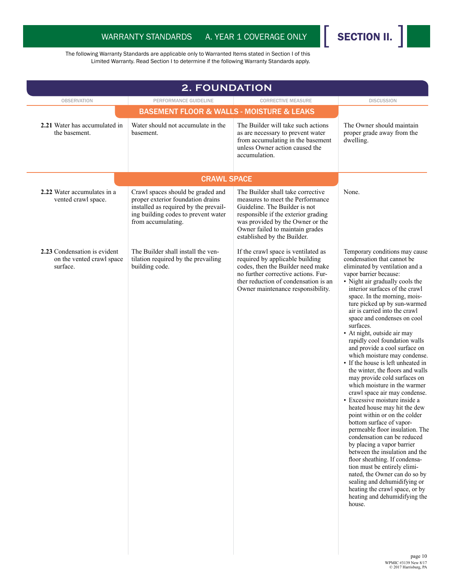

| <b>OBSERVATION</b>                                                    | PERFORMANCE GUIDELINE                                                                                                                                                        | <b>CORRECTIVE MEASURE</b>                                                                                                                                                                                                                           | <b>DISCUSSION</b>                                                                                                                                                                                                                                                                                                                                                                                                                                                                                                                                                                                                                                                                                                                                                                                                                                                                                                                                                                                                                                                                                                                       |
|-----------------------------------------------------------------------|------------------------------------------------------------------------------------------------------------------------------------------------------------------------------|-----------------------------------------------------------------------------------------------------------------------------------------------------------------------------------------------------------------------------------------------------|-----------------------------------------------------------------------------------------------------------------------------------------------------------------------------------------------------------------------------------------------------------------------------------------------------------------------------------------------------------------------------------------------------------------------------------------------------------------------------------------------------------------------------------------------------------------------------------------------------------------------------------------------------------------------------------------------------------------------------------------------------------------------------------------------------------------------------------------------------------------------------------------------------------------------------------------------------------------------------------------------------------------------------------------------------------------------------------------------------------------------------------------|
|                                                                       |                                                                                                                                                                              |                                                                                                                                                                                                                                                     |                                                                                                                                                                                                                                                                                                                                                                                                                                                                                                                                                                                                                                                                                                                                                                                                                                                                                                                                                                                                                                                                                                                                         |
| 2.21 Water has accumulated in<br>the basement.                        | Water should not accumulate in the<br>basement.                                                                                                                              | The Builder will take such actions<br>as are necessary to prevent water<br>from accumulating in the basement<br>unless Owner action caused the<br>accumulation                                                                                      | The Owner should maintain<br>proper grade away from the<br>dwelling.                                                                                                                                                                                                                                                                                                                                                                                                                                                                                                                                                                                                                                                                                                                                                                                                                                                                                                                                                                                                                                                                    |
|                                                                       | <b>CRAWL SPACE</b>                                                                                                                                                           |                                                                                                                                                                                                                                                     |                                                                                                                                                                                                                                                                                                                                                                                                                                                                                                                                                                                                                                                                                                                                                                                                                                                                                                                                                                                                                                                                                                                                         |
| 2.22 Water accumulates in a<br>vented crawl space.                    | Crawl spaces should be graded and<br>proper exterior foundation drains<br>installed as required by the prevail-<br>ing building codes to prevent water<br>from accumulating. | The Builder shall take corrective<br>measures to meet the Performance<br>Guideline. The Builder is not<br>responsible if the exterior grading<br>was provided by the Owner or the<br>Owner failed to maintain grades<br>established by the Builder. | None.                                                                                                                                                                                                                                                                                                                                                                                                                                                                                                                                                                                                                                                                                                                                                                                                                                                                                                                                                                                                                                                                                                                                   |
| 2.23 Condensation is evident<br>on the vented crawl space<br>surface. | The Builder shall install the ven-<br>tilation required by the prevailing<br>building code.                                                                                  | If the crawl space is ventilated as<br>required by applicable building<br>codes, then the Builder need make<br>no further corrective actions. Fur-<br>ther reduction of condensation is an<br>Owner maintenance responsibility.                     | Temporary conditions may cause<br>condensation that cannot be<br>eliminated by ventilation and a<br>vapor barrier because:<br>• Night air gradually cools the<br>interior surfaces of the crawl<br>space. In the morning, mois-<br>ture picked up by sun-warmed<br>air is carried into the crawl<br>space and condenses on cool<br>surfaces.<br>• At night, outside air may<br>rapidly cool foundation walls<br>and provide a cool surface on<br>which moisture may condense.<br>• If the house is left unheated in<br>the winter, the floors and walls<br>may provide cold surfaces on<br>which moisture in the warmer<br>crawl space air may condense.<br>• Excessive moisture inside a<br>heated house may hit the dew<br>point within or on the colder<br>bottom surface of vapor-<br>permeable floor insulation. The<br>condensation can be reduced<br>by placing a vapor barrier<br>between the insulation and the<br>floor sheathing. If condensa-<br>tion must be entirely elimi-<br>nated, the Owner can do so by<br>sealing and dehumidifying or<br>heating the crawl space, or by<br>heating and dehumidifying the<br>house. |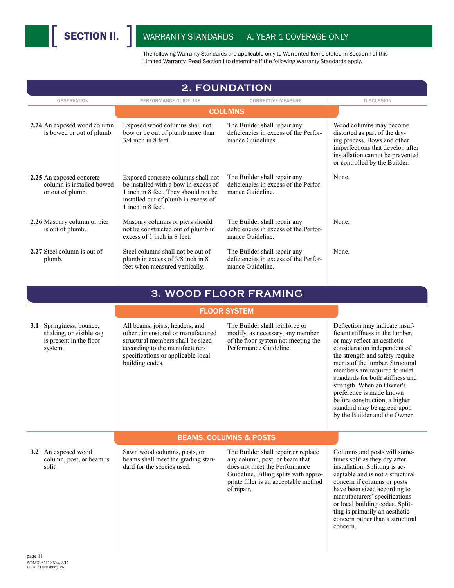

| <b>2. FOUNDATION</b>                                                                      |                                                                                                                                                                                                       |                                                                                                                                                                                                        |                                                                                                                                                                                                                                                                                                                                                                                                                                        |
|-------------------------------------------------------------------------------------------|-------------------------------------------------------------------------------------------------------------------------------------------------------------------------------------------------------|--------------------------------------------------------------------------------------------------------------------------------------------------------------------------------------------------------|----------------------------------------------------------------------------------------------------------------------------------------------------------------------------------------------------------------------------------------------------------------------------------------------------------------------------------------------------------------------------------------------------------------------------------------|
| <b>OBSERVATION</b>                                                                        | PERFORMANCE GUIDELINE                                                                                                                                                                                 | <b>CORRECTIVE MEASURE</b>                                                                                                                                                                              | <b>DISCUSSION</b>                                                                                                                                                                                                                                                                                                                                                                                                                      |
|                                                                                           |                                                                                                                                                                                                       | <b>COLUMNS</b>                                                                                                                                                                                         |                                                                                                                                                                                                                                                                                                                                                                                                                                        |
| 2.24 An exposed wood column<br>is bowed or out of plumb.                                  | Exposed wood columns shall not<br>bow or be out of plumb more than<br>$3/4$ inch in 8 feet.                                                                                                           | The Builder shall repair any<br>deficiencies in excess of the Perfor-<br>mance Guidelines.                                                                                                             | Wood columns may become<br>distorted as part of the dry-<br>ing process. Bows and other<br>imperfections that develop after<br>installation cannot be prevented<br>or controlled by the Builder.                                                                                                                                                                                                                                       |
| 2.25 An exposed concrete<br>column is installed bowed<br>or out of plumb.                 | Exposed concrete columns shall not<br>be installed with a bow in excess of<br>1 inch in 8 feet. They should not be<br>installed out of plumb in excess of<br>1 inch in 8 feet.                        | The Builder shall repair any<br>deficiencies in excess of the Perfor-<br>mance Guideline.                                                                                                              | None.                                                                                                                                                                                                                                                                                                                                                                                                                                  |
| 2.26 Masonry column or pier<br>is out of plumb.                                           | Masonry columns or piers should<br>not be constructed out of plumb in<br>excess of 1 inch in 8 feet.                                                                                                  | The Builder shall repair any<br>deficiencies in excess of the Perfor-<br>mance Guideline.                                                                                                              | None.                                                                                                                                                                                                                                                                                                                                                                                                                                  |
| 2.27 Steel column is out of<br>plumb.                                                     | Steel columns shall not be out of<br>plumb in excess of 3/8 inch in 8<br>feet when measured vertically.                                                                                               | The Builder shall repair any<br>deficiencies in excess of the Perfor-<br>mance Guideline.                                                                                                              | None.                                                                                                                                                                                                                                                                                                                                                                                                                                  |
|                                                                                           |                                                                                                                                                                                                       | 3. WOOD FLOOR FRAMING                                                                                                                                                                                  |                                                                                                                                                                                                                                                                                                                                                                                                                                        |
|                                                                                           |                                                                                                                                                                                                       | <b>FLOOR SYSTEM</b>                                                                                                                                                                                    |                                                                                                                                                                                                                                                                                                                                                                                                                                        |
| 3.1 Springiness, bounce,<br>shaking, or visible sag<br>is present in the floor<br>system. | All beams, joists, headers, and<br>other dimensional or manufactured<br>structural members shall be sized<br>according to the manufacturers'<br>specifications or applicable local<br>building codes. | The Builder shall reinforce or<br>modify, as necessary, any member<br>of the floor system not meeting the<br>Performance Guideline.                                                                    | Deflection may indicate insuf-<br>ficient stiffness in the lumber,<br>or may reflect an aesthetic<br>consideration independent of<br>the strength and safety require-<br>ments of the lumber. Structural<br>members are required to meet<br>standards for both stiffness and<br>strength. When an Owner's<br>preference is made known<br>before construction, a higher<br>standard may be agreed upon<br>by the Builder and the Owner. |
|                                                                                           |                                                                                                                                                                                                       | <b>BEAMS, COLUMNS &amp; POSTS</b>                                                                                                                                                                      |                                                                                                                                                                                                                                                                                                                                                                                                                                        |
| 3.2 An exposed wood<br>column, post, or beam is<br>split.                                 | Sawn wood columns, posts, or<br>beams shall meet the grading stan-<br>dard for the species used.                                                                                                      | The Builder shall repair or replace<br>any column, post, or beam that<br>does not meet the Performance<br>Guideline. Filling splits with appro-<br>priate filler is an acceptable method<br>of repair. | Columns and posts will some-<br>times split as they dry after<br>installation. Splitting is ac-<br>ceptable and is not a structural<br>concern if columns or posts<br>have been sized according to<br>manufacturers' specifications<br>or local building codes. Split-<br>ting is primarily an aesthetic<br>concern rather than a structural<br>concern.                                                                               |
| page 11                                                                                   |                                                                                                                                                                                                       |                                                                                                                                                                                                        |                                                                                                                                                                                                                                                                                                                                                                                                                                        |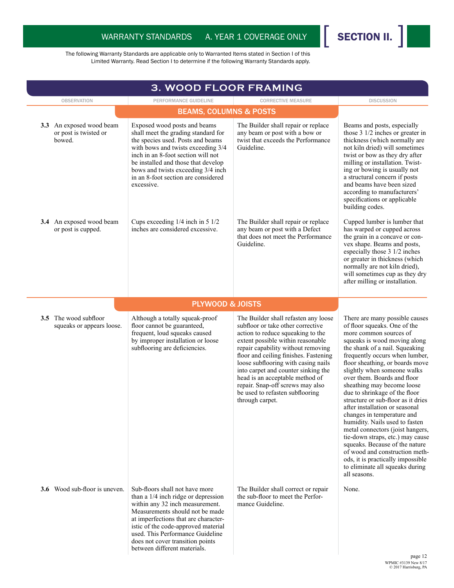WPMIC #3139 New 8/17 © 2017 Harrisburg, PA

| <b>3. WOOD FLOOR FRAMING</b>                                |                                                                                                                                                                                                                                                                                                                                      |                                                                                                                                                                                                                                                                                                                                                                                                                                               |                                                                                                                                                                                                                                                                                                                                                                                                                                                                                                                                                                                                                                                                                                                                          |
|-------------------------------------------------------------|--------------------------------------------------------------------------------------------------------------------------------------------------------------------------------------------------------------------------------------------------------------------------------------------------------------------------------------|-----------------------------------------------------------------------------------------------------------------------------------------------------------------------------------------------------------------------------------------------------------------------------------------------------------------------------------------------------------------------------------------------------------------------------------------------|------------------------------------------------------------------------------------------------------------------------------------------------------------------------------------------------------------------------------------------------------------------------------------------------------------------------------------------------------------------------------------------------------------------------------------------------------------------------------------------------------------------------------------------------------------------------------------------------------------------------------------------------------------------------------------------------------------------------------------------|
| <b>OBSERVATION</b>                                          | PERFORMANCE GUIDELINE                                                                                                                                                                                                                                                                                                                | <b>CORRECTIVE MEASURE</b>                                                                                                                                                                                                                                                                                                                                                                                                                     | <b>DISCUSSION</b>                                                                                                                                                                                                                                                                                                                                                                                                                                                                                                                                                                                                                                                                                                                        |
|                                                             | <b>BEAMS, COLUMNS &amp; POSTS</b>                                                                                                                                                                                                                                                                                                    |                                                                                                                                                                                                                                                                                                                                                                                                                                               |                                                                                                                                                                                                                                                                                                                                                                                                                                                                                                                                                                                                                                                                                                                                          |
| 3.3 An exposed wood beam<br>or post is twisted or<br>bowed. | Exposed wood posts and beams<br>shall meet the grading standard for<br>the species used. Posts and beams<br>with bows and twists exceeding 3/4<br>inch in an 8-foot section will not<br>be installed and those that develop<br>bows and twists exceeding 3/4 inch<br>in an 8-foot section are considered<br>excessive.               | The Builder shall repair or replace<br>any beam or post with a bow or<br>twist that exceeds the Performance<br>Guideline.                                                                                                                                                                                                                                                                                                                     | Beams and posts, especially<br>those $3 \frac{1}{2}$ inches or greater in<br>thickness (which normally are<br>not kiln dried) will sometimes<br>twist or bow as they dry after<br>milling or installation. Twist-<br>ing or bowing is usually not<br>a structural concern if posts<br>and beams have been sized<br>according to manufacturers'<br>specifications or applicable<br>building codes.                                                                                                                                                                                                                                                                                                                                        |
| 3.4 An exposed wood beam<br>or post is cupped.              | Cups exceeding $1/4$ inch in 5 $1/2$<br>inches are considered excessive.                                                                                                                                                                                                                                                             | The Builder shall repair or replace<br>any beam or post with a Defect<br>that does not meet the Performance<br>Guideline.                                                                                                                                                                                                                                                                                                                     | Cupped lumber is lumber that<br>has warped or cupped across<br>the grain in a concave or con-<br>vex shape. Beams and posts,<br>especially those 3 1/2 inches<br>or greater in thickness (which<br>normally are not kiln dried),<br>will sometimes cup as they dry<br>after milling or installation.                                                                                                                                                                                                                                                                                                                                                                                                                                     |
|                                                             | <b>PLYWOOD &amp; JOISTS</b>                                                                                                                                                                                                                                                                                                          |                                                                                                                                                                                                                                                                                                                                                                                                                                               |                                                                                                                                                                                                                                                                                                                                                                                                                                                                                                                                                                                                                                                                                                                                          |
| <b>3.5</b> The wood subfloor<br>squeaks or appears loose.   | Although a totally squeak-proof<br>floor cannot be guaranteed,<br>frequent, loud squeaks caused<br>by improper installation or loose<br>subflooring are deficiencies.                                                                                                                                                                | The Builder shall refasten any loose<br>subfloor or take other corrective<br>action to reduce squeaking to the<br>extent possible within reasonable<br>repair capability without removing<br>floor and ceiling finishes. Fastening<br>loose subflooring with casing nails<br>into carpet and counter sinking the<br>head is an acceptable method of<br>repair. Snap-off screws may also<br>be used to refasten subflooring<br>through carpet. | There are many possible causes<br>of floor squeaks. One of the<br>more common sources of<br>squeaks is wood moving along<br>the shank of a nail. Squeaking<br>frequently occurs when lumber,<br>floor sheathing, or boards move<br>slightly when someone walks<br>over them. Boards and floor<br>sheathing may become loose<br>due to shrinkage of the floor<br>structure or sub-floor as it dries<br>after installation or seasonal<br>changes in temperature and<br>humidity. Nails used to fasten<br>metal connectors (joist hangers,<br>tie-down straps, etc.) may cause<br>squeaks. Because of the nature<br>of wood and construction meth-<br>ods, it is practically impossible<br>to eliminate all squeaks during<br>all seasons. |
| Wood sub-floor is uneven.<br>3.6                            | Sub-floors shall not have more<br>than a $1/4$ inch ridge or depression<br>within any 32 inch measurement.<br>Measurements should not be made<br>at imperfections that are character-<br>istic of the code-approved material<br>used. This Performance Guideline<br>does not cover transition points<br>between different materials. | The Builder shall correct or repair<br>the sub-floor to meet the Perfor-<br>mance Guideline.                                                                                                                                                                                                                                                                                                                                                  | None.<br>page 12                                                                                                                                                                                                                                                                                                                                                                                                                                                                                                                                                                                                                                                                                                                         |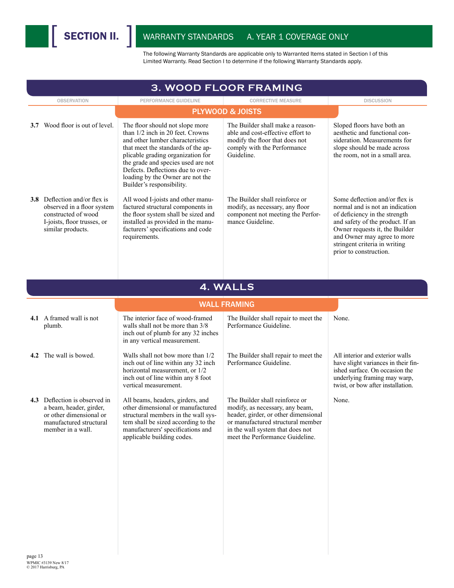| PERFORMANCE GUIDELINE                                                                                                                                                                                                                                                                                                          | <b>CORRECTIVE MEASURE</b>                                                                                                                                                                                             | <b>DISCUSSION</b>                                                                                                                                                                                                                                                  |
|--------------------------------------------------------------------------------------------------------------------------------------------------------------------------------------------------------------------------------------------------------------------------------------------------------------------------------|-----------------------------------------------------------------------------------------------------------------------------------------------------------------------------------------------------------------------|--------------------------------------------------------------------------------------------------------------------------------------------------------------------------------------------------------------------------------------------------------------------|
|                                                                                                                                                                                                                                                                                                                                |                                                                                                                                                                                                                       |                                                                                                                                                                                                                                                                    |
| The floor should not slope more<br>than 1/2 inch in 20 feet. Crowns<br>and other lumber characteristics<br>that meet the standards of the ap-<br>plicable grading organization for<br>the grade and species used are not<br>Defects. Deflections due to over-<br>loading by the Owner are not the<br>Builder's responsibility. | The Builder shall make a reason-<br>able and cost-effective effort to<br>modify the floor that does not<br>comply with the Performance<br>Guideline.                                                                  | Sloped floors have both an<br>aesthetic and functional con-<br>sideration. Measurements for<br>slope should be made across<br>the room, not in a small area.                                                                                                       |
| All wood I-joists and other manu-<br>factured structural components in<br>the floor system shall be sized and<br>installed as provided in the manu-<br>facturers' specifications and code<br>requirements.                                                                                                                     | The Builder shall reinforce or<br>modify, as necessary, any floor<br>component not meeting the Perfor-<br>mance Guideline.                                                                                            | Some deflection and/or flex is<br>normal and is not an indication<br>of deficiency in the strength<br>and safety of the product. If an<br>Owner requests it, the Builder<br>and Owner may agree to more<br>stringent criteria in writing<br>prior to construction. |
|                                                                                                                                                                                                                                                                                                                                |                                                                                                                                                                                                                       |                                                                                                                                                                                                                                                                    |
|                                                                                                                                                                                                                                                                                                                                |                                                                                                                                                                                                                       |                                                                                                                                                                                                                                                                    |
| The interior face of wood-framed<br>walls shall not be more than 3/8<br>inch out of plumb for any 32 inches<br>in any vertical measurement.                                                                                                                                                                                    | The Builder shall repair to meet the<br>Performance Guideline.                                                                                                                                                        | None.                                                                                                                                                                                                                                                              |
| Walls shall not bow more than 1/2<br>inch out of line within any 32 inch<br>horizontal measurement, or 1/2<br>inch out of line within any 8 foot<br>vertical measurement.                                                                                                                                                      | The Builder shall repair to meet the<br>Performance Guideline.                                                                                                                                                        | All interior and exterior walls<br>have slight variances in their fin-<br>ished surface. On occasion the<br>underlying framing may warp,<br>twist, or bow after installation.                                                                                      |
| All beams, headers, girders, and<br>other dimensional or manufactured<br>structural members in the wall sys-<br>tem shall be sized according to the<br>manufacturers' specifications and<br>applicable building codes.                                                                                                         | The Builder shall reinforce or<br>modify, as necessary, any beam,<br>header, girder, or other dimensional<br>or manufactured structural member<br>in the wall system that does not<br>meet the Performance Guideline. | None.                                                                                                                                                                                                                                                              |
|                                                                                                                                                                                                                                                                                                                                |                                                                                                                                                                                                                       | 3. WOOD FLOOR FRAMING<br><b>PLYWOOD &amp; JOISTS</b><br>4. WALLS<br><b>WALL FRAMING</b>                                                                                                                                                                            |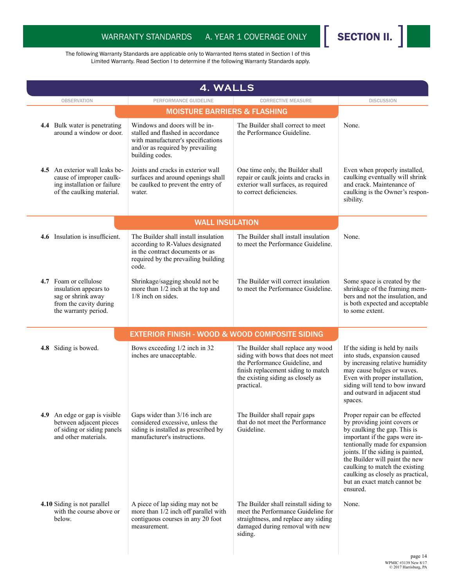

| 4. WALLS                                                                                                               |                                                                                                                                                                 |                                                                                                                                                                                                      |                                                                                                                                                                                                                                                                                                                                                             |
|------------------------------------------------------------------------------------------------------------------------|-----------------------------------------------------------------------------------------------------------------------------------------------------------------|------------------------------------------------------------------------------------------------------------------------------------------------------------------------------------------------------|-------------------------------------------------------------------------------------------------------------------------------------------------------------------------------------------------------------------------------------------------------------------------------------------------------------------------------------------------------------|
| <b>OBSERVATION</b>                                                                                                     | PERFORMANCE GUIDELINE                                                                                                                                           | <b>CORRECTIVE MEASURE</b>                                                                                                                                                                            | <b>DISCUSSION</b>                                                                                                                                                                                                                                                                                                                                           |
|                                                                                                                        | <b>MOISTURE BARRIERS &amp; FLASHING</b>                                                                                                                         |                                                                                                                                                                                                      |                                                                                                                                                                                                                                                                                                                                                             |
| 4.4 Bulk water is penetrating<br>around a window or door.                                                              | Windows and doors will be in-<br>stalled and flashed in accordance<br>with manufacturer's specifications<br>and/or as required by prevailing<br>building codes. | The Builder shall correct to meet<br>the Performance Guideline.                                                                                                                                      | None.                                                                                                                                                                                                                                                                                                                                                       |
| 4.5 An exterior wall leaks be-<br>cause of improper caulk-<br>ing installation or failure<br>of the caulking material. | Joints and cracks in exterior wall<br>surfaces and around openings shall<br>be caulked to prevent the entry of<br>water.                                        | One time only, the Builder shall<br>repair or caulk joints and cracks in<br>exterior wall surfaces, as required<br>to correct deficiencies.                                                          | Even when properly installed,<br>caulking eventually will shrink<br>and crack. Maintenance of<br>caulking is the Owner's respon-<br>sibility.                                                                                                                                                                                                               |
|                                                                                                                        | <b>WALL INSULATION</b>                                                                                                                                          |                                                                                                                                                                                                      |                                                                                                                                                                                                                                                                                                                                                             |
| 4.6 Insulation is insufficient.                                                                                        | The Builder shall install insulation<br>according to R-Values designated<br>in the contract documents or as<br>required by the prevailing building<br>code.     | The Builder shall install insulation<br>to meet the Performance Guideline.                                                                                                                           | None.                                                                                                                                                                                                                                                                                                                                                       |
| 4.7 Foam or cellulose<br>insulation appears to<br>sag or shrink away<br>from the cavity during<br>the warranty period. | Shrinkage/sagging should not be<br>more than 1/2 inch at the top and<br>1/8 inch on sides.                                                                      | The Builder will correct insulation<br>to meet the Performance Guideline.                                                                                                                            | Some space is created by the<br>shrinkage of the framing mem-<br>bers and not the insulation, and<br>is both expected and acceptable<br>to some extent.                                                                                                                                                                                                     |
|                                                                                                                        | <b>EXTERIOR FINISH - WOOD &amp; WOOD COMPOSITE SIDING</b>                                                                                                       |                                                                                                                                                                                                      |                                                                                                                                                                                                                                                                                                                                                             |
| 4.8 Siding is bowed.                                                                                                   | Bows exceeding 1/2 inch in 32<br>inches are unacceptable.                                                                                                       | The Builder shall replace any wood<br>siding with bows that does not meet<br>the Performance Guideline, and<br>finish replacement siding to match<br>the existing siding as closely as<br>practical. | If the siding is held by nails<br>into studs, expansion caused<br>by increasing relative humidity<br>may cause bulges or waves.<br>Even with proper installation,<br>siding will tend to bow inward<br>and outward in adjacent stud<br>spaces.                                                                                                              |
| 4.9<br>An edge or gap is visible<br>between adjacent pieces<br>of siding or siding panels<br>and other materials.      | Gaps wider than 3/16 inch are<br>considered excessive, unless the<br>siding is installed as prescribed by<br>manufacturer's instructions.                       | The Builder shall repair gaps<br>that do not meet the Performance<br>Guideline.                                                                                                                      | Proper repair can be effected<br>by providing joint covers or<br>by caulking the gap. This is<br>important if the gaps were in-<br>tentionally made for expansion<br>joints. If the siding is painted,<br>the Builder will paint the new<br>caulking to match the existing<br>caulking as closely as practical,<br>but an exact match cannot be<br>ensured. |
| 4.10 Siding is not parallel<br>with the course above or<br>below.                                                      | A piece of lap siding may not be<br>more than 1/2 inch off parallel with<br>contiguous courses in any 20 foot<br>measurement.                                   | The Builder shall reinstall siding to<br>meet the Performance Guideline for<br>straightness, and replace any siding<br>damaged during removal with new<br>siding.                                    | None.                                                                                                                                                                                                                                                                                                                                                       |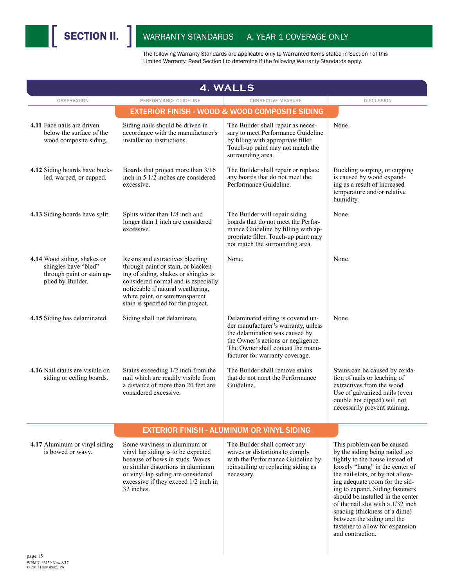| PERFORMANCE GUIDELINE<br>Siding nails should be driven in<br>accordance with the manufacturer's<br>installation instructions. | <b>CORRECTIVE MEASURE</b><br><b>EXTERIOR FINISH - WOOD &amp; WOOD COMPOSITE SIDING</b><br>The Builder shall repair as neces-<br>sary to meet Performance Guideline<br>by filling with appropriate filler.<br>Touch-up paint may not match the                                                                                                                                                                                                                                                                                                                                                                                                                                                                                                                                                | <b>DISCUSSION</b><br>None.                                                                                                                                                                                                                                                                                                                                                                                                                  |
|-------------------------------------------------------------------------------------------------------------------------------|----------------------------------------------------------------------------------------------------------------------------------------------------------------------------------------------------------------------------------------------------------------------------------------------------------------------------------------------------------------------------------------------------------------------------------------------------------------------------------------------------------------------------------------------------------------------------------------------------------------------------------------------------------------------------------------------------------------------------------------------------------------------------------------------|---------------------------------------------------------------------------------------------------------------------------------------------------------------------------------------------------------------------------------------------------------------------------------------------------------------------------------------------------------------------------------------------------------------------------------------------|
|                                                                                                                               |                                                                                                                                                                                                                                                                                                                                                                                                                                                                                                                                                                                                                                                                                                                                                                                              |                                                                                                                                                                                                                                                                                                                                                                                                                                             |
|                                                                                                                               |                                                                                                                                                                                                                                                                                                                                                                                                                                                                                                                                                                                                                                                                                                                                                                                              |                                                                                                                                                                                                                                                                                                                                                                                                                                             |
|                                                                                                                               | surrounding area.                                                                                                                                                                                                                                                                                                                                                                                                                                                                                                                                                                                                                                                                                                                                                                            |                                                                                                                                                                                                                                                                                                                                                                                                                                             |
| Boards that project more than 3/16                                                                                            | The Builder shall repair or replace<br>any boards that do not meet the<br>Performance Guideline.                                                                                                                                                                                                                                                                                                                                                                                                                                                                                                                                                                                                                                                                                             | Buckling warping, or cupping<br>is caused by wood expand-<br>ing as a result of increased<br>temperature and/or relative<br>humidity.                                                                                                                                                                                                                                                                                                       |
|                                                                                                                               | The Builder will repair siding<br>boards that do not meet the Perfor-<br>mance Guideline by filling with ap-<br>propriate filler. Touch-up paint may<br>not match the surrounding area.                                                                                                                                                                                                                                                                                                                                                                                                                                                                                                                                                                                                      | None.                                                                                                                                                                                                                                                                                                                                                                                                                                       |
|                                                                                                                               | None.                                                                                                                                                                                                                                                                                                                                                                                                                                                                                                                                                                                                                                                                                                                                                                                        | None.                                                                                                                                                                                                                                                                                                                                                                                                                                       |
|                                                                                                                               | Delaminated siding is covered un-<br>der manufacturer's warranty, unless<br>the delamination was caused by<br>the Owner's actions or negligence.<br>The Owner shall contact the manu-<br>facturer for warranty coverage.                                                                                                                                                                                                                                                                                                                                                                                                                                                                                                                                                                     | None.                                                                                                                                                                                                                                                                                                                                                                                                                                       |
|                                                                                                                               | The Builder shall remove stains<br>that do not meet the Performance<br>Guideline.                                                                                                                                                                                                                                                                                                                                                                                                                                                                                                                                                                                                                                                                                                            | Stains can be caused by oxida-<br>tion of nails or leaching of<br>extractives from the wood.<br>Use of galvanized nails (even<br>double hot dipped) will not<br>necessarily prevent staining.                                                                                                                                                                                                                                               |
|                                                                                                                               |                                                                                                                                                                                                                                                                                                                                                                                                                                                                                                                                                                                                                                                                                                                                                                                              |                                                                                                                                                                                                                                                                                                                                                                                                                                             |
|                                                                                                                               | The Builder shall correct any<br>waves or distortions to comply<br>with the Performance Guideline by<br>reinstalling or replacing siding as<br>necessary.                                                                                                                                                                                                                                                                                                                                                                                                                                                                                                                                                                                                                                    | This problem can be caused<br>by the siding being nailed too<br>tightly to the house instead of<br>loosely "hung" in the center of<br>the nail slots, or by not allow-<br>ing adequate room for the sid-<br>ing to expand. Siding fasteners<br>should be installed in the center<br>of the nail slot with a 1/32 inch<br>spacing (thickness of a dime)<br>between the siding and the<br>fastener to allow for expansion<br>and contraction. |
|                                                                                                                               | inch in 5 1/2 inches are considered<br>Splits wider than 1/8 inch and<br>longer than 1 inch are considered<br>Resins and extractives bleeding<br>through paint or stain, or blacken-<br>ing of siding, shakes or shingles is<br>considered normal and is especially<br>noticeable if natural weathering,<br>white paint, or semitransparent<br>stain is specified for the project.<br>Siding shall not delaminate.<br>Stains exceeding 1/2 inch from the<br>nail which are readily visible from<br>a distance of more than 20 feet are<br>considered excessive.<br>Some waviness in aluminum or<br>vinyl lap siding is to be expected<br>because of bows in studs. Waves<br>or similar distortions in aluminum<br>or vinyl lap siding are considered<br>excessive if they exceed 1/2 inch in | <b>EXTERIOR FINISH - ALUMINUM OR VINYL SIDING</b>                                                                                                                                                                                                                                                                                                                                                                                           |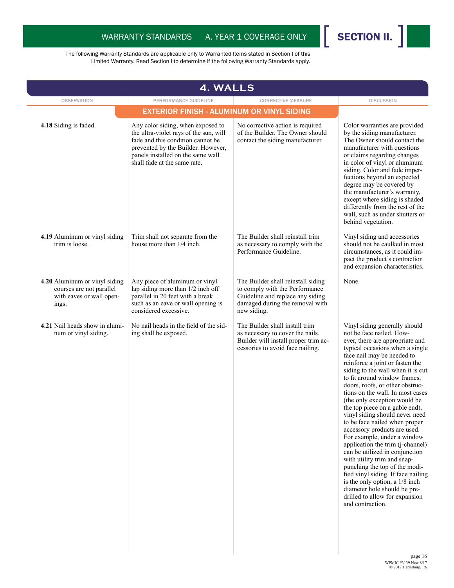

| 4. WALLS                                                                                       |                                                                                                                                                                                                                             |                                                                                                                                                            |                                                                                                                                                                                                                                                                                                                                                                                                                                                                                                                                                                                                                                                                                                                                                                                                                                                      |
|------------------------------------------------------------------------------------------------|-----------------------------------------------------------------------------------------------------------------------------------------------------------------------------------------------------------------------------|------------------------------------------------------------------------------------------------------------------------------------------------------------|------------------------------------------------------------------------------------------------------------------------------------------------------------------------------------------------------------------------------------------------------------------------------------------------------------------------------------------------------------------------------------------------------------------------------------------------------------------------------------------------------------------------------------------------------------------------------------------------------------------------------------------------------------------------------------------------------------------------------------------------------------------------------------------------------------------------------------------------------|
| <b>OBSERVATION</b>                                                                             | PERFORMANCE GUIDELINE                                                                                                                                                                                                       | <b>CORRECTIVE MEASURE</b>                                                                                                                                  | <b>DISCUSSION</b>                                                                                                                                                                                                                                                                                                                                                                                                                                                                                                                                                                                                                                                                                                                                                                                                                                    |
|                                                                                                | <b>EXTERIOR FINISH - ALUMINUM OR VINYL SIDING</b>                                                                                                                                                                           |                                                                                                                                                            |                                                                                                                                                                                                                                                                                                                                                                                                                                                                                                                                                                                                                                                                                                                                                                                                                                                      |
| 4.18 Siding is faded.                                                                          | Any color siding, when exposed to<br>the ultra-violet rays of the sun, will<br>fade and this condition cannot be<br>prevented by the Builder. However,<br>panels installed on the same wall<br>shall fade at the same rate. | No corrective action is required<br>of the Builder. The Owner should<br>contact the siding manufacturer.                                                   | Color warranties are provided<br>by the siding manufacturer.<br>The Owner should contact the<br>manufacturer with questions<br>or claims regarding changes<br>in color of vinyl or aluminum<br>siding. Color and fade imper-<br>fections beyond an expected<br>degree may be covered by<br>the manufacturer's warranty,<br>except where siding is shaded<br>differently from the rest of the<br>wall, such as under shutters or<br>behind vegetation.                                                                                                                                                                                                                                                                                                                                                                                                |
| 4.19 Aluminum or vinyl siding<br>trim is loose.                                                | Trim shall not separate from the<br>house more than 1/4 inch.                                                                                                                                                               | The Builder shall reinstall trim<br>as necessary to comply with the<br>Performance Guideline.                                                              | Vinyl siding and accessories<br>should not be caulked in most<br>circumstances, as it could im-<br>pact the product's contraction<br>and expansion characteristics.                                                                                                                                                                                                                                                                                                                                                                                                                                                                                                                                                                                                                                                                                  |
| 4.20 Aluminum or vinyl siding<br>courses are not parallel<br>with eaves or wall open-<br>ings. | Any piece of aluminum or vinyl<br>lap siding more than 1/2 inch off<br>parallel in 20 feet with a break<br>such as an eave or wall opening is<br>considered excessive.                                                      | The Builder shall reinstall siding<br>to comply with the Performance<br>Guideline and replace any siding<br>damaged during the removal with<br>new siding. | None.                                                                                                                                                                                                                                                                                                                                                                                                                                                                                                                                                                                                                                                                                                                                                                                                                                                |
| 4.21 Nail heads show in alumi-<br>num or vinyl siding.                                         | No nail heads in the field of the sid-<br>ing shall be exposed.                                                                                                                                                             | The Builder shall install trim<br>as necessary to cover the nails.<br>Builder will install proper trim ac-<br>cessories to avoid face nailing.             | Vinyl siding generally should<br>not be face nailed. How-<br>ever, there are appropriate and<br>typical occasions when a single<br>face nail may be needed to<br>reinforce a joint or fasten the<br>siding to the wall when it is cut<br>to fit around window frames,<br>doors, roofs, or other obstruc-<br>tions on the wall. In most cases<br>(the only exception would be<br>the top piece on a gable end),<br>vinyl siding should never need<br>to be face nailed when proper<br>accessory products are used.<br>For example, under a window<br>application the trim (j-channel)<br>can be utilized in conjunction<br>with utility trim and snap-<br>punching the top of the modi-<br>fied vinyl siding. If face nailing<br>is the only option, a 1/8 inch<br>diameter hole should be pre-<br>drilled to allow for expansion<br>and contraction. |
|                                                                                                |                                                                                                                                                                                                                             |                                                                                                                                                            | naga 16                                                                                                                                                                                                                                                                                                                                                                                                                                                                                                                                                                                                                                                                                                                                                                                                                                              |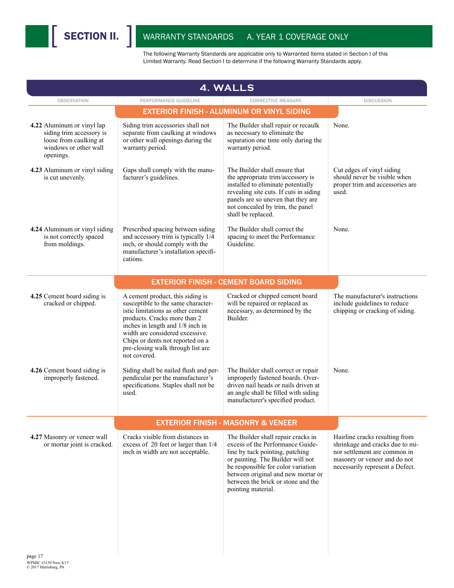| <b>4. WALLS</b>                                                                                                        |                                                                                                                                                                                                                                                                                                             |                                                                                                                                                                                                                                                                                        |                                                                                                                                                                      |
|------------------------------------------------------------------------------------------------------------------------|-------------------------------------------------------------------------------------------------------------------------------------------------------------------------------------------------------------------------------------------------------------------------------------------------------------|----------------------------------------------------------------------------------------------------------------------------------------------------------------------------------------------------------------------------------------------------------------------------------------|----------------------------------------------------------------------------------------------------------------------------------------------------------------------|
| <b>OBSERVATION</b>                                                                                                     | PERFORMANCE GUIDELINE                                                                                                                                                                                                                                                                                       | <b>CORRECTIVE MEASURE</b>                                                                                                                                                                                                                                                              | <b>DISCUSSION</b>                                                                                                                                                    |
|                                                                                                                        |                                                                                                                                                                                                                                                                                                             | <b>EXTERIOR FINISH - ALUMINUM OR VINYL SIDING</b>                                                                                                                                                                                                                                      |                                                                                                                                                                      |
| 4.22 Aluminum or vinyl lap<br>siding trim accessory is<br>loose from caulking at<br>windows or other wall<br>openings. | Siding trim accessories shall not<br>separate from caulking at windows<br>or other wall openings during the<br>warranty period.                                                                                                                                                                             | The Builder shall repair or recaulk<br>as necessary to eliminate the<br>separation one time only during the<br>warranty period.                                                                                                                                                        | None.                                                                                                                                                                |
| 4.23 Aluminum or vinyl siding<br>is cut unevenly.                                                                      | Gaps shall comply with the manu-<br>facturer's guidelines.                                                                                                                                                                                                                                                  | The Builder shall ensure that<br>the appropriate trim/accessory is<br>installed to eliminate potentially<br>revealing site cuts. If cuts in siding<br>panels are so uneven that they are<br>not concealed by trim, the panel<br>shall be replaced.                                     | Cut edges of vinyl siding<br>should never be visible when<br>proper trim and accessories are<br>used.                                                                |
| 4.24 Aluminum or vinyl siding<br>is not correctly spaced<br>from moldings.                                             | Prescribed spacing between siding<br>and accessory trim is typically 1/4<br>inch, or should comply with the<br>manufacturer's installation specifi-<br>cations.                                                                                                                                             | The Builder shall correct the<br>spacing to meet the Performance<br>Guideline.                                                                                                                                                                                                         | None.                                                                                                                                                                |
|                                                                                                                        |                                                                                                                                                                                                                                                                                                             | <b>EXTERIOR FINISH - CEMENT BOARD SIDING</b>                                                                                                                                                                                                                                           |                                                                                                                                                                      |
| 4.25 Cement board siding is<br>cracked or chipped.                                                                     | A cement product, this siding is<br>susceptible to the same character-<br>istic limitations as other cement<br>products. Cracks more than 2<br>inches in length and 1/8 inch in<br>width are considered excessive.<br>Chips or dents not reported on a<br>pre-closing walk through list are<br>not covered. | Cracked or chipped cement board<br>will be repaired or replaced as<br>necessary, as determined by the<br>Builder.                                                                                                                                                                      | The manufacturer's instructions<br>include guidelines to reduce<br>chipping or cracking of siding.                                                                   |
| 4.26 Cement board siding is<br>improperly fastened.                                                                    | Siding shall be nailed flush and per-<br>pendicular per the manufacturer's<br>specifications. Staples shall not be<br>used.                                                                                                                                                                                 | The Builder shall correct or repair<br>improperly fastened boards. Over-<br>driven nail heads or nails driven at<br>an angle shall be filled with siding<br>manufacturer's specified product.                                                                                          | None.                                                                                                                                                                |
|                                                                                                                        |                                                                                                                                                                                                                                                                                                             | <b>EXTERIOR FINISH - MASONRY &amp; VENEER</b>                                                                                                                                                                                                                                          |                                                                                                                                                                      |
| 4.27 Masonry or veneer wall<br>or mortar joint is cracked.                                                             | Cracks visible from distances in<br>excess of 20 feet or larger than 1/4<br>inch in width are not acceptable.                                                                                                                                                                                               | The Builder shall repair cracks in<br>excess of the Performance Guide-<br>line by tuck pointing, patching<br>or painting. The Builder will not<br>be responsible for color variation<br>between original and new mortar or<br>between the brick or stone and the<br>pointing material. | Hairline cracks resulting from<br>shrinkage and cracks due to mi-<br>nor settlement are common in<br>masonry or veneer and do not<br>necessarily represent a Defect. |
| page 17                                                                                                                |                                                                                                                                                                                                                                                                                                             |                                                                                                                                                                                                                                                                                        |                                                                                                                                                                      |

WPMIC #3139 New 8/17 © 2017 Harrisburg, PA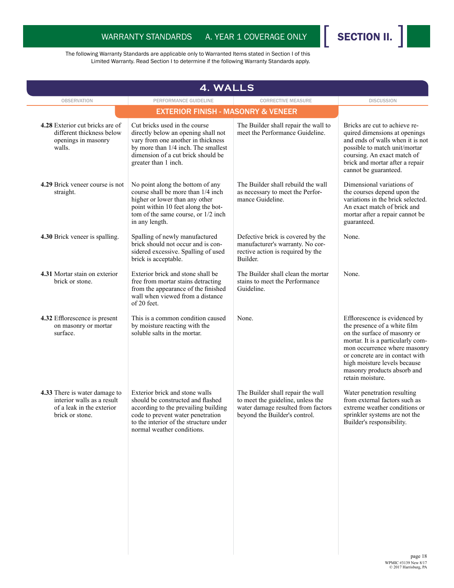

| <b>4. WALLS</b>                                                                                             |                                                                                                                                                                                                                          |                                                                                                                                               |                                                                                                                                                                                                                                                                                          |  |  |
|-------------------------------------------------------------------------------------------------------------|--------------------------------------------------------------------------------------------------------------------------------------------------------------------------------------------------------------------------|-----------------------------------------------------------------------------------------------------------------------------------------------|------------------------------------------------------------------------------------------------------------------------------------------------------------------------------------------------------------------------------------------------------------------------------------------|--|--|
| <b>OBSERVATION</b>                                                                                          | PERFORMANCE GUIDELINE                                                                                                                                                                                                    | <b>CORRECTIVE MEASURE</b>                                                                                                                     | <b>DISCUSSION</b>                                                                                                                                                                                                                                                                        |  |  |
|                                                                                                             | <b>EXTERIOR FINISH - MASONRY &amp; VENEER</b>                                                                                                                                                                            |                                                                                                                                               |                                                                                                                                                                                                                                                                                          |  |  |
| 4.28 Exterior cut bricks are of<br>different thickness below<br>openings in masonry<br>walls.               | Cut bricks used in the course<br>directly below an opening shall not<br>vary from one another in thickness<br>by more than 1/4 inch. The smallest<br>dimension of a cut brick should be<br>greater than 1 inch.          | The Builder shall repair the wall to<br>meet the Performance Guideline.                                                                       | Bricks are cut to achieve re-<br>quired dimensions at openings<br>and ends of walls when it is not<br>possible to match unit/mortar<br>coursing. An exact match of<br>brick and mortar after a repair<br>cannot be guaranteed.                                                           |  |  |
| 4.29 Brick veneer course is not<br>straight.                                                                | No point along the bottom of any<br>course shall be more than 1/4 inch<br>higher or lower than any other<br>point within 10 feet along the bot-<br>tom of the same course, or 1/2 inch<br>in any length.                 | The Builder shall rebuild the wall<br>as necessary to meet the Perfor-<br>mance Guideline.                                                    | Dimensional variations of<br>the courses depend upon the<br>variations in the brick selected.<br>An exact match of brick and<br>mortar after a repair cannot be<br>guaranteed.                                                                                                           |  |  |
| 4.30 Brick veneer is spalling.                                                                              | Spalling of newly manufactured<br>brick should not occur and is con-<br>sidered excessive. Spalling of used<br>brick is acceptable.                                                                                      | Defective brick is covered by the<br>manufacturer's warranty. No cor-<br>rective action is required by the<br>Builder.                        | None.                                                                                                                                                                                                                                                                                    |  |  |
| 4.31 Mortar stain on exterior<br>brick or stone.                                                            | Exterior brick and stone shall be<br>free from mortar stains detracting<br>from the appearance of the finished<br>wall when viewed from a distance<br>of 20 feet.                                                        | The Builder shall clean the mortar<br>stains to meet the Performance<br>Guideline.                                                            | None.                                                                                                                                                                                                                                                                                    |  |  |
| 4.32 Efflorescence is present<br>on masonry or mortar<br>surface.                                           | This is a common condition caused<br>by moisture reacting with the<br>soluble salts in the mortar.                                                                                                                       | None.                                                                                                                                         | Efflorescence is evidenced by<br>the presence of a white film<br>on the surface of masonry or<br>mortar. It is a particularly com-<br>mon occurrence where masonry<br>or concrete are in contact with<br>high moisture levels because<br>masonry products absorb and<br>retain moisture. |  |  |
| 4.33 There is water damage to<br>interior walls as a result<br>of a leak in the exterior<br>brick or stone. | Exterior brick and stone walls<br>should be constructed and flashed<br>according to the prevailing building<br>code to prevent water penetration<br>to the interior of the structure under<br>normal weather conditions. | The Builder shall repair the wall<br>to meet the guideline, unless the<br>water damage resulted from factors<br>beyond the Builder's control. | Water penetration resulting<br>from external factors such as<br>extreme weather conditions or<br>sprinkler systems are not the<br>Builder's responsibility.                                                                                                                              |  |  |
|                                                                                                             |                                                                                                                                                                                                                          |                                                                                                                                               | nage $18$                                                                                                                                                                                                                                                                                |  |  |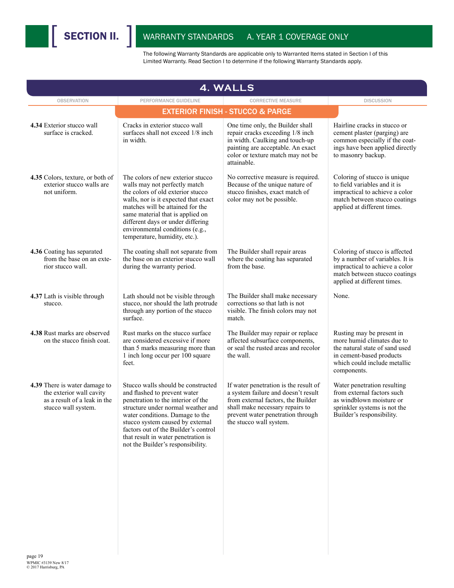

| <b>OBSERVATION</b>                                                                                               | PERFORMANCE GUIDELINE                                                                                                                                                                                                                                                                                                                     | <b>CORRECTIVE MEASURE</b>                                                                                                                                                                                             | <b>DISCUSSION</b>                                                                                                                                                    |
|------------------------------------------------------------------------------------------------------------------|-------------------------------------------------------------------------------------------------------------------------------------------------------------------------------------------------------------------------------------------------------------------------------------------------------------------------------------------|-----------------------------------------------------------------------------------------------------------------------------------------------------------------------------------------------------------------------|----------------------------------------------------------------------------------------------------------------------------------------------------------------------|
|                                                                                                                  |                                                                                                                                                                                                                                                                                                                                           | <b>EXTERIOR FINISH - STUCCO &amp; PARGE</b>                                                                                                                                                                           |                                                                                                                                                                      |
| 4.34 Exterior stucco wall<br>surface is cracked.                                                                 | Cracks in exterior stucco wall<br>surfaces shall not exceed 1/8 inch<br>in width.                                                                                                                                                                                                                                                         | One time only, the Builder shall<br>repair cracks exceeding 1/8 inch<br>in width. Caulking and touch-up<br>painting are acceptable. An exact<br>color or texture match may not be<br>attainable.                      | Hairline cracks in stucco or<br>cement plaster (parging) are<br>common especially if the coat-<br>ings have been applied directly<br>to masonry backup.              |
| 4.35 Colors, texture, or both of<br>exterior stucco walls are<br>not uniform.                                    | The colors of new exterior stucco<br>walls may not perfectly match<br>the colors of old exterior stucco<br>walls, nor is it expected that exact<br>matches will be attained for the<br>same material that is applied on<br>different days or under differing<br>environmental conditions (e.g.,<br>temperature, humidity, etc.).          | No corrective measure is required.<br>Because of the unique nature of<br>stucco finishes, exact match of<br>color may not be possible.                                                                                | Coloring of stucco is unique<br>to field variables and it is<br>impractical to achieve a color<br>match between stucco coatings<br>applied at different times.       |
| 4.36 Coating has separated<br>from the base on an exte-<br>rior stucco wall.                                     | The coating shall not separate from<br>the base on an exterior stucco wall<br>during the warranty period.                                                                                                                                                                                                                                 | The Builder shall repair areas<br>where the coating has separated<br>from the base.                                                                                                                                   | Coloring of stucco is affected<br>by a number of variables. It is<br>impractical to achieve a color<br>match between stucco coatings<br>applied at different times.  |
| 4.37 Lath is visible through<br>stucco.                                                                          | Lath should not be visible through<br>stucco, nor should the lath protrude<br>through any portion of the stucco<br>surface.                                                                                                                                                                                                               | The Builder shall make necessary<br>corrections so that lath is not<br>visible. The finish colors may not<br>match.                                                                                                   | None.                                                                                                                                                                |
| 4.38 Rust marks are observed<br>on the stucco finish coat.                                                       | Rust marks on the stucco surface<br>are considered excessive if more<br>than 5 marks measuring more than<br>1 inch long occur per 100 square<br>feet.                                                                                                                                                                                     | The Builder may repair or replace<br>affected subsurface components,<br>or seal the rusted areas and recolor<br>the wall.                                                                                             | Rusting may be present in<br>more humid climates due to<br>the natural state of sand used<br>in cement-based products<br>which could include metallic<br>components. |
| 4.39 There is water damage to<br>the exterior wall cavity<br>as a result of a leak in the<br>stucco wall system. | Stucco walls should be constructed<br>and flashed to prevent water<br>penetration to the interior of the<br>structure under normal weather and<br>water conditions. Damage to the<br>stucco system caused by external<br>factors out of the Builder's control<br>that result in water penetration is<br>not the Builder's responsibility. | If water penetration is the result of<br>a system failure and doesn't result<br>from external factors, the Builder<br>shall make necessary repairs to<br>prevent water penetration through<br>the stucco wall system. | Water penetration resulting<br>from external factors such<br>as windblown moisture or<br>sprinkler systems is not the<br>Builder's responsibility.                   |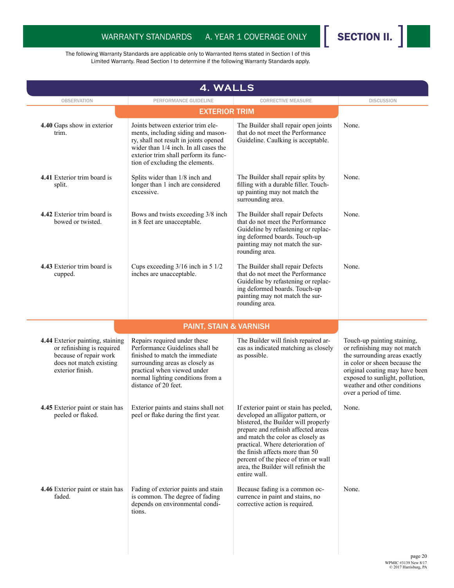

| <b>4. WALLS</b>                                                                                                                         |                                                                                                                                                                                                                                       |                                                                                                                                                                                                                                                                                                                                                                         |                                                                                                                                                                                                                                                              |  |  |
|-----------------------------------------------------------------------------------------------------------------------------------------|---------------------------------------------------------------------------------------------------------------------------------------------------------------------------------------------------------------------------------------|-------------------------------------------------------------------------------------------------------------------------------------------------------------------------------------------------------------------------------------------------------------------------------------------------------------------------------------------------------------------------|--------------------------------------------------------------------------------------------------------------------------------------------------------------------------------------------------------------------------------------------------------------|--|--|
| <b>OBSERVATION</b>                                                                                                                      | PERFORMANCE GUIDELINE                                                                                                                                                                                                                 | <b>CORRECTIVE MEASURE</b>                                                                                                                                                                                                                                                                                                                                               | <b>DISCUSSION</b>                                                                                                                                                                                                                                            |  |  |
|                                                                                                                                         | <b>EXTERIOR TRIM</b>                                                                                                                                                                                                                  |                                                                                                                                                                                                                                                                                                                                                                         |                                                                                                                                                                                                                                                              |  |  |
| 4.40 Gaps show in exterior<br>trim.                                                                                                     | Joints between exterior trim ele-<br>ments, including siding and mason-<br>ry, shall not result in joints opened<br>wider than 1/4 inch. In all cases the<br>exterior trim shall perform its func-<br>tion of excluding the elements. | The Builder shall repair open joints<br>that do not meet the Performance<br>Guideline. Caulking is acceptable.                                                                                                                                                                                                                                                          | None.                                                                                                                                                                                                                                                        |  |  |
| 4.41 Exterior trim board is<br>split.                                                                                                   | Splits wider than 1/8 inch and<br>longer than 1 inch are considered<br>excessive.                                                                                                                                                     | The Builder shall repair splits by<br>filling with a durable filler. Touch-<br>up painting may not match the<br>surrounding area.                                                                                                                                                                                                                                       | None.                                                                                                                                                                                                                                                        |  |  |
| 4.42 Exterior trim board is<br>bowed or twisted.                                                                                        | Bows and twists exceeding 3/8 inch<br>in 8 feet are unacceptable.                                                                                                                                                                     | The Builder shall repair Defects<br>that do not meet the Performance<br>Guideline by refastening or replac-<br>ing deformed boards. Touch-up<br>painting may not match the sur-<br>rounding area.                                                                                                                                                                       | None.                                                                                                                                                                                                                                                        |  |  |
| 4.43 Exterior trim board is<br>cupped.                                                                                                  | Cups exceeding $3/16$ inch in 5 $1/2$<br>inches are unacceptable.                                                                                                                                                                     | The Builder shall repair Defects<br>that do not meet the Performance<br>Guideline by refastening or replac-<br>ing deformed boards. Touch-up<br>painting may not match the sur-<br>rounding area.                                                                                                                                                                       | None.                                                                                                                                                                                                                                                        |  |  |
|                                                                                                                                         | <b>PAINT, STAIN &amp; VARNISH</b>                                                                                                                                                                                                     |                                                                                                                                                                                                                                                                                                                                                                         |                                                                                                                                                                                                                                                              |  |  |
| 4.44 Exterior painting, staining<br>or refinishing is required<br>because of repair work<br>does not match existing<br>exterior finish. | Repairs required under these<br>Performance Guidelines shall be<br>finished to match the immediate<br>surrounding areas as closely as<br>practical when viewed under<br>normal lighting conditions from a<br>distance of 20 feet.     | The Builder will finish repaired ar-<br>eas as indicated matching as closely<br>as possible.                                                                                                                                                                                                                                                                            | Touch-up painting staining,<br>or refinishing may not match<br>the surrounding areas exactly<br>in color or sheen because the<br>original coating may have been<br>exposed to sunlight, pollution,<br>weather and other conditions<br>over a period of time. |  |  |
| 4.45 Exterior paint or stain has<br>peeled or flaked.                                                                                   | Exterior paints and stains shall not<br>peel or flake during the first year.                                                                                                                                                          | If exterior paint or stain has peeled,<br>developed an alligator pattern, or<br>blistered, the Builder will properly<br>prepare and refinish affected areas<br>and match the color as closely as<br>practical. Where deterioration of<br>the finish affects more than 50<br>percent of the piece of trim or wall<br>area, the Builder will refinish the<br>entire wall. | None.                                                                                                                                                                                                                                                        |  |  |
| 4.46 Exterior paint or stain has<br>faded.                                                                                              | Fading of exterior paints and stain<br>is common. The degree of fading<br>depends on environmental condi-<br>tions.                                                                                                                   | Because fading is a common oc-<br>currence in paint and stains, no<br>corrective action is required.                                                                                                                                                                                                                                                                    | None.                                                                                                                                                                                                                                                        |  |  |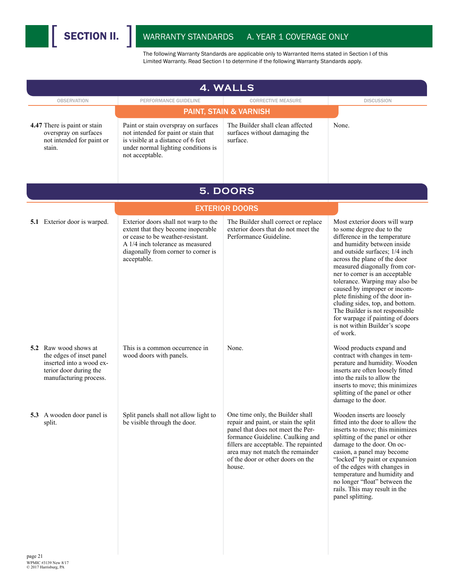I

| <b>4. WALLS</b>                                                                                                                   |                                                                                                                                                                                                           |                                                                                                                                                                                                                                                                               |                                                                                                                                                                                                                                                                                                                                                                                                                                                                                                                            |  |
|-----------------------------------------------------------------------------------------------------------------------------------|-----------------------------------------------------------------------------------------------------------------------------------------------------------------------------------------------------------|-------------------------------------------------------------------------------------------------------------------------------------------------------------------------------------------------------------------------------------------------------------------------------|----------------------------------------------------------------------------------------------------------------------------------------------------------------------------------------------------------------------------------------------------------------------------------------------------------------------------------------------------------------------------------------------------------------------------------------------------------------------------------------------------------------------------|--|
| <b>OBSERVATION</b>                                                                                                                | PERFORMANCE GUIDELINE                                                                                                                                                                                     | <b>CORRECTIVE MEASURE</b>                                                                                                                                                                                                                                                     | <b>DISCUSSION</b>                                                                                                                                                                                                                                                                                                                                                                                                                                                                                                          |  |
|                                                                                                                                   |                                                                                                                                                                                                           | <b>PAINT, STAIN &amp; VARNISH</b>                                                                                                                                                                                                                                             |                                                                                                                                                                                                                                                                                                                                                                                                                                                                                                                            |  |
| 4.47 There is paint or stain<br>overspray on surfaces<br>not intended for paint or<br>stain.                                      | Paint or stain overspray on surfaces<br>not intended for paint or stain that<br>is visible at a distance of 6 feet<br>under normal lighting conditions is<br>not acceptable.                              | The Builder shall clean affected<br>surfaces without damaging the<br>surface.                                                                                                                                                                                                 | None.                                                                                                                                                                                                                                                                                                                                                                                                                                                                                                                      |  |
|                                                                                                                                   |                                                                                                                                                                                                           | 5. DOORS                                                                                                                                                                                                                                                                      |                                                                                                                                                                                                                                                                                                                                                                                                                                                                                                                            |  |
|                                                                                                                                   |                                                                                                                                                                                                           | <b>EXTERIOR DOORS</b>                                                                                                                                                                                                                                                         |                                                                                                                                                                                                                                                                                                                                                                                                                                                                                                                            |  |
| 5.1 Exterior door is warped.                                                                                                      | Exterior doors shall not warp to the<br>extent that they become inoperable<br>or cease to be weather-resistant.<br>A 1/4 inch tolerance as measured<br>diagonally from corner to corner is<br>acceptable. | The Builder shall correct or replace<br>exterior doors that do not meet the<br>Performance Guideline.                                                                                                                                                                         | Most exterior doors will warp<br>to some degree due to the<br>difference in the temperature<br>and humidity between inside<br>and outside surfaces; 1/4 inch<br>across the plane of the door<br>measured diagonally from cor-<br>ner to corner is an acceptable<br>tolerance. Warping may also be<br>caused by improper or incom-<br>plete finishing of the door in-<br>cluding sides, top, and bottom.<br>The Builder is not responsible<br>for warpage if painting of doors<br>is not within Builder's scope<br>of work. |  |
| 5.2 Raw wood shows at<br>the edges of inset panel<br>inserted into a wood ex-<br>terior door during the<br>manufacturing process. | This is a common occurrence in<br>wood doors with panels.                                                                                                                                                 | None.                                                                                                                                                                                                                                                                         | Wood products expand and<br>contract with changes in tem-<br>perature and humidity. Wooden<br>inserts are often loosely fitted<br>into the rails to allow the<br>inserts to move; this minimizes<br>splitting of the panel or other<br>damage to the door.                                                                                                                                                                                                                                                                 |  |
| 5.3 A wooden door panel is<br>split.                                                                                              | Split panels shall not allow light to<br>be visible through the door.                                                                                                                                     | One time only, the Builder shall<br>repair and paint, or stain the split<br>panel that does not meet the Per-<br>formance Guideline. Caulking and<br>fillers are acceptable. The repainted<br>area may not match the remainder<br>of the door or other doors on the<br>house. | Wooden inserts are loosely<br>fitted into the door to allow the<br>inserts to move; this minimizes<br>splitting of the panel or other<br>damage to the door. On oc-<br>casion, a panel may become<br>"locked" by paint or expansion<br>of the edges with changes in<br>temperature and humidity and<br>no longer "float" between the<br>rails. This may result in the<br>panel splitting.                                                                                                                                  |  |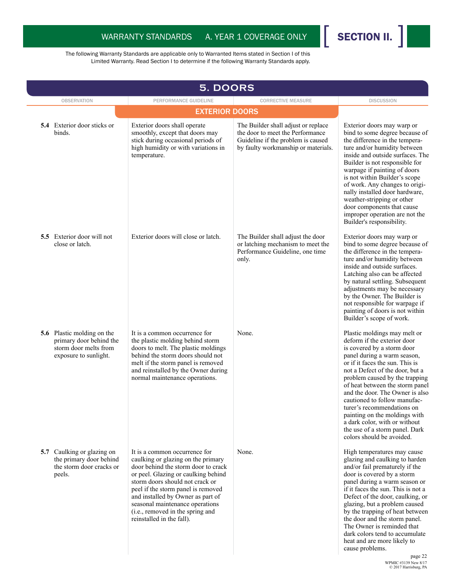

| <b>5. DOORS</b>                                                                                                |                                                                                                                                                                                                                                                                                                                                                                     |                                                                                                                                                      |                                                                                                                                                                                                                                                                                                                                                                                                                                                                                                       |
|----------------------------------------------------------------------------------------------------------------|---------------------------------------------------------------------------------------------------------------------------------------------------------------------------------------------------------------------------------------------------------------------------------------------------------------------------------------------------------------------|------------------------------------------------------------------------------------------------------------------------------------------------------|-------------------------------------------------------------------------------------------------------------------------------------------------------------------------------------------------------------------------------------------------------------------------------------------------------------------------------------------------------------------------------------------------------------------------------------------------------------------------------------------------------|
| <b>OBSERVATION</b>                                                                                             | PERFORMANCE GUIDELINE                                                                                                                                                                                                                                                                                                                                               | <b>CORRECTIVE MEASURE</b>                                                                                                                            | <b>DISCUSSION</b>                                                                                                                                                                                                                                                                                                                                                                                                                                                                                     |
|                                                                                                                | <b>EXTERIOR DOORS</b>                                                                                                                                                                                                                                                                                                                                               |                                                                                                                                                      |                                                                                                                                                                                                                                                                                                                                                                                                                                                                                                       |
| <b>5.4</b> Exterior door sticks or<br>binds.                                                                   | Exterior doors shall operate<br>smoothly, except that doors may<br>stick during occasional periods of<br>high humidity or with variations in<br>temperature.                                                                                                                                                                                                        | The Builder shall adjust or replace<br>the door to meet the Performance<br>Guideline if the problem is caused<br>by faulty workmanship or materials. | Exterior doors may warp or<br>bind to some degree because of<br>the difference in the tempera-<br>ture and/or humidity between<br>inside and outside surfaces. The<br>Builder is not responsible for<br>warpage if painting of doors<br>is not within Builder's scope<br>of work. Any changes to origi-<br>nally installed door hardware,<br>weather-stripping or other<br>door components that cause<br>improper operation are not the<br>Builder's responsibility.                                  |
| <b>5.5</b> Exterior door will not<br>close or latch.                                                           | Exterior doors will close or latch.                                                                                                                                                                                                                                                                                                                                 | The Builder shall adjust the door<br>or latching mechanism to meet the<br>Performance Guideline, one time<br>only.                                   | Exterior doors may warp or<br>bind to some degree because of<br>the difference in the tempera-<br>ture and/or humidity between<br>inside and outside surfaces.<br>Latching also can be affected<br>by natural settling. Subsequent<br>adjustments may be necessary<br>by the Owner. The Builder is<br>not responsible for warpage if<br>painting of doors is not within<br>Builder's scope of work.                                                                                                   |
| <b>5.6</b> Plastic molding on the<br>primary door behind the<br>storm door melts from<br>exposure to sunlight. | It is a common occurrence for<br>the plastic molding behind storm<br>doors to melt. The plastic moldings<br>behind the storm doors should not<br>melt if the storm panel is removed<br>and reinstalled by the Owner during<br>normal maintenance operations.                                                                                                        | None.                                                                                                                                                | Plastic moldings may melt or<br>deform if the exterior door<br>is covered by a storm door<br>panel during a warm season,<br>or if it faces the sun. This is<br>not a Defect of the door, but a<br>problem caused by the trapping<br>of heat between the storm panel<br>and the door. The Owner is also<br>cautioned to follow manufac-<br>turer's recommendations on<br>painting on the moldings with<br>a dark color, with or without<br>the use of a storm panel. Dark<br>colors should be avoided. |
| 5.7 Caulking or glazing on<br>the primary door behind<br>the storm door cracks or<br>peels.                    | It is a common occurrence for<br>caulking or glazing on the primary<br>door behind the storm door to crack<br>or peel. Glazing or caulking behind<br>storm doors should not crack or<br>peel if the storm panel is removed<br>and installed by Owner as part of<br>seasonal maintenance operations<br>(i.e., removed in the spring and<br>reinstalled in the fall). | None.                                                                                                                                                | High temperatures may cause<br>glazing and caulking to harden<br>and/or fail prematurely if the<br>door is covered by a storm<br>panel during a warm season or<br>if it faces the sun. This is not a<br>Defect of the door, caulking, or<br>glazing, but a problem caused<br>by the trapping of heat between<br>the door and the storm panel.<br>The Owner is reminded that<br>dark colors tend to accumulate<br>heat and are more likely to<br>cause problems.<br>page 22                            |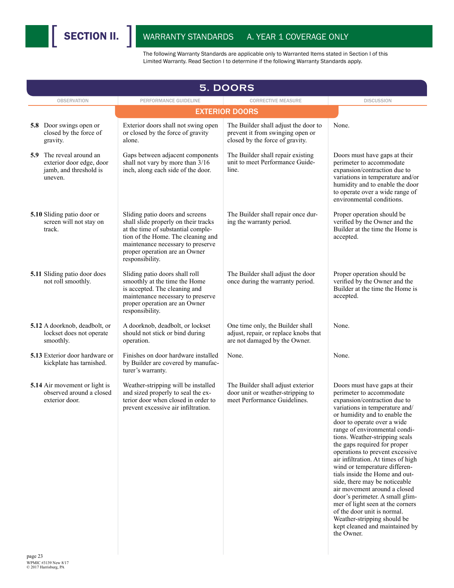

|     | <b>5. DOORS</b>                                                                       |                                                                                                                                                                                                                                              |                                                                                                             |                                                                                                                                                                                                                                                                                                                                                                                                                                                                                                                                                                                                                                                                                                  |  |  |
|-----|---------------------------------------------------------------------------------------|----------------------------------------------------------------------------------------------------------------------------------------------------------------------------------------------------------------------------------------------|-------------------------------------------------------------------------------------------------------------|--------------------------------------------------------------------------------------------------------------------------------------------------------------------------------------------------------------------------------------------------------------------------------------------------------------------------------------------------------------------------------------------------------------------------------------------------------------------------------------------------------------------------------------------------------------------------------------------------------------------------------------------------------------------------------------------------|--|--|
|     | <b>OBSERVATION</b>                                                                    | PERFORMANCE GUIDELINE                                                                                                                                                                                                                        | <b>CORRECTIVE MEASURE</b>                                                                                   | <b>DISCUSSION</b>                                                                                                                                                                                                                                                                                                                                                                                                                                                                                                                                                                                                                                                                                |  |  |
|     |                                                                                       |                                                                                                                                                                                                                                              | <b>EXTERIOR DOORS</b>                                                                                       |                                                                                                                                                                                                                                                                                                                                                                                                                                                                                                                                                                                                                                                                                                  |  |  |
|     | 5.8 Door swings open or<br>closed by the force of<br>gravity.                         | Exterior doors shall not swing open<br>or closed by the force of gravity<br>alone.                                                                                                                                                           | The Builder shall adjust the door to<br>prevent it from swinging open or<br>closed by the force of gravity. | None.                                                                                                                                                                                                                                                                                                                                                                                                                                                                                                                                                                                                                                                                                            |  |  |
| 5.9 | The reveal around an<br>exterior door edge, door<br>jamb, and threshold is<br>uneven. | Gaps between adjacent components<br>shall not vary by more than 3/16<br>inch, along each side of the door.                                                                                                                                   | The Builder shall repair existing<br>unit to meet Performance Guide-<br>line.                               | Doors must have gaps at their<br>perimeter to accommodate<br>expansion/contraction due to<br>variations in temperature and/or<br>humidity and to enable the door<br>to operate over a wide range of<br>environmental conditions.                                                                                                                                                                                                                                                                                                                                                                                                                                                                 |  |  |
|     | 5.10 Sliding patio door or<br>screen will not stay on<br>track.                       | Sliding patio doors and screens<br>shall slide properly on their tracks<br>at the time of substantial comple-<br>tion of the Home. The cleaning and<br>maintenance necessary to preserve<br>proper operation are an Owner<br>responsibility. | The Builder shall repair once dur-<br>ing the warranty period.                                              | Proper operation should be<br>verified by the Owner and the<br>Builder at the time the Home is<br>accepted.                                                                                                                                                                                                                                                                                                                                                                                                                                                                                                                                                                                      |  |  |
|     | 5.11 Sliding patio door does<br>not roll smoothly.                                    | Sliding patio doors shall roll<br>smoothly at the time the Home<br>is accepted. The cleaning and<br>maintenance necessary to preserve<br>proper operation are an Owner<br>responsibility.                                                    | The Builder shall adjust the door<br>once during the warranty period.                                       | Proper operation should be<br>verified by the Owner and the<br>Builder at the time the Home is<br>accepted.                                                                                                                                                                                                                                                                                                                                                                                                                                                                                                                                                                                      |  |  |
|     | 5.12 A doorknob, deadbolt, or<br>lockset does not operate<br>smoothly.                | A doorknob, deadbolt, or lockset<br>should not stick or bind during<br>operation.                                                                                                                                                            | One time only, the Builder shall<br>adjust, repair, or replace knobs that<br>are not damaged by the Owner.  | None.                                                                                                                                                                                                                                                                                                                                                                                                                                                                                                                                                                                                                                                                                            |  |  |
|     | <b>5.13</b> Exterior door hardware or<br>kickplate has tarnished.                     | Finishes on door hardware installed<br>by Builder are covered by manufac-<br>turer's warranty.                                                                                                                                               | None.                                                                                                       | None.                                                                                                                                                                                                                                                                                                                                                                                                                                                                                                                                                                                                                                                                                            |  |  |
|     | 5.14 Air movement or light is<br>observed around a closed<br>exterior door.           | Weather-stripping will be installed<br>and sized properly to seal the ex-<br>terior door when closed in order to<br>prevent excessive air infiltration.                                                                                      | The Builder shall adjust exterior<br>door unit or weather-stripping to<br>meet Performance Guidelines.      | Doors must have gaps at their<br>perimeter to accommodate<br>expansion/contraction due to<br>variations in temperature and/<br>or humidity and to enable the<br>door to operate over a wide<br>range of environmental condi-<br>tions. Weather-stripping seals<br>the gaps required for proper<br>operations to prevent excessive<br>air infiltration. At times of high<br>wind or temperature differen-<br>tials inside the Home and out-<br>side, there may be noticeable<br>air movement around a closed<br>door's perimeter. A small glim-<br>mer of light seen at the corners<br>of the door unit is normal.<br>Weather-stripping should be<br>kept cleaned and maintained by<br>the Owner. |  |  |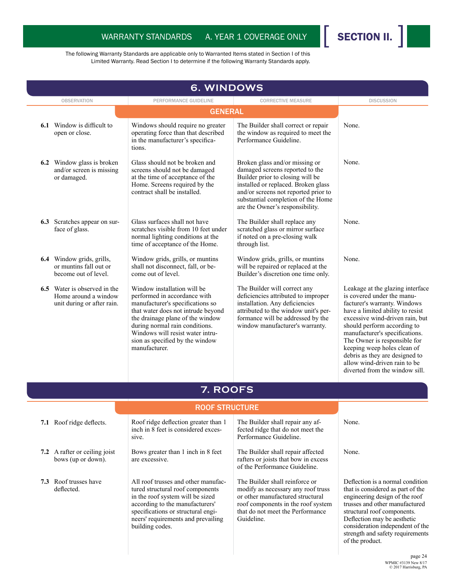

|     | 6. WINDOWS                                                                                |                                                                                                                                                                                                                                                                                                     |                                                                                                                                                                                                                                                               |                                                                                                                                                                                                                                                                                                                                                                                                           |  |
|-----|-------------------------------------------------------------------------------------------|-----------------------------------------------------------------------------------------------------------------------------------------------------------------------------------------------------------------------------------------------------------------------------------------------------|---------------------------------------------------------------------------------------------------------------------------------------------------------------------------------------------------------------------------------------------------------------|-----------------------------------------------------------------------------------------------------------------------------------------------------------------------------------------------------------------------------------------------------------------------------------------------------------------------------------------------------------------------------------------------------------|--|
|     | <b>OBSERVATION</b>                                                                        | PERFORMANCE GUIDELINE                                                                                                                                                                                                                                                                               | <b>CORRECTIVE MEASURE</b>                                                                                                                                                                                                                                     | <b>DISCUSSION</b>                                                                                                                                                                                                                                                                                                                                                                                         |  |
|     |                                                                                           | <b>GENERAL</b>                                                                                                                                                                                                                                                                                      |                                                                                                                                                                                                                                                               |                                                                                                                                                                                                                                                                                                                                                                                                           |  |
| 6.1 | Window is difficult to<br>open or close.                                                  | Windows should require no greater<br>operating force than that described<br>in the manufacturer's specifica-<br>tions.                                                                                                                                                                              | The Builder shall correct or repair<br>the window as required to meet the<br>Performance Guideline.                                                                                                                                                           | None.                                                                                                                                                                                                                                                                                                                                                                                                     |  |
|     | <b>6.2</b> Window glass is broken<br>and/or screen is missing<br>or damaged.              | Glass should not be broken and<br>screens should not be damaged<br>at the time of acceptance of the<br>Home. Screens required by the<br>contract shall be installed.                                                                                                                                | Broken glass and/or missing or<br>damaged screens reported to the<br>Builder prior to closing will be<br>installed or replaced. Broken glass<br>and/or screens not reported prior to<br>substantial completion of the Home<br>are the Owner's responsibility. | None.                                                                                                                                                                                                                                                                                                                                                                                                     |  |
|     | 6.3 Scratches appear on sur-<br>face of glass.                                            | Glass surfaces shall not have<br>scratches visible from 10 feet under<br>normal lighting conditions at the<br>time of acceptance of the Home.                                                                                                                                                       | The Builder shall replace any<br>scratched glass or mirror surface<br>if noted on a pre-closing walk<br>through list.                                                                                                                                         | None.                                                                                                                                                                                                                                                                                                                                                                                                     |  |
|     | 6.4 Window grids, grills,<br>or muntins fall out or<br>become out of level.               | Window grids, grills, or muntins<br>shall not disconnect, fall, or be-<br>come out of level.                                                                                                                                                                                                        | Window grids, grills, or muntins<br>will be repaired or replaced at the<br>Builder's discretion one time only.                                                                                                                                                | None.                                                                                                                                                                                                                                                                                                                                                                                                     |  |
|     | <b>6.5</b> Water is observed in the<br>Home around a window<br>unit during or after rain. | Window installation will be<br>performed in accordance with<br>manufacturer's specifications so<br>that water does not intrude beyond<br>the drainage plane of the window<br>during normal rain conditions.<br>Windows will resist water intru-<br>sion as specified by the window<br>manufacturer. | The Builder will correct any<br>deficiencies attributed to improper<br>installation. Any deficiencies<br>attributed to the window unit's per-<br>formance will be addressed by the<br>window manufacturer's warranty.                                         | Leakage at the glazing interface<br>is covered under the manu-<br>facturer's warranty. Windows<br>have a limited ability to resist<br>excessive wind-driven rain, but<br>should perform according to<br>manufacturer's specifications.<br>The Owner is responsible for<br>keeping weep holes clean of<br>debris as they are designed to<br>allow wind-driven rain to be<br>diverted from the window sill. |  |
|     |                                                                                           | 7. ROOFS                                                                                                                                                                                                                                                                                            |                                                                                                                                                                                                                                                               |                                                                                                                                                                                                                                                                                                                                                                                                           |  |
|     |                                                                                           | <b>ROOF STRUCTURE</b>                                                                                                                                                                                                                                                                               |                                                                                                                                                                                                                                                               |                                                                                                                                                                                                                                                                                                                                                                                                           |  |
|     | 7.1 Roof ridge deflects.                                                                  | Roof ridge deflection greater than 1<br>inch in 8 feet is considered exces-<br>sive.                                                                                                                                                                                                                | The Builder shall repair any af-<br>fected ridge that do not meet the<br>Performance Guideline.                                                                                                                                                               | None.                                                                                                                                                                                                                                                                                                                                                                                                     |  |
|     | 7.2 A rafter or ceiling joist<br>bows (up or down).                                       | Bows greater than 1 inch in 8 feet<br>are excessive.                                                                                                                                                                                                                                                | The Builder shall repair affected<br>rafters or joists that bow in excess<br>of the Performance Guideline.                                                                                                                                                    | None.                                                                                                                                                                                                                                                                                                                                                                                                     |  |
|     | 7.3 Roof trusses have<br>deflected.                                                       | All roof trusses and other manufac-<br>tured structural roof components<br>in the roof system will be sized<br>according to the manufacturers'<br>specifications or structural engi-<br>neers' requirements and prevailing<br>building codes.                                                       | The Builder shall reinforce or<br>modify as necessary any roof truss<br>or other manufactured structural<br>roof components in the roof system<br>that do not meet the Performance<br>Guideline.                                                              | Deflection is a normal condition<br>that is considered as part of the<br>engineering design of the roof<br>trusses and other manufactured<br>structural roof components.<br>Deflection may be aesthetic<br>consideration independent of the<br>strength and safety requirements<br>of the product.                                                                                                        |  |
|     |                                                                                           |                                                                                                                                                                                                                                                                                                     |                                                                                                                                                                                                                                                               | page 24                                                                                                                                                                                                                                                                                                                                                                                                   |  |

WPMIC #3139 New 8/17 © 2017 Harrisburg, PA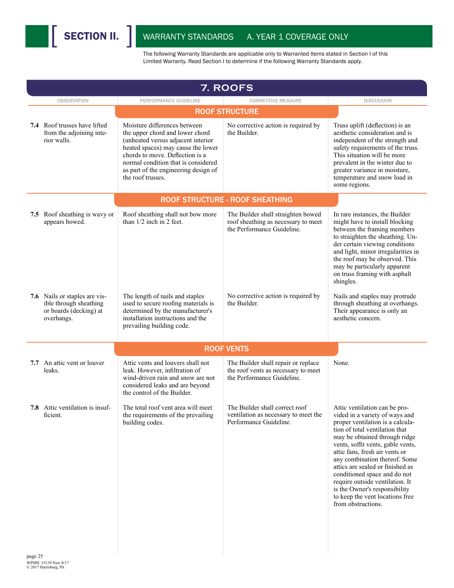| 7. ROOFS                                                                                        |                                                                                                                                                                                                                                                                                    |                                                                                                          |                                                                                                                                                                                                                                                                                                                                                                                                                                                                                 |  |
|-------------------------------------------------------------------------------------------------|------------------------------------------------------------------------------------------------------------------------------------------------------------------------------------------------------------------------------------------------------------------------------------|----------------------------------------------------------------------------------------------------------|---------------------------------------------------------------------------------------------------------------------------------------------------------------------------------------------------------------------------------------------------------------------------------------------------------------------------------------------------------------------------------------------------------------------------------------------------------------------------------|--|
| <b>OBSERVATION</b>                                                                              | PERFORMANCE GUIDELINE                                                                                                                                                                                                                                                              | <b>CORRECTIVE MEASURE</b>                                                                                | <b>DISCUSSION</b>                                                                                                                                                                                                                                                                                                                                                                                                                                                               |  |
|                                                                                                 |                                                                                                                                                                                                                                                                                    | <b>ROOF STRUCTURE</b>                                                                                    |                                                                                                                                                                                                                                                                                                                                                                                                                                                                                 |  |
| <b>7.4</b> Roof trusses have lifted<br>from the adjoining inte-<br>rior walls.                  | Moisture differences between<br>the upper chord and lower chord<br>(unheated versus adjacent interior<br>heated spaces) may cause the lower<br>chords to move. Deflection is a<br>normal condition that is considered<br>as part of the engineering design of<br>the roof trusses. | No corrective action is required by<br>the Builder.                                                      | Truss uplift (deflection) is an<br>aesthetic consideration and is<br>independent of the strength and<br>safety requirements of the truss.<br>This situation will be more<br>prevalent in the winter due to<br>greater variance in moisture,<br>temperature and snow load in<br>some regions.                                                                                                                                                                                    |  |
|                                                                                                 |                                                                                                                                                                                                                                                                                    | <b>ROOF STRUCTURE - ROOF SHEATHING</b>                                                                   |                                                                                                                                                                                                                                                                                                                                                                                                                                                                                 |  |
| 7.5 Roof sheathing is wavy or<br>appears bowed.                                                 | Roof sheathing shall not bow more<br>than $1/2$ inch in 2 feet.                                                                                                                                                                                                                    | The Builder shall straighten bowed<br>roof sheathing as necessary to meet<br>the Performance Guideline.  | In rare instances, the Builder<br>might have to install blocking<br>between the framing members<br>to straighten the sheathing. Un-<br>der certain viewing conditions<br>and light, minor irregularities in<br>the roof may be observed. This<br>may be particularly apparent<br>on truss framing with asphalt<br>shingles.                                                                                                                                                     |  |
| 7.6 Nails or staples are vis-<br>ible through sheathing<br>or boards (decking) at<br>overhangs. | The length of nails and staples<br>used to secure roofing materials is<br>determined by the manufacturer's<br>installation instructions and the<br>prevailing building code.                                                                                                       | No corrective action is required by<br>the Builder.                                                      | Nails and staples may protrude<br>through sheathing at overhangs.<br>Their appearance is only an<br>aesthetic concern.                                                                                                                                                                                                                                                                                                                                                          |  |
|                                                                                                 |                                                                                                                                                                                                                                                                                    | <b>ROOF VENTS</b>                                                                                        |                                                                                                                                                                                                                                                                                                                                                                                                                                                                                 |  |
| 7.7 An attic vent or louver<br>leaks.                                                           | Attic vents and louvers shall not<br>leak. However, infiltration of<br>wind-driven rain and snow are not<br>considered leaks and are beyond<br>the control of the Builder.                                                                                                         | The Builder shall repair or replace<br>the roof vents as necessary to meet<br>the Performance Guideline. | None.                                                                                                                                                                                                                                                                                                                                                                                                                                                                           |  |
| 7.8 Attic ventilation is insuf-<br>ficient.                                                     | The total roof vent area will meet<br>the requirements of the prevailing<br>building codes.                                                                                                                                                                                        | The Builder shall correct roof<br>ventilation as necessary to meet the<br>Performance Guideline.         | Attic ventilation can be pro-<br>vided in a variety of ways and<br>proper ventilation is a calcula-<br>tion of total ventilation that<br>may be obtained through ridge<br>vents, soffit vents, gable vents,<br>attic fans, fresh air vents or<br>any combination thereof. Some<br>attics are sealed or finished as<br>conditioned space and do not<br>require outside ventilation. It<br>is the Owner's responsibility<br>to keep the vent locations free<br>from obstructions. |  |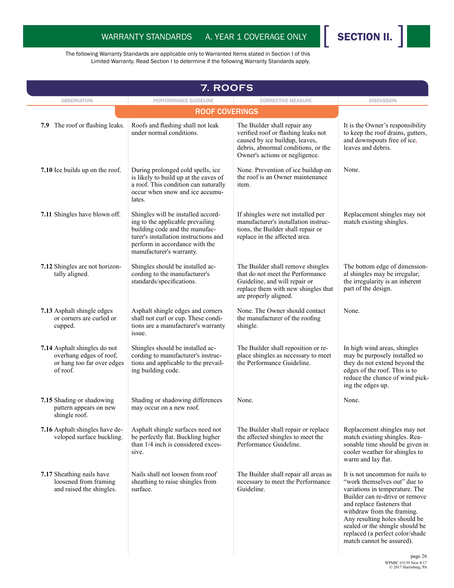

| 7. ROOFS                                                                                          |                                                                                                                                                                                                                 |                                                                                                                                                                                |                                                                                                                                                                                                                                                                                                                                     |  |
|---------------------------------------------------------------------------------------------------|-----------------------------------------------------------------------------------------------------------------------------------------------------------------------------------------------------------------|--------------------------------------------------------------------------------------------------------------------------------------------------------------------------------|-------------------------------------------------------------------------------------------------------------------------------------------------------------------------------------------------------------------------------------------------------------------------------------------------------------------------------------|--|
| <b>OBSERVATION</b>                                                                                | PERFORMANCE GUIDELINE                                                                                                                                                                                           | <b>CORRECTIVE MEASURE</b>                                                                                                                                                      | <b>DISCUSSION</b>                                                                                                                                                                                                                                                                                                                   |  |
|                                                                                                   | <b>ROOF COVERINGS</b>                                                                                                                                                                                           |                                                                                                                                                                                |                                                                                                                                                                                                                                                                                                                                     |  |
| 7.9 The roof or flashing leaks.                                                                   | Roofs and flashing shall not leak<br>under normal conditions.                                                                                                                                                   | The Builder shall repair any<br>verified roof or flashing leaks not<br>caused by ice buildup, leaves,<br>debris, abnormal conditions, or the<br>Owner's actions or negligence. | It is the Owner's responsibility<br>to keep the roof drains, gutters,<br>and downspouts free of ice,<br>leaves and debris.                                                                                                                                                                                                          |  |
| 7.10 Ice builds up on the roof.                                                                   | During prolonged cold spells, ice<br>is likely to build up at the eaves of<br>a roof. This condition can naturally<br>occur when snow and ice accumu-<br>lates.                                                 | None. Prevention of ice buildup on<br>the roof is an Owner maintenance<br>item.                                                                                                | None.                                                                                                                                                                                                                                                                                                                               |  |
| 7.11 Shingles have blown off.                                                                     | Shingles will be installed accord-<br>ing to the applicable prevailing<br>building code and the manufac-<br>turer's installation instructions and<br>perform in accordance with the<br>manufacturer's warranty. | If shingles were not installed per<br>manufacturer's installation instruc-<br>tions, the Builder shall repair or<br>replace in the affected area.                              | Replacement shingles may not<br>match existing shingles.                                                                                                                                                                                                                                                                            |  |
| 7.12 Shingles are not horizon-<br>tally aligned.                                                  | Shingles should be installed ac-<br>cording to the manufacturer's<br>standards/specifications.                                                                                                                  | The Builder shall remove shingles<br>that do not meet the Performance<br>Guideline, and will repair or<br>replace them with new shingles that<br>are properly aligned.         | The bottom edge of dimension-<br>al shingles may be irregular;<br>the irregularity is an inherent<br>part of the design.                                                                                                                                                                                                            |  |
| 7.13 Asphalt shingle edges<br>or corners are curled or<br>cupped.                                 | Asphalt shingle edges and corners<br>shall not curl or cup. These condi-<br>tions are a manufacturer's warranty<br>issue.                                                                                       | None. The Owner should contact<br>the manufacturer of the roofing<br>shingle.                                                                                                  | None.                                                                                                                                                                                                                                                                                                                               |  |
| 7.14 Asphalt shingles do not<br>overhang edges of roof,<br>or hang too far over edges<br>of roof. | Shingles should be installed ac-<br>cording to manufacturer's instruc-<br>tions and applicable to the prevail-<br>ing building code.                                                                            | The Builder shall reposition or re-<br>place shingles as necessary to meet<br>the Performance Guideline.                                                                       | In high wind areas, shingles<br>may be purposely installed so<br>they do not extend beyond the<br>edges of the roof. This is to<br>reduce the chance of wind pick-<br>ing the edges up.                                                                                                                                             |  |
| 7.15 Shading or shadowing<br>pattern appears on new<br>shingle roof.                              | Shading or shadowing differences<br>may occur on a new roof.                                                                                                                                                    | None.                                                                                                                                                                          | None.                                                                                                                                                                                                                                                                                                                               |  |
| 7.16 Asphalt shingles have de-<br>veloped surface buckling.                                       | Asphalt shingle surfaces need not<br>be perfectly flat. Buckling higher<br>than 1/4 inch is considered exces-<br>sive.                                                                                          | The Builder shall repair or replace<br>the affected shingles to meet the<br>Performance Guideline.                                                                             | Replacement shingles may not<br>match existing shingles. Rea-<br>sonable time should be given in<br>cooler weather for shingles to<br>warm and lay flat.                                                                                                                                                                            |  |
| 7.17 Sheathing nails have<br>loosened from framing<br>and raised the shingles.                    | Nails shall not loosen from roof<br>sheathing to raise shingles from<br>surface.                                                                                                                                | The Builder shall repair all areas as<br>necessary to meet the Performance<br>Guideline.                                                                                       | It is not uncommon for nails to<br>"work themselves out" due to<br>variations in temperature. The<br>Builder can re-drive or remove<br>and replace fasteners that<br>withdraw from the framing.<br>Any resulting holes should be<br>sealed or the shingle should be<br>replaced (a perfect color/shade<br>match cannot be assured). |  |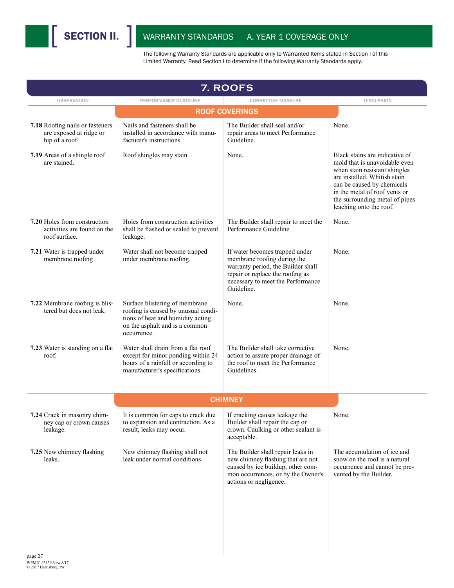

| 7. ROOFS                                                                     |                                                                                                                                                             |                                                                                                                                                                                           |                                                                                                                                                                                                                                                              |  |  |
|------------------------------------------------------------------------------|-------------------------------------------------------------------------------------------------------------------------------------------------------------|-------------------------------------------------------------------------------------------------------------------------------------------------------------------------------------------|--------------------------------------------------------------------------------------------------------------------------------------------------------------------------------------------------------------------------------------------------------------|--|--|
| <b>OBSERVATION</b>                                                           | PERFORMANCE GUIDELINE                                                                                                                                       | <b>CORRECTIVE MEASURE</b>                                                                                                                                                                 | <b>DISCUSSION</b>                                                                                                                                                                                                                                            |  |  |
|                                                                              |                                                                                                                                                             | <b>ROOF COVERINGS</b>                                                                                                                                                                     |                                                                                                                                                                                                                                                              |  |  |
| 7.18 Roofing nails or fasteners<br>are exposed at ridge or<br>hip of a roof. | Nails and fasteners shall be<br>installed in accordance with manu-<br>facturer's instructions.                                                              | The Builder shall seal and/or<br>repair areas to meet Performance<br>Guideline.                                                                                                           | None.                                                                                                                                                                                                                                                        |  |  |
| 7.19 Areas of a shingle roof<br>are stained.                                 | Roof shingles may stain.                                                                                                                                    | None.                                                                                                                                                                                     | Black stains are indicative of<br>mold that is unavoidable even<br>when stain resistant shingles<br>are installed. Whitish stain<br>can be caused by chemicals<br>in the metal of roof vents or<br>the surrounding metal of pipes<br>leaching onto the roof. |  |  |
| 7.20 Holes from construction<br>activities are found on the<br>roof surface. | Holes from construction activities<br>shall be flashed or sealed to prevent<br>leakage.                                                                     | The Builder shall repair to meet the<br>Performance Guideline.                                                                                                                            | None.                                                                                                                                                                                                                                                        |  |  |
| 7.21 Water is trapped under<br>membrane roofing                              | Water shall not become trapped<br>under membrane roofing.                                                                                                   | If water becomes trapped under<br>membrane roofing during the<br>warranty period, the Builder shall<br>repair or replace the roofing as<br>necessary to meet the Performance<br>Guideline | None.                                                                                                                                                                                                                                                        |  |  |
| 7.22 Membrane roofing is blis-<br>tered but does not leak.                   | Surface blistering of membrane<br>roofing is caused by unusual condi-<br>tions of heat and humidity acting<br>on the asphalt and is a common<br>occurrence. | None.                                                                                                                                                                                     | None.                                                                                                                                                                                                                                                        |  |  |
| 7.23 Water is standing on a flat<br>roof.                                    | Water shall drain from a flat roof<br>except for minor ponding within 24<br>hours of a rainfall or according to<br>manufacturer's specifications.           | The Builder shall take corrective<br>action to assure proper drainage of<br>the roof to meet the Performance<br>Guidelines.                                                               | None.                                                                                                                                                                                                                                                        |  |  |
|                                                                              |                                                                                                                                                             | <b>CHIMNEY</b>                                                                                                                                                                            |                                                                                                                                                                                                                                                              |  |  |
|                                                                              |                                                                                                                                                             |                                                                                                                                                                                           |                                                                                                                                                                                                                                                              |  |  |
| 7.24 Crack in masonry chim-<br>ney cap or crown causes<br>leakage.           | It is common for caps to crack due<br>to expansion and contraction. As a<br>result, leaks may occur.                                                        | If cracking causes leakage the<br>Builder shall repair the cap or<br>crown. Caulking or other sealant is<br>acceptable.                                                                   | None.                                                                                                                                                                                                                                                        |  |  |
| 7.25 New chimney flashing<br>leaks.                                          | New chimney flashing shall not<br>leak under normal conditions.                                                                                             | The Builder shall repair leaks in<br>new chimney flashing that are not<br>caused by ice buildup, other com-<br>mon occurrences, or by the Owner's<br>actions or negligence.               | The accumulation of ice and<br>snow on the roof is a natural<br>occurrence and cannot be pre-<br>vented by the Builder.                                                                                                                                      |  |  |
|                                                                              |                                                                                                                                                             |                                                                                                                                                                                           |                                                                                                                                                                                                                                                              |  |  |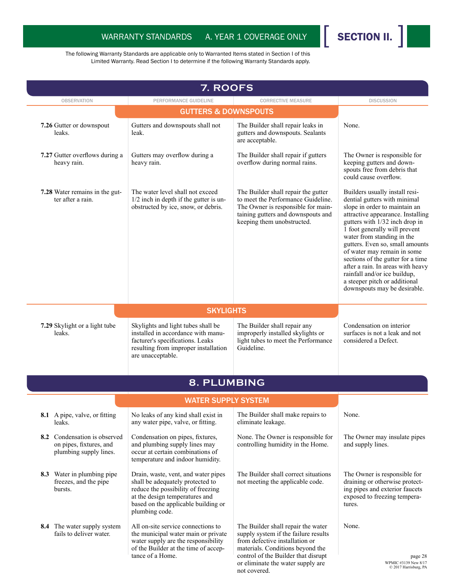

| 7. ROOFS                                                                          |                                                                                                                                                                                                          |                                                                                                                                                                                                                                              |                                                                                                                                                                                                                                                                                                                                                                                                                                                                                    |  |  |
|-----------------------------------------------------------------------------------|----------------------------------------------------------------------------------------------------------------------------------------------------------------------------------------------------------|----------------------------------------------------------------------------------------------------------------------------------------------------------------------------------------------------------------------------------------------|------------------------------------------------------------------------------------------------------------------------------------------------------------------------------------------------------------------------------------------------------------------------------------------------------------------------------------------------------------------------------------------------------------------------------------------------------------------------------------|--|--|
| <b>OBSERVATION</b>                                                                | PERFORMANCE GUIDELINE                                                                                                                                                                                    | <b>CORRECTIVE MEASURE</b>                                                                                                                                                                                                                    | <b>DISCUSSION</b>                                                                                                                                                                                                                                                                                                                                                                                                                                                                  |  |  |
|                                                                                   | <b>GUTTERS &amp; DOWNSPOUTS</b>                                                                                                                                                                          |                                                                                                                                                                                                                                              |                                                                                                                                                                                                                                                                                                                                                                                                                                                                                    |  |  |
| 7.26 Gutter or downspout<br>leaks.                                                | Gutters and downspouts shall not<br>leak.                                                                                                                                                                | The Builder shall repair leaks in<br>gutters and downspouts. Sealants<br>are acceptable.                                                                                                                                                     | None.                                                                                                                                                                                                                                                                                                                                                                                                                                                                              |  |  |
| 7.27 Gutter overflows during a<br>heavy rain.                                     | Gutters may overflow during a<br>heavy rain.                                                                                                                                                             | The Builder shall repair if gutters<br>overflow during normal rains.                                                                                                                                                                         | The Owner is responsible for<br>keeping gutters and down-<br>spouts free from debris that<br>could cause overflow.                                                                                                                                                                                                                                                                                                                                                                 |  |  |
| 7.28 Water remains in the gut-<br>ter after a rain.                               | The water level shall not exceed<br>1/2 inch in depth if the gutter is un-<br>obstructed by ice, snow, or debris.                                                                                        | The Builder shall repair the gutter<br>to meet the Performance Guideline.<br>The Owner is responsible for main-<br>taining gutters and downspouts and<br>keeping them unobstructed.                                                          | Builders usually install resi-<br>dential gutters with minimal<br>slope in order to maintain an<br>attractive appearance. Installing<br>gutters with 1/32 inch drop in<br>1 foot generally will prevent<br>water from standing in the<br>gutters. Even so, small amounts<br>of water may remain in some<br>sections of the gutter for a time<br>after a rain. In areas with heavy<br>rainfall and/or ice buildup,<br>a steeper pitch or additional<br>downspouts may be desirable. |  |  |
|                                                                                   | <b>SKYLIGHTS</b>                                                                                                                                                                                         |                                                                                                                                                                                                                                              |                                                                                                                                                                                                                                                                                                                                                                                                                                                                                    |  |  |
| 7.29 Skylight or a light tube<br>leaks.                                           | Skylights and light tubes shall be<br>installed in accordance with manu-<br>facturer's specifications. Leaks<br>resulting from improper installation<br>are unacceptable.                                | The Builder shall repair any<br>improperly installed skylights or<br>light tubes to meet the Performance<br>Guideline.                                                                                                                       | Condensation on interior<br>surfaces is not a leak and not<br>considered a Defect.                                                                                                                                                                                                                                                                                                                                                                                                 |  |  |
|                                                                                   | 8. PLUMBING                                                                                                                                                                                              |                                                                                                                                                                                                                                              |                                                                                                                                                                                                                                                                                                                                                                                                                                                                                    |  |  |
|                                                                                   | <b>WATER SUPPLY SYSTEM</b>                                                                                                                                                                               |                                                                                                                                                                                                                                              |                                                                                                                                                                                                                                                                                                                                                                                                                                                                                    |  |  |
| 8.1 A pipe, valve, or fitting<br>leaks.                                           | No leaks of any kind shall exist in<br>any water pipe, valve, or fitting.                                                                                                                                | The Builder shall make repairs to<br>eliminate leakage.                                                                                                                                                                                      | None.                                                                                                                                                                                                                                                                                                                                                                                                                                                                              |  |  |
| 8.2 Condensation is observed<br>on pipes, fixtures, and<br>plumbing supply lines. | Condensation on pipes, fixtures,<br>and plumbing supply lines may<br>occur at certain combinations of<br>temperature and indoor humidity.                                                                | None. The Owner is responsible for<br>controlling humidity in the Home.                                                                                                                                                                      | The Owner may insulate pipes<br>and supply lines.                                                                                                                                                                                                                                                                                                                                                                                                                                  |  |  |
| 8.3 Water in plumbing pipe<br>freezes, and the pipe<br>bursts.                    | Drain, waste, vent, and water pipes<br>shall be adequately protected to<br>reduce the possibility of freezing<br>at the design temperatures and<br>based on the applicable building or<br>plumbing code. | The Builder shall correct situations<br>not meeting the applicable code.                                                                                                                                                                     | The Owner is responsible for<br>draining or otherwise protect-<br>ing pipes and exterior faucets<br>exposed to freezing tempera-<br>tures.                                                                                                                                                                                                                                                                                                                                         |  |  |
| <b>8.4</b> The water supply system<br>fails to deliver water.                     | All on-site service connections to<br>the municipal water main or private<br>water supply are the responsibility<br>of the Builder at the time of accep-<br>tance of a Home.                             | The Builder shall repair the water<br>supply system if the failure results<br>from defective installation or<br>materials. Conditions beyond the<br>control of the Builder that disrupt<br>or eliminate the water supply are<br>not covered. | None.<br>page 28<br>WPMIC #3139 New 8/17<br>© 2017 Harrisburg, PA                                                                                                                                                                                                                                                                                                                                                                                                                  |  |  |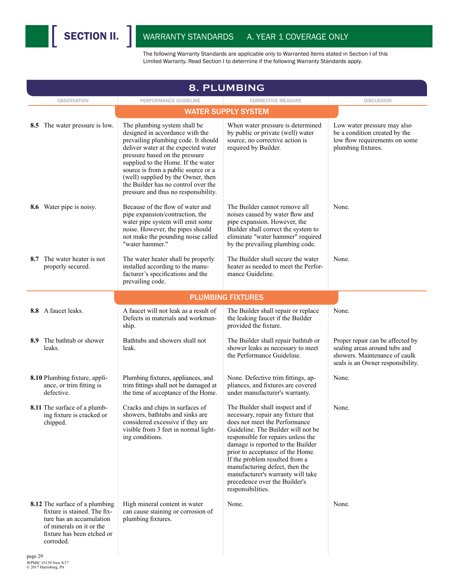| 8. PLUMBING |                                                                                                                                                                   |                                                                                                                                                                                                                                                                                                                                                                                   |                                                                                                                                                                                                                                                                                                                                                                                                                             |                                                                                                                                         |  |
|-------------|-------------------------------------------------------------------------------------------------------------------------------------------------------------------|-----------------------------------------------------------------------------------------------------------------------------------------------------------------------------------------------------------------------------------------------------------------------------------------------------------------------------------------------------------------------------------|-----------------------------------------------------------------------------------------------------------------------------------------------------------------------------------------------------------------------------------------------------------------------------------------------------------------------------------------------------------------------------------------------------------------------------|-----------------------------------------------------------------------------------------------------------------------------------------|--|
|             | <b>OBSERVATION</b>                                                                                                                                                | PERFORMANCE GUIDELINE                                                                                                                                                                                                                                                                                                                                                             | <b>CORRECTIVE MEASURE</b>                                                                                                                                                                                                                                                                                                                                                                                                   | <b>DISCUSSION</b>                                                                                                                       |  |
|             |                                                                                                                                                                   |                                                                                                                                                                                                                                                                                                                                                                                   | <b>WATER SUPPLY SYSTEM</b>                                                                                                                                                                                                                                                                                                                                                                                                  |                                                                                                                                         |  |
|             | 8.5 The water pressure is low.                                                                                                                                    | The plumbing system shall be<br>designed in accordance with the<br>prevailing plumbing code. It should<br>deliver water at the expected water<br>pressure based on the pressure<br>supplied to the Home. If the water<br>source is from a public source or a<br>(well) supplied by the Owner, then<br>the Builder has no control over the<br>pressure and thus no responsibility. | When water pressure is determined<br>by public or private (well) water<br>source, no corrective action is<br>required by Builder.                                                                                                                                                                                                                                                                                           | Low water pressure may also<br>be a condition created by the<br>low flow requirements on some<br>plumbing fixtures.                     |  |
|             | <b>8.6</b> Water pipe is noisy.                                                                                                                                   | Because of the flow of water and<br>pipe expansion/contraction, the<br>water pipe system will emit some<br>noise. However, the pipes should<br>not make the pounding noise called<br>"water hammer."                                                                                                                                                                              | The Builder cannot remove all<br>noises caused by water flow and<br>pipe expansion. However, the<br>Builder shall correct the system to<br>eliminate "water hammer" required<br>by the prevailing plumbing code.                                                                                                                                                                                                            | None.                                                                                                                                   |  |
|             | <b>8.7</b> The water heater is not<br>properly secured.                                                                                                           | The water heater shall be properly<br>installed according to the manu-<br>facturer's specifications and the<br>prevailing code.                                                                                                                                                                                                                                                   | The Builder shall secure the water<br>heater as needed to meet the Perfor-<br>mance Guideline.                                                                                                                                                                                                                                                                                                                              | None.                                                                                                                                   |  |
|             |                                                                                                                                                                   |                                                                                                                                                                                                                                                                                                                                                                                   | <b>PLUMBING FIXTURES</b>                                                                                                                                                                                                                                                                                                                                                                                                    |                                                                                                                                         |  |
|             | 8.8 A faucet leaks.                                                                                                                                               | A faucet will not leak as a result of<br>Defects in materials and workman-<br>ship.                                                                                                                                                                                                                                                                                               | The Builder shall repair or replace<br>the leaking faucet if the Builder<br>provided the fixture.                                                                                                                                                                                                                                                                                                                           | None.                                                                                                                                   |  |
| leaks.      | 8.9 The bathtub or shower                                                                                                                                         | Bathtubs and showers shall not<br>leak.                                                                                                                                                                                                                                                                                                                                           | The Builder shall repair bathtub or<br>shower leaks as necessary to meet<br>the Performance Guideline.                                                                                                                                                                                                                                                                                                                      | Proper repair can be affected by<br>sealing areas around tubs and<br>showers. Maintenance of caulk<br>seals is an Owner responsibility. |  |
|             | 8.10 Plumbing fixture, appli-<br>ance, or trim fitting is<br>defective.                                                                                           | Plumbing fixtures, appliances, and<br>trim fittings shall not be damaged at<br>the time of acceptance of the Home.                                                                                                                                                                                                                                                                | None. Defective trim fittings, ap-<br>pliances, and fixtures are covered<br>under manufacturer's warranty.                                                                                                                                                                                                                                                                                                                  | None.                                                                                                                                   |  |
|             | <b>8.11</b> The surface of a plumb-<br>ing fixture is cracked or<br>chipped.                                                                                      | Cracks and chips in surfaces of<br>showers, bathtubs and sinks are<br>considered excessive if they are<br>visible from 3 feet in normal light-<br>ing conditions.                                                                                                                                                                                                                 | The Builder shall inspect and if<br>necessary, repair any fixture that<br>does not meet the Performance<br>Guideline. The Builder will not be<br>responsible for repairs unless the<br>damage is reported to the Builder<br>prior to acceptance of the Home.<br>If the problem resulted from a<br>manufacturing defect, then the<br>manufacturer's warranty will take<br>precedence over the Builder's<br>responsibilities. | None.                                                                                                                                   |  |
|             | 8.12 The surface of a plumbing<br>fixture is stained. The fix-<br>ture has an accumulation<br>of minerals on it or the<br>fixture has been etched or<br>corroded. | High mineral content in water<br>can cause staining or corrosion of<br>plumbing fixtures.                                                                                                                                                                                                                                                                                         | None.                                                                                                                                                                                                                                                                                                                                                                                                                       | None.                                                                                                                                   |  |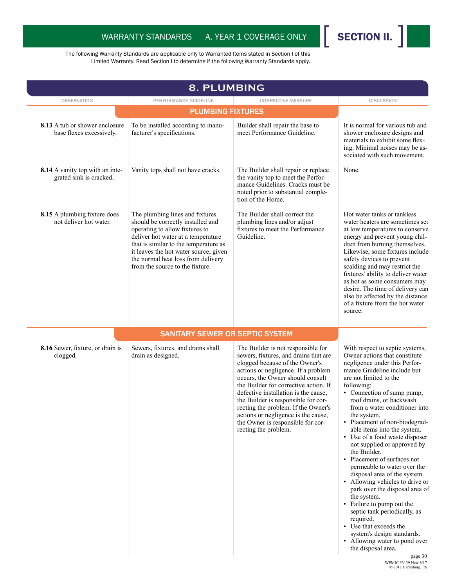

|                                                                   | 8. PLUMBING                                                                                                                                                                                                                                                                                             |                                                                                                                                                                                                                                                                                                                                                                                                                                                             |                                                                                                                                                                                                                                                                                                                                                                                                                                                                                                                                                                                                                                                                                                                                                                                                                                                   |
|-------------------------------------------------------------------|---------------------------------------------------------------------------------------------------------------------------------------------------------------------------------------------------------------------------------------------------------------------------------------------------------|-------------------------------------------------------------------------------------------------------------------------------------------------------------------------------------------------------------------------------------------------------------------------------------------------------------------------------------------------------------------------------------------------------------------------------------------------------------|---------------------------------------------------------------------------------------------------------------------------------------------------------------------------------------------------------------------------------------------------------------------------------------------------------------------------------------------------------------------------------------------------------------------------------------------------------------------------------------------------------------------------------------------------------------------------------------------------------------------------------------------------------------------------------------------------------------------------------------------------------------------------------------------------------------------------------------------------|
| <b>OBSERVATION</b>                                                | PERFORMANCE GUIDELINE                                                                                                                                                                                                                                                                                   | <b>CORRECTIVE MEASURE</b>                                                                                                                                                                                                                                                                                                                                                                                                                                   | <b>DISCUSSION</b>                                                                                                                                                                                                                                                                                                                                                                                                                                                                                                                                                                                                                                                                                                                                                                                                                                 |
|                                                                   | <b>PLUMBING FIXTURES</b>                                                                                                                                                                                                                                                                                |                                                                                                                                                                                                                                                                                                                                                                                                                                                             |                                                                                                                                                                                                                                                                                                                                                                                                                                                                                                                                                                                                                                                                                                                                                                                                                                                   |
| 8.13 A tub or shower enclosure<br>base flexes excessively.        | To be installed according to manu-<br>facturer's specifications.                                                                                                                                                                                                                                        | Builder shall repair the base to<br>meet Performance Guideline.                                                                                                                                                                                                                                                                                                                                                                                             | It is normal for various tub and<br>shower enclosure designs and<br>materials to exhibit some flex-<br>ing. Minimal noises may be as-<br>sociated with such movement.                                                                                                                                                                                                                                                                                                                                                                                                                                                                                                                                                                                                                                                                             |
| <b>8.14</b> A vanity top with an inte-<br>grated sink is cracked. | Vanity tops shall not have cracks.                                                                                                                                                                                                                                                                      | The Builder shall repair or replace<br>the vanity top to meet the Perfor-<br>mance Guidelines. Cracks must be<br>noted prior to substantial comple-<br>tion of the Home.                                                                                                                                                                                                                                                                                    | None.                                                                                                                                                                                                                                                                                                                                                                                                                                                                                                                                                                                                                                                                                                                                                                                                                                             |
| 8.15 A plumbing fixture does<br>not deliver hot water.            | The plumbing lines and fixtures<br>should be correctly installed and<br>operating to allow fixtures to<br>deliver hot water at a temperature<br>that is similar to the temperature as<br>it leaves the hot water source, given<br>the normal heat loss from delivery<br>from the source to the fixture. | The Builder shall correct the<br>plumbing lines and/or adjust<br>fixtures to meet the Performance<br>Guideline.                                                                                                                                                                                                                                                                                                                                             | Hot water tanks or tankless<br>water heaters are sometimes set<br>at low temperatures to conserve<br>energy and prevent young chil-<br>dren from burning themselves.<br>Likewise, some fixtures include<br>safety devices to prevent<br>scalding and may restrict the<br>fixtures' ability to deliver water<br>as hot as some consumers may<br>desire. The time of delivery can<br>also be affected by the distance<br>of a fixture from the hot water<br>source.                                                                                                                                                                                                                                                                                                                                                                                 |
|                                                                   | <b>SANITARY SEWER OR SEPTIC SYSTEM</b>                                                                                                                                                                                                                                                                  |                                                                                                                                                                                                                                                                                                                                                                                                                                                             |                                                                                                                                                                                                                                                                                                                                                                                                                                                                                                                                                                                                                                                                                                                                                                                                                                                   |
| 8.16 Sewer, fixture, or drain is<br>clogged.                      | Sewers, fixtures, and drains shall<br>drain as designed.                                                                                                                                                                                                                                                | The Builder is not responsible for<br>sewers, fixtures, and drains that are<br>clogged because of the Owner's<br>actions or negligence. If a problem<br>occurs, the Owner should consult<br>the Builder for corrective action. If<br>defective installation is the cause,<br>the Builder is responsible for cor-<br>recting the problem. If the Owner's<br>actions or negligence is the cause,<br>the Owner is responsible for cor-<br>recting the problem. | With respect to septic systems,<br>Owner actions that constitute<br>negligence under this Perfor-<br>mance Guideline include but<br>are not limited to the<br>following:<br>• Connection of sump pump,<br>roof drains, or backwash<br>from a water conditioner into<br>the system.<br>• Placement of non-biodegrad-<br>able items into the system.<br>• Use of a food waste disposer<br>not supplied or approved by<br>the Builder.<br>• Placement of surfaces not<br>permeable to water over the<br>disposal area of the system.<br>• Allowing vehicles to drive or<br>park over the disposal area of<br>the system.<br>• Failure to pump out the<br>septic tank periodically, as<br>required.<br>• Use that exceeds the<br>system's design standards.<br>• Allowing water to pond over<br>the disposal area.<br>page 30<br>WPMIC #3139 New 8/17 |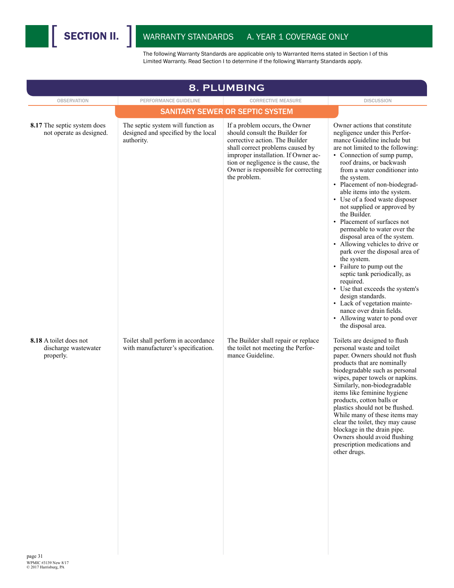

| 8. PLUMBING                                                 |                                                                                         |                                                                                                                                                                                                                                                                              |                                                                                                                                                                                                                                                                                                                                                                                                                                                                                                                                                                                                                                                                                                                                                                                                                                      |  |  |
|-------------------------------------------------------------|-----------------------------------------------------------------------------------------|------------------------------------------------------------------------------------------------------------------------------------------------------------------------------------------------------------------------------------------------------------------------------|--------------------------------------------------------------------------------------------------------------------------------------------------------------------------------------------------------------------------------------------------------------------------------------------------------------------------------------------------------------------------------------------------------------------------------------------------------------------------------------------------------------------------------------------------------------------------------------------------------------------------------------------------------------------------------------------------------------------------------------------------------------------------------------------------------------------------------------|--|--|
| <b>OBSERVATION</b>                                          | PERFORMANCE GUIDELINE                                                                   | <b>CORRECTIVE MEASURE</b>                                                                                                                                                                                                                                                    | <b>DISCUSSION</b>                                                                                                                                                                                                                                                                                                                                                                                                                                                                                                                                                                                                                                                                                                                                                                                                                    |  |  |
|                                                             |                                                                                         | <b>SANITARY SEWER OR SEPTIC SYSTEM</b>                                                                                                                                                                                                                                       |                                                                                                                                                                                                                                                                                                                                                                                                                                                                                                                                                                                                                                                                                                                                                                                                                                      |  |  |
| 8.17 The septic system does<br>not operate as designed.     | The septic system will function as<br>designed and specified by the local<br>authority. | If a problem occurs, the Owner<br>should consult the Builder for<br>corrective action. The Builder<br>shall correct problems caused by<br>improper installation. If Owner ac-<br>tion or negligence is the cause, the<br>Owner is responsible for correcting<br>the problem. | Owner actions that constitute<br>negligence under this Perfor-<br>mance Guideline include but<br>are not limited to the following:<br>• Connection of sump pump,<br>roof drains, or backwash<br>from a water conditioner into<br>the system.<br>• Placement of non-biodegrad-<br>able items into the system.<br>• Use of a food waste disposer<br>not supplied or approved by<br>the Builder.<br>• Placement of surfaces not<br>permeable to water over the<br>disposal area of the system.<br>• Allowing vehicles to drive or<br>park over the disposal area of<br>the system.<br>• Failure to pump out the<br>septic tank periodically, as<br>required.<br>• Use that exceeds the system's<br>design standards.<br>• Lack of vegetation mainte-<br>nance over drain fields.<br>• Allowing water to pond over<br>the disposal area. |  |  |
| 8.18 A toilet does not<br>discharge wastewater<br>properly. | Toilet shall perform in accordance<br>with manufacturer's specification.                | The Builder shall repair or replace<br>the toilet not meeting the Perfor-<br>mance Guideline.                                                                                                                                                                                | Toilets are designed to flush<br>personal waste and toilet<br>paper. Owners should not flush<br>products that are nominally<br>biodegradable such as personal<br>wipes, paper towels or napkins.<br>Similarly, non-biodegradable<br>items like feminine hygiene<br>products, cotton balls or<br>plastics should not be flushed.<br>While many of these items may<br>clear the toilet, they may cause<br>blockage in the drain pipe.<br>Owners should avoid flushing<br>prescription medications and<br>other drugs.                                                                                                                                                                                                                                                                                                                  |  |  |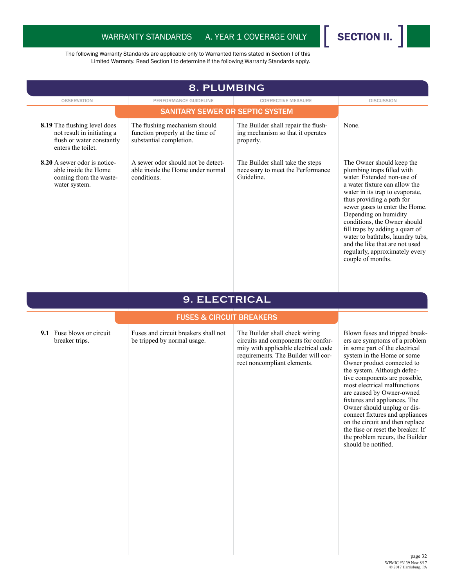

| 8. PLUMBING                                                                                                          |                                                                                              |                                                                                       |                                                                                                                                                                                                                                                                                                                                                                                                                                                   |  |
|----------------------------------------------------------------------------------------------------------------------|----------------------------------------------------------------------------------------------|---------------------------------------------------------------------------------------|---------------------------------------------------------------------------------------------------------------------------------------------------------------------------------------------------------------------------------------------------------------------------------------------------------------------------------------------------------------------------------------------------------------------------------------------------|--|
| <b>OBSERVATION</b>                                                                                                   | PERFORMANCE GUIDELINE                                                                        | <b>CORRECTIVE MEASURE</b>                                                             | <b>DISCUSSION</b>                                                                                                                                                                                                                                                                                                                                                                                                                                 |  |
|                                                                                                                      | <b>SANITARY SEWER OR SEPTIC SYSTEM</b>                                                       |                                                                                       |                                                                                                                                                                                                                                                                                                                                                                                                                                                   |  |
| <b>8.19</b> The flushing level does<br>not result in initiating a<br>flush or water constantly<br>enters the toilet. | The flushing mechanism should<br>function properly at the time of<br>substantial completion. | The Builder shall repair the flush-<br>ing mechanism so that it operates<br>properly. | None.                                                                                                                                                                                                                                                                                                                                                                                                                                             |  |
| 8.20 A sewer odor is notice-<br>able inside the Home<br>coming from the waste-<br>water system.                      | A sewer odor should not be detect-<br>able inside the Home under normal<br>conditions.       | The Builder shall take the steps<br>necessary to meet the Performance<br>Guideline.   | The Owner should keep the<br>plumbing traps filled with<br>water. Extended non-use of<br>a water fixture can allow the<br>water in its trap to evaporate.<br>thus providing a path for<br>sewer gases to enter the Home.<br>Depending on humidity<br>conditions, the Owner should<br>fill traps by adding a quart of<br>water to bathtubs, laundry tubs,<br>and the like that are not used<br>regularly, approximately every<br>couple of months. |  |

#### **9. ELECTRICAL**

#### FUSES & CIRCUIT BREAKERS

**9.1** Fuse blows or circuit breaker trips.

Fuses and circuit breakers shall not be tripped by normal usage.

The Builder shall check wiring circuits and components for conformity with applicable electrical code requirements. The Builder will correct noncompliant elements.

Blown fuses and tripped breakers are symptoms of a problem in some part of the electrical system in the Home or some Owner product connected to the system. Although defective components are possible, most electrical malfunctions are caused by Owner-owned fixtures and appliances. The Owner should unplug or disconnect fixtures and appliances on the circuit and then replace the fuse or reset the breaker. If the problem recurs, the Builder should be notified.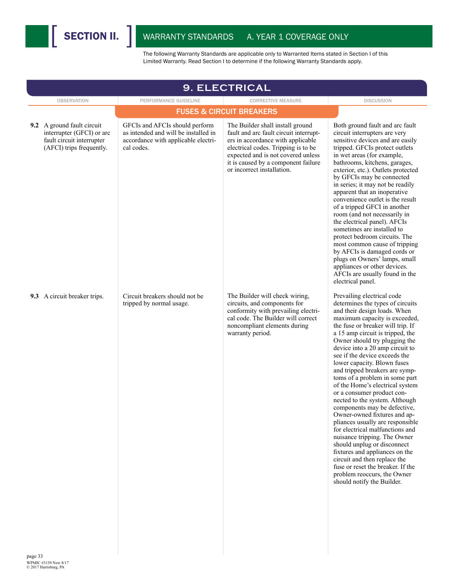

| <b>9. ELECTRICAL</b>                                                                                             |                                                                                                                             |                                                                                                                                                                                                                                                                   |                                                                                                                                                                                                                                                                                                                                                                                                                                                                                                                                                                                                                                                                                                                                                                                                                                                                                               |  |  |
|------------------------------------------------------------------------------------------------------------------|-----------------------------------------------------------------------------------------------------------------------------|-------------------------------------------------------------------------------------------------------------------------------------------------------------------------------------------------------------------------------------------------------------------|-----------------------------------------------------------------------------------------------------------------------------------------------------------------------------------------------------------------------------------------------------------------------------------------------------------------------------------------------------------------------------------------------------------------------------------------------------------------------------------------------------------------------------------------------------------------------------------------------------------------------------------------------------------------------------------------------------------------------------------------------------------------------------------------------------------------------------------------------------------------------------------------------|--|--|
| <b>OBSERVATION</b>                                                                                               | PERFORMANCE GUIDELINE                                                                                                       | <b>CORRECTIVE MEASURE</b>                                                                                                                                                                                                                                         | <b>DISCUSSION</b>                                                                                                                                                                                                                                                                                                                                                                                                                                                                                                                                                                                                                                                                                                                                                                                                                                                                             |  |  |
|                                                                                                                  |                                                                                                                             | <b>FUSES &amp; CIRCUIT BREAKERS</b>                                                                                                                                                                                                                               |                                                                                                                                                                                                                                                                                                                                                                                                                                                                                                                                                                                                                                                                                                                                                                                                                                                                                               |  |  |
| 9.2 A ground fault circuit<br>interrupter (GFCI) or arc<br>fault circuit interrupter<br>(AFCI) trips frequently. | GFCIs and AFCIs should perform<br>as intended and will be installed in<br>accordance with applicable electri-<br>cal codes. | The Builder shall install ground<br>fault and arc fault circuit interrupt-<br>ers in accordance with applicable<br>electrical codes. Tripping is to be<br>expected and is not covered unless<br>it is caused by a component failure<br>or incorrect installation. | Both ground fault and arc fault<br>circuit interrupters are very<br>sensitive devices and are easily<br>tripped. GFCIs protect outlets<br>in wet areas (for example,<br>bathrooms, kitchens, garages,<br>exterior, etc.). Outlets protected<br>by GFCIs may be connected<br>in series; it may not be readily<br>apparent that an inoperative<br>convenience outlet is the result<br>of a tripped GFCI in another<br>room (and not necessarily in<br>the electrical panel). AFCIs<br>sometimes are installed to<br>protect bedroom circuits. The<br>most common cause of tripping<br>by AFCIs is damaged cords or<br>plugs on Owners' lamps, small<br>appliances or other devices.<br>AFCIs are usually found in the<br>electrical panel.                                                                                                                                                      |  |  |
| 9.3 A circuit breaker trips.                                                                                     | Circuit breakers should not be<br>tripped by normal usage.                                                                  | The Builder will check wiring,<br>circuits, and components for<br>conformity with prevailing electri-<br>cal code. The Builder will correct<br>noncompliant elements during<br>warranty period.                                                                   | Prevailing electrical code<br>determines the types of circuits<br>and their design loads. When<br>maximum capacity is exceeded,<br>the fuse or breaker will trip. If<br>a 15 amp circuit is tripped, the<br>Owner should try plugging the<br>device into a 20 amp circuit to<br>see if the device exceeds the<br>lower capacity. Blown fuses<br>and tripped breakers are symp-<br>toms of a problem in some part<br>of the Home's electrical system<br>or a consumer product con-<br>nected to the system. Although<br>components may be defective,<br>Owner-owned fixtures and ap-<br>pliances usually are responsible<br>for electrical malfunctions and<br>nuisance tripping. The Owner<br>should unplug or disconnect<br>fixtures and appliances on the<br>circuit and then replace the<br>fuse or reset the breaker. If the<br>problem reoccurs, the Owner<br>should notify the Builder. |  |  |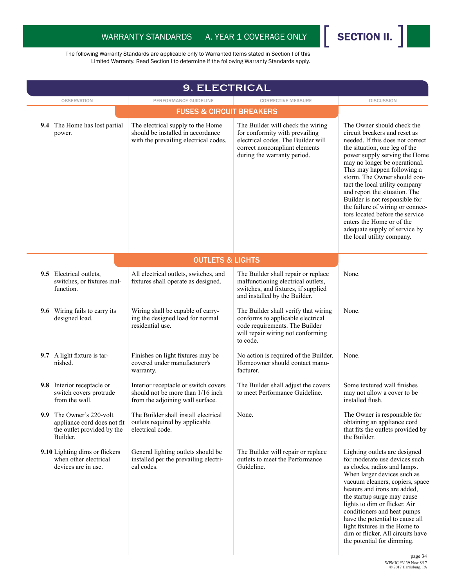

| <b>9. ELECTRICAL</b> |                                                                                                   |                                                                                                                 |                                                                                                                                                                           |                                                                                                                                                                                                                                                                                                                                                                                                                                                                                                                                           |
|----------------------|---------------------------------------------------------------------------------------------------|-----------------------------------------------------------------------------------------------------------------|---------------------------------------------------------------------------------------------------------------------------------------------------------------------------|-------------------------------------------------------------------------------------------------------------------------------------------------------------------------------------------------------------------------------------------------------------------------------------------------------------------------------------------------------------------------------------------------------------------------------------------------------------------------------------------------------------------------------------------|
|                      | <b>OBSERVATION</b>                                                                                | PERFORMANCE GUIDELINE                                                                                           | <b>CORRECTIVE MEASURE</b>                                                                                                                                                 | <b>DISCUSSION</b>                                                                                                                                                                                                                                                                                                                                                                                                                                                                                                                         |
|                      |                                                                                                   | <b>FUSES &amp; CIRCUIT BREAKERS</b>                                                                             |                                                                                                                                                                           |                                                                                                                                                                                                                                                                                                                                                                                                                                                                                                                                           |
|                      | <b>9.4</b> The Home has lost partial<br>power.                                                    | The electrical supply to the Home<br>should be installed in accordance<br>with the prevailing electrical codes. | The Builder will check the wiring<br>for conformity with prevailing<br>electrical codes. The Builder will<br>correct noncompliant elements<br>during the warranty period. | The Owner should check the<br>circuit breakers and reset as<br>needed. If this does not correct<br>the situation, one leg of the<br>power supply serving the Home<br>may no longer be operational.<br>This may happen following a<br>storm. The Owner should con-<br>tact the local utility company<br>and report the situation. The<br>Builder is not responsible for<br>the failure of wiring or connec-<br>tors located before the service<br>enters the Home or of the<br>adequate supply of service by<br>the local utility company. |
|                      |                                                                                                   | <b>OUTLETS &amp; LIGHTS</b>                                                                                     |                                                                                                                                                                           |                                                                                                                                                                                                                                                                                                                                                                                                                                                                                                                                           |
|                      | 9.5 Electrical outlets,<br>switches, or fixtures mal-<br>function.                                | All electrical outlets, switches, and<br>fixtures shall operate as designed.                                    | The Builder shall repair or replace<br>malfunctioning electrical outlets,<br>switches, and fixtures, if supplied<br>and installed by the Builder.                         | None.                                                                                                                                                                                                                                                                                                                                                                                                                                                                                                                                     |
|                      | 9.6 Wiring fails to carry its<br>designed load.                                                   | Wiring shall be capable of carry-<br>ing the designed load for normal<br>residential use.                       | The Builder shall verify that wiring<br>conforms to applicable electrical<br>code requirements. The Builder<br>will repair wiring not conforming<br>to code.              | None.                                                                                                                                                                                                                                                                                                                                                                                                                                                                                                                                     |
|                      | 9.7 A light fixture is tar-<br>nished.                                                            | Finishes on light fixtures may be<br>covered under manufacturer's<br>warranty.                                  | No action is required of the Builder.<br>Homeowner should contact manu-<br>facturer.                                                                                      | None.                                                                                                                                                                                                                                                                                                                                                                                                                                                                                                                                     |
|                      | 9.8 Interior receptacle or<br>switch covers protrude<br>from the wall.                            | Interior receptacle or switch covers<br>should not be more than 1/16 inch<br>from the adjoining wall surface.   | The Builder shall adjust the covers<br>to meet Performance Guideline.                                                                                                     | Some textured wall finishes<br>may not allow a cover to be<br>installed flush.                                                                                                                                                                                                                                                                                                                                                                                                                                                            |
|                      | 9.9 The Owner's 220-volt<br>appliance cord does not fit<br>the outlet provided by the<br>Builder. | The Builder shall install electrical<br>outlets required by applicable<br>electrical code.                      | None.                                                                                                                                                                     | The Owner is responsible for<br>obtaining an appliance cord<br>that fits the outlets provided by<br>the Builder.                                                                                                                                                                                                                                                                                                                                                                                                                          |
|                      | 9.10 Lighting dims or flickers<br>when other electrical<br>devices are in use.                    | General lighting outlets should be<br>installed per the prevailing electri-<br>cal codes.                       | The Builder will repair or replace<br>outlets to meet the Performance<br>Guideline.                                                                                       | Lighting outlets are designed<br>for moderate use devices such<br>as clocks, radios and lamps.<br>When larger devices such as<br>vacuum cleaners, copiers, space<br>heaters and irons are added,<br>the startup surge may cause<br>lights to dim or flicker. Air<br>conditioners and heat pumps<br>have the potential to cause all<br>light fixtures in the Home to<br>dim or flicker. All circuits have<br>the potential for dimming.                                                                                                    |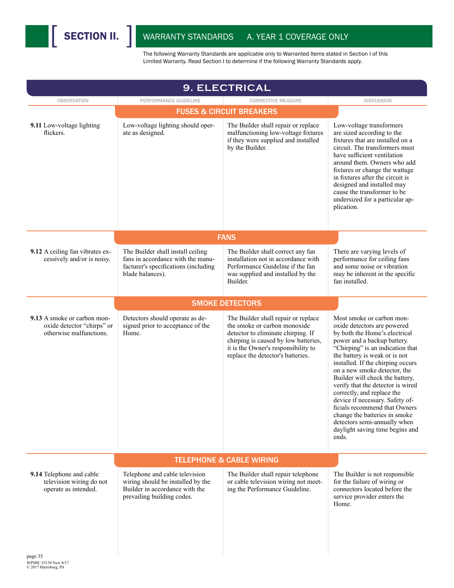

| <b>9. ELECTRICAL</b>                                                                          |                                                                                                                                     |                                                                                                                                                                                                                               |                                                                                                                                                                                                                                                                                                                                                                                                                                                                                                                                                           |  |  |
|-----------------------------------------------------------------------------------------------|-------------------------------------------------------------------------------------------------------------------------------------|-------------------------------------------------------------------------------------------------------------------------------------------------------------------------------------------------------------------------------|-----------------------------------------------------------------------------------------------------------------------------------------------------------------------------------------------------------------------------------------------------------------------------------------------------------------------------------------------------------------------------------------------------------------------------------------------------------------------------------------------------------------------------------------------------------|--|--|
| <b>OBSERVATION</b><br>PERFORMANCE GUIDELINE<br><b>CORRECTIVE MEASURE</b><br><b>DISCUSSION</b> |                                                                                                                                     |                                                                                                                                                                                                                               |                                                                                                                                                                                                                                                                                                                                                                                                                                                                                                                                                           |  |  |
|                                                                                               |                                                                                                                                     | <b>FUSES &amp; CIRCUIT BREAKERS</b>                                                                                                                                                                                           |                                                                                                                                                                                                                                                                                                                                                                                                                                                                                                                                                           |  |  |
| 9.11 Low-voltage lighting<br>flickers.                                                        | Low-voltage lighting should oper-<br>ate as designed.                                                                               | The Builder shall repair or replace<br>malfunctioning low-voltage fixtures<br>if they were supplied and installed<br>by the Builder.                                                                                          | Low-voltage transformers<br>are sized according to the<br>fixtures that are installed on a<br>circuit. The transformers must<br>have sufficient ventilation<br>around them. Owners who add<br>fixtures or change the wattage<br>in fixtures after the circuit is<br>designed and installed may<br>cause the transformer to be<br>undersized for a particular ap-<br>plication.                                                                                                                                                                            |  |  |
|                                                                                               |                                                                                                                                     | <b>FANS</b>                                                                                                                                                                                                                   |                                                                                                                                                                                                                                                                                                                                                                                                                                                                                                                                                           |  |  |
| 9.12 A ceiling fan vibrates ex-<br>cessively and/or is noisy.                                 | The Builder shall install ceiling<br>fans in accordance with the manu-<br>facturer's specifications (including<br>blade balances).  | The Builder shall correct any fan<br>installation not in accordance with<br>Performance Guideline if the fan<br>was supplied and installed by the<br><b>Builder</b>                                                           | There are varying levels of<br>performance for ceiling fans<br>and some noise or vibration<br>may be inherent in the specific<br>fan installed                                                                                                                                                                                                                                                                                                                                                                                                            |  |  |
|                                                                                               |                                                                                                                                     | <b>SMOKE DETECTORS</b>                                                                                                                                                                                                        |                                                                                                                                                                                                                                                                                                                                                                                                                                                                                                                                                           |  |  |
| 9.13 A smoke or carbon mon-<br>oxide detector "chirps" or<br>otherwise malfunctions.          | Detectors should operate as de-<br>signed prior to acceptance of the<br>Home.                                                       | The Builder shall repair or replace<br>the smoke or carbon monoxide<br>detector to eliminate chirping. If<br>chirping is caused by low batteries,<br>it is the Owner's responsibility to<br>replace the detector's batteries. | Most smoke or carbon mon-<br>oxide detectors are powered<br>by both the Home's electrical<br>power and a backup battery.<br>"Chirping" is an indication that<br>the battery is weak or is not<br>installed. If the chirping occurs<br>on a new smoke detector, the<br>Builder will check the battery,<br>verify that the detector is wired<br>correctly, and replace the<br>device if necessary. Safety of-<br>ficials recommend that Owners<br>change the batteries in smoke<br>detectors semi-annually when<br>daylight saving time begins and<br>ends. |  |  |
|                                                                                               |                                                                                                                                     | <b>TELEPHONE &amp; CABLE WIRING</b>                                                                                                                                                                                           |                                                                                                                                                                                                                                                                                                                                                                                                                                                                                                                                                           |  |  |
| 9.14 Telephone and cable<br>television wiring do not<br>operate as intended.                  | Telephone and cable television<br>wiring should be installed by the<br>Builder in accordance with the<br>prevailing building codes. | The Builder shall repair telephone<br>or cable television wiring not meet-<br>ing the Performance Guideline.                                                                                                                  | The Builder is not responsible<br>for the failure of wiring or<br>connectors located before the<br>service provider enters the<br>Home.                                                                                                                                                                                                                                                                                                                                                                                                                   |  |  |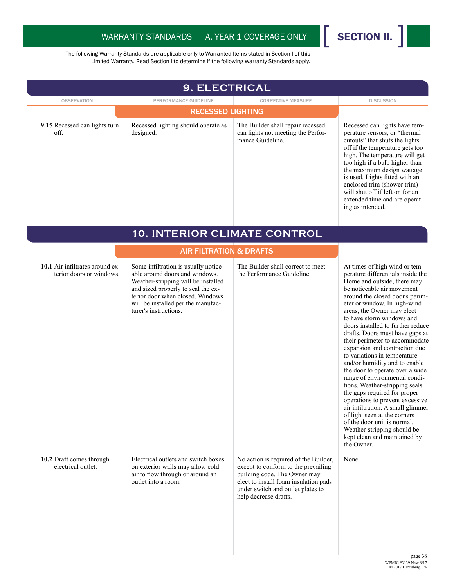

| <b>OBSERVATION</b><br>9.15 Recessed can lights turn<br>off. | PERFORMANCE GUIDELINE<br><b>RECESSED LIGHTING</b><br>Recessed lighting should operate as<br>designed.                                                                                                                                                  | <b>CORRECTIVE MEASURE</b><br>The Builder shall repair recessed<br>can lights not meeting the Perfor-<br>mance Guideline.                                                                                            | <b>DISCUSSION</b><br>Recessed can lights have tem-<br>perature sensors, or "thermal                                                                                                                                                                                                                                                                                                                                                                                                                                                                                                                                                                                                                                                                                                                                                 |
|-------------------------------------------------------------|--------------------------------------------------------------------------------------------------------------------------------------------------------------------------------------------------------------------------------------------------------|---------------------------------------------------------------------------------------------------------------------------------------------------------------------------------------------------------------------|-------------------------------------------------------------------------------------------------------------------------------------------------------------------------------------------------------------------------------------------------------------------------------------------------------------------------------------------------------------------------------------------------------------------------------------------------------------------------------------------------------------------------------------------------------------------------------------------------------------------------------------------------------------------------------------------------------------------------------------------------------------------------------------------------------------------------------------|
|                                                             |                                                                                                                                                                                                                                                        |                                                                                                                                                                                                                     |                                                                                                                                                                                                                                                                                                                                                                                                                                                                                                                                                                                                                                                                                                                                                                                                                                     |
|                                                             |                                                                                                                                                                                                                                                        |                                                                                                                                                                                                                     |                                                                                                                                                                                                                                                                                                                                                                                                                                                                                                                                                                                                                                                                                                                                                                                                                                     |
|                                                             |                                                                                                                                                                                                                                                        |                                                                                                                                                                                                                     | cutouts" that shuts the lights<br>off if the temperature gets too<br>high. The temperature will get<br>too high if a bulb higher than<br>the maximum design wattage<br>is used. Lights fitted with an<br>enclosed trim (shower trim)<br>will shut off if left on for an<br>extended time and are operat-<br>ing as intended.                                                                                                                                                                                                                                                                                                                                                                                                                                                                                                        |
|                                                             | 10. INTERIOR CLIMATE CONTROL                                                                                                                                                                                                                           |                                                                                                                                                                                                                     |                                                                                                                                                                                                                                                                                                                                                                                                                                                                                                                                                                                                                                                                                                                                                                                                                                     |
|                                                             | <b>AIR FILTRATION &amp; DRAFTS</b>                                                                                                                                                                                                                     |                                                                                                                                                                                                                     |                                                                                                                                                                                                                                                                                                                                                                                                                                                                                                                                                                                                                                                                                                                                                                                                                                     |
| 10.1 Air infiltrates around ex-<br>terior doors or windows. | Some infiltration is usually notice-<br>able around doors and windows.<br>Weather-stripping will be installed<br>and sized properly to seal the ex-<br>terior door when closed. Windows<br>will be installed per the manufac-<br>turer's instructions. | The Builder shall correct to meet<br>the Performance Guideline.                                                                                                                                                     | At times of high wind or tem-<br>perature differentials inside the<br>Home and outside, there may<br>be noticeable air movement<br>around the closed door's perim-<br>eter or window. In high-wind<br>areas, the Owner may elect<br>to have storm windows and<br>doors installed to further reduce<br>drafts. Doors must have gaps at<br>their perimeter to accommodate<br>expansion and contraction due<br>to variations in temperature<br>and/or humidity and to enable<br>the door to operate over a wide<br>range of environmental condi-<br>tions. Weather-stripping seals<br>the gaps required for proper<br>operations to prevent excessive<br>air infiltration. A small glimmer<br>of light seen at the corners<br>of the door unit is normal.<br>Weather-stripping should be<br>kept clean and maintained by<br>the Owner. |
| 10.2 Draft comes through<br>electrical outlet.              | Electrical outlets and switch boxes<br>on exterior walls may allow cold<br>air to flow through or around an<br>outlet into a room.                                                                                                                     | No action is required of the Builder,<br>except to conform to the prevailing<br>building code. The Owner may<br>elect to install foam insulation pads<br>under switch and outlet plates to<br>help decrease drafts. | None.                                                                                                                                                                                                                                                                                                                                                                                                                                                                                                                                                                                                                                                                                                                                                                                                                               |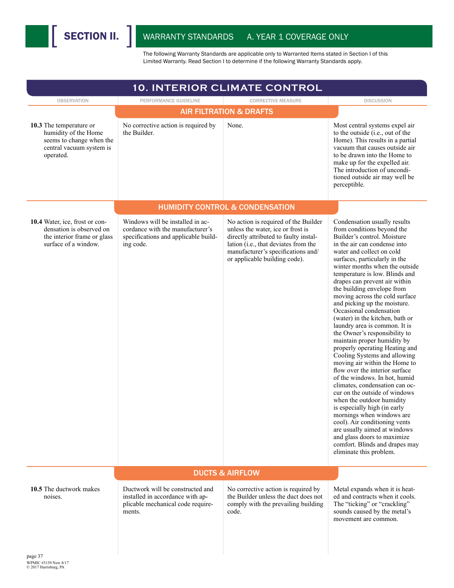| <b>10. INTERIOR CLIMATE CONTROL</b>                                                                                  |                                                                                                                           |                                                                                                                                                                                                                                   |                                                                                                                                                                                                                                                                                                                                                                                                                                                                                                                                                                                                                                                                                                                                                                                                                                                                                                                                                                                                                                                             |  |
|----------------------------------------------------------------------------------------------------------------------|---------------------------------------------------------------------------------------------------------------------------|-----------------------------------------------------------------------------------------------------------------------------------------------------------------------------------------------------------------------------------|-------------------------------------------------------------------------------------------------------------------------------------------------------------------------------------------------------------------------------------------------------------------------------------------------------------------------------------------------------------------------------------------------------------------------------------------------------------------------------------------------------------------------------------------------------------------------------------------------------------------------------------------------------------------------------------------------------------------------------------------------------------------------------------------------------------------------------------------------------------------------------------------------------------------------------------------------------------------------------------------------------------------------------------------------------------|--|
| <b>OBSERVATION</b>                                                                                                   | PERFORMANCE GUIDELINE                                                                                                     | <b>CORRECTIVE MEASURE</b>                                                                                                                                                                                                         | <b>DISCUSSION</b>                                                                                                                                                                                                                                                                                                                                                                                                                                                                                                                                                                                                                                                                                                                                                                                                                                                                                                                                                                                                                                           |  |
|                                                                                                                      |                                                                                                                           | <b>AIR FILTRATION &amp; DRAFTS</b>                                                                                                                                                                                                |                                                                                                                                                                                                                                                                                                                                                                                                                                                                                                                                                                                                                                                                                                                                                                                                                                                                                                                                                                                                                                                             |  |
| 10.3 The temperature or<br>humidity of the Home<br>seems to change when the<br>central vacuum system is<br>operated. | No corrective action is required by<br>the Builder.                                                                       | None.                                                                                                                                                                                                                             | Most central systems expel air<br>to the outside (i.e., out of the<br>Home). This results in a partial<br>vacuum that causes outside air<br>to be drawn into the Home to<br>make up for the expelled air.<br>The introduction of uncondi-<br>tioned outside air may well be<br>perceptible.                                                                                                                                                                                                                                                                                                                                                                                                                                                                                                                                                                                                                                                                                                                                                                 |  |
|                                                                                                                      |                                                                                                                           | <b>HUMIDITY CONTROL &amp; CONDENSATION</b>                                                                                                                                                                                        |                                                                                                                                                                                                                                                                                                                                                                                                                                                                                                                                                                                                                                                                                                                                                                                                                                                                                                                                                                                                                                                             |  |
| 10.4 Water, ice, frost or con-<br>densation is observed on<br>the interior frame or glass<br>surface of a window.    | Windows will be installed in ac-<br>cordance with the manufacturer's<br>specifications and applicable build-<br>ing code. | No action is required of the Builder<br>unless the water, ice or frost is<br>directly attributed to faulty instal-<br>lation (i.e., that deviates from the<br>manufacturer's specifications and/<br>or applicable building code). | Condensation usually results<br>from conditions beyond the<br>Builder's control. Moisture<br>in the air can condense into<br>water and collect on cold<br>surfaces, particularly in the<br>winter months when the outside<br>temperature is low. Blinds and<br>drapes can prevent air within<br>the building envelope from<br>moving across the cold surface<br>and picking up the moisture.<br>Occasional condensation<br>(water) in the kitchen, bath or<br>laundry area is common. It is<br>the Owner's responsibility to<br>maintain proper humidity by<br>properly operating Heating and<br>Cooling Systems and allowing<br>moving air within the Home to<br>flow over the interior surface<br>of the windows. In hot, humid<br>climates, condensation can oc-<br>cur on the outside of windows<br>when the outdoor humidity<br>is especially high (in early<br>mornings when windows are<br>cool). Air conditioning vents<br>are usually aimed at windows<br>and glass doors to maximize<br>comfort. Blinds and drapes may<br>eliminate this problem. |  |
|                                                                                                                      |                                                                                                                           | <b>DUCTS &amp; AIRFLOW</b>                                                                                                                                                                                                        |                                                                                                                                                                                                                                                                                                                                                                                                                                                                                                                                                                                                                                                                                                                                                                                                                                                                                                                                                                                                                                                             |  |
| 10.5 The ductwork makes<br>noises.                                                                                   | Ductwork will be constructed and<br>installed in accordance with ap-<br>plicable mechanical code require-<br>ments.       | No corrective action is required by<br>the Builder unless the duct does not<br>comply with the prevailing building<br>code.                                                                                                       | Metal expands when it is heat-<br>ed and contracts when it cools.<br>The "ticking" or "crackling"<br>sounds caused by the metal's<br>movement are common.                                                                                                                                                                                                                                                                                                                                                                                                                                                                                                                                                                                                                                                                                                                                                                                                                                                                                                   |  |
| page 37                                                                                                              |                                                                                                                           |                                                                                                                                                                                                                                   |                                                                                                                                                                                                                                                                                                                                                                                                                                                                                                                                                                                                                                                                                                                                                                                                                                                                                                                                                                                                                                                             |  |

WPMIC #3139 New 8/17 © 2017 Harrisburg, PA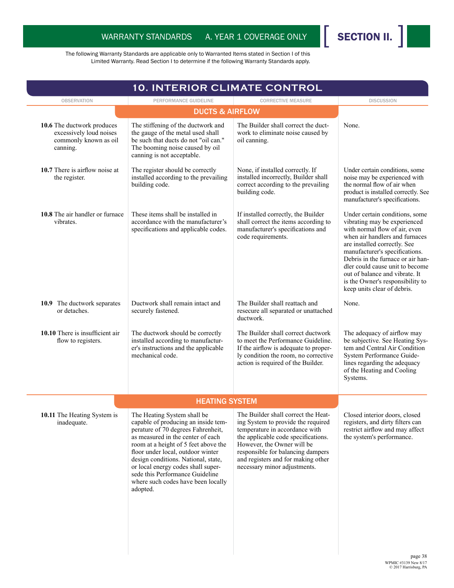

| <b>10. INTERIOR CLIMATE CONTROL</b>                                                        |                                                                                                                                                                                                                                                                                                                                                                                              |                                                                                                                                                                                                                                                                                             |                                                                                                                                                                                                                                                                                                                                                                                  |  |
|--------------------------------------------------------------------------------------------|----------------------------------------------------------------------------------------------------------------------------------------------------------------------------------------------------------------------------------------------------------------------------------------------------------------------------------------------------------------------------------------------|---------------------------------------------------------------------------------------------------------------------------------------------------------------------------------------------------------------------------------------------------------------------------------------------|----------------------------------------------------------------------------------------------------------------------------------------------------------------------------------------------------------------------------------------------------------------------------------------------------------------------------------------------------------------------------------|--|
| <b>OBSERVATION</b>                                                                         | PERFORMANCE GUIDELINE                                                                                                                                                                                                                                                                                                                                                                        | <b>CORRECTIVE MEASURE</b>                                                                                                                                                                                                                                                                   | <b>DISCUSSION</b>                                                                                                                                                                                                                                                                                                                                                                |  |
|                                                                                            |                                                                                                                                                                                                                                                                                                                                                                                              |                                                                                                                                                                                                                                                                                             |                                                                                                                                                                                                                                                                                                                                                                                  |  |
| 10.6 The ductwork produces<br>excessively loud noises<br>commonly known as oil<br>canning. | The stiffening of the ductwork and<br>the gauge of the metal used shall<br>be such that ducts do not "oil can."<br>The booming noise caused by oil<br>canning is not acceptable.                                                                                                                                                                                                             | The Builder shall correct the duct-<br>work to eliminate noise caused by<br>oil canning.                                                                                                                                                                                                    | None.                                                                                                                                                                                                                                                                                                                                                                            |  |
| 10.7 There is airflow noise at<br>the register.                                            | The register should be correctly<br>installed according to the prevailing<br>building code.                                                                                                                                                                                                                                                                                                  | None, if installed correctly. If<br>installed incorrectly, Builder shall<br>correct according to the prevailing<br>building code.                                                                                                                                                           | Under certain conditions, some<br>noise may be experienced with<br>the normal flow of air when<br>product is installed correctly. See<br>manufacturer's specifications.                                                                                                                                                                                                          |  |
| 10.8 The air handler or furnace<br>vibrates.                                               | These items shall be installed in<br>accordance with the manufacturer's<br>specifications and applicable codes.                                                                                                                                                                                                                                                                              | If installed correctly, the Builder<br>shall correct the items according to<br>manufacturer's specifications and<br>code requirements.                                                                                                                                                      | Under certain conditions, some<br>vibrating may be experienced<br>with normal flow of air, even<br>when air handlers and furnaces<br>are installed correctly. See<br>manufacturer's specifications.<br>Debris in the furnace or air han-<br>dler could cause unit to become<br>out of balance and vibrate. It<br>is the Owner's responsibility to<br>keep units clear of debris. |  |
| 10.9 The ductwork separates<br>or detaches.                                                | Ductwork shall remain intact and<br>securely fastened.                                                                                                                                                                                                                                                                                                                                       | The Builder shall reattach and<br>resecure all separated or unattached<br>ductwork.                                                                                                                                                                                                         | None.                                                                                                                                                                                                                                                                                                                                                                            |  |
| 10.10 There is insufficient air<br>flow to registers.                                      | The ductwork should be correctly<br>installed according to manufactur-<br>er's instructions and the applicable<br>mechanical code.                                                                                                                                                                                                                                                           | The Builder shall correct ductwork<br>to meet the Performance Guideline.<br>If the airflow is adequate to proper-<br>ly condition the room, no corrective<br>action is required of the Builder.                                                                                             | The adequacy of airflow may<br>be subjective. See Heating Sys-<br>tem and Central Air Condition<br>System Performance Guide-<br>lines regarding the adequacy<br>of the Heating and Cooling<br>Systems.                                                                                                                                                                           |  |
|                                                                                            | <b>HEATING SYSTEM</b>                                                                                                                                                                                                                                                                                                                                                                        |                                                                                                                                                                                                                                                                                             |                                                                                                                                                                                                                                                                                                                                                                                  |  |
| 10.11 The Heating System is<br>inadequate.                                                 | The Heating System shall be<br>capable of producing an inside tem-<br>perature of 70 degrees Fahrenheit,<br>as measured in the center of each<br>room at a height of 5 feet above the<br>floor under local, outdoor winter<br>design conditions. National, state,<br>or local energy codes shall super-<br>sede this Performance Guideline<br>where such codes have been locally<br>adopted. | The Builder shall correct the Heat-<br>ing System to provide the required<br>temperature in accordance with<br>the applicable code specifications.<br>However, the Owner will be<br>responsible for balancing dampers<br>and registers and for making other<br>necessary minor adjustments. | Closed interior doors, closed<br>registers, and dirty filters can<br>restrict airflow and may affect<br>the system's performance.                                                                                                                                                                                                                                                |  |
|                                                                                            |                                                                                                                                                                                                                                                                                                                                                                                              |                                                                                                                                                                                                                                                                                             |                                                                                                                                                                                                                                                                                                                                                                                  |  |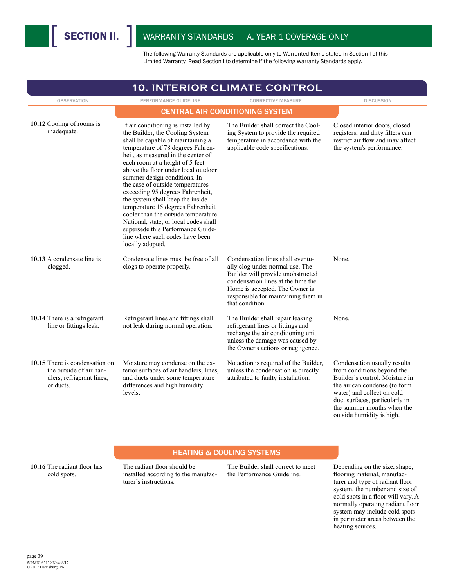| <b>10. INTERIOR CLIMATE CONTROL</b>                                                                 |                                                                                                                                                                                                                                                                                                                                                                                                                                                                                                                                                                                                                                |                                                                                                                                                                                                                                            |                                                                                                                                                                                                                                                                                                    |  |
|-----------------------------------------------------------------------------------------------------|--------------------------------------------------------------------------------------------------------------------------------------------------------------------------------------------------------------------------------------------------------------------------------------------------------------------------------------------------------------------------------------------------------------------------------------------------------------------------------------------------------------------------------------------------------------------------------------------------------------------------------|--------------------------------------------------------------------------------------------------------------------------------------------------------------------------------------------------------------------------------------------|----------------------------------------------------------------------------------------------------------------------------------------------------------------------------------------------------------------------------------------------------------------------------------------------------|--|
| <b>OBSERVATION</b>                                                                                  | PERFORMANCE GUIDELINE                                                                                                                                                                                                                                                                                                                                                                                                                                                                                                                                                                                                          | <b>CORRECTIVE MEASURE</b>                                                                                                                                                                                                                  | <b>DISCUSSION</b>                                                                                                                                                                                                                                                                                  |  |
|                                                                                                     |                                                                                                                                                                                                                                                                                                                                                                                                                                                                                                                                                                                                                                | <b>CENTRAL AIR CONDITIONING SYSTEM</b>                                                                                                                                                                                                     |                                                                                                                                                                                                                                                                                                    |  |
| 10.12 Cooling of rooms is<br>inadequate.                                                            | If air conditioning is installed by<br>the Builder, the Cooling System<br>shall be capable of maintaining a<br>temperature of 78 degrees Fahren-<br>heit, as measured in the center of<br>each room at a height of 5 feet<br>above the floor under local outdoor<br>summer design conditions. In<br>the case of outside temperatures<br>exceeding 95 degrees Fahrenheit,<br>the system shall keep the inside<br>temperature 15 degrees Fahrenheit<br>cooler than the outside temperature.<br>National, state, or local codes shall<br>supersede this Performance Guide-<br>line where such codes have been<br>locally adopted. | The Builder shall correct the Cool-<br>ing System to provide the required<br>temperature in accordance with the<br>applicable code specifications.                                                                                         | Closed interior doors, closed<br>registers, and dirty filters can<br>restrict air flow and may affect<br>the system's performance.                                                                                                                                                                 |  |
| 10.13 A condensate line is<br>clogged.                                                              | Condensate lines must be free of all<br>clogs to operate properly.                                                                                                                                                                                                                                                                                                                                                                                                                                                                                                                                                             | Condensation lines shall eventu-<br>ally clog under normal use. The<br>Builder will provide unobstructed<br>condensation lines at the time the<br>Home is accepted. The Owner is<br>responsible for maintaining them in<br>that condition. | None.                                                                                                                                                                                                                                                                                              |  |
| 10.14 There is a refrigerant<br>line or fittings leak.                                              | Refrigerant lines and fittings shall<br>not leak during normal operation.                                                                                                                                                                                                                                                                                                                                                                                                                                                                                                                                                      | The Builder shall repair leaking<br>refrigerant lines or fittings and<br>recharge the air conditioning unit<br>unless the damage was caused by<br>the Owner's actions or negligence.                                                       | None.                                                                                                                                                                                                                                                                                              |  |
| 10.15 There is condensation on<br>the outside of air han-<br>dlers, refrigerant lines,<br>or ducts. | Moisture may condense on the ex-<br>terior surfaces of air handlers, lines,<br>and ducts under some temperature<br>differences and high humidity<br>levels.                                                                                                                                                                                                                                                                                                                                                                                                                                                                    | No action is required of the Builder,<br>unless the condensation is directly<br>attributed to faulty installation.                                                                                                                         | Condensation usually results<br>from conditions beyond the<br>Builder's control. Moisture in<br>the air can condense (to form<br>water) and collect on cold<br>duct surfaces, particularly in<br>the summer months when the<br>outside humidity is high.                                           |  |
|                                                                                                     |                                                                                                                                                                                                                                                                                                                                                                                                                                                                                                                                                                                                                                | <b>HEATING &amp; COOLING SYSTEMS</b>                                                                                                                                                                                                       |                                                                                                                                                                                                                                                                                                    |  |
| 10.16 The radiant floor has<br>cold spots.                                                          | The radiant floor should be<br>installed according to the manufac-<br>turer's instructions.                                                                                                                                                                                                                                                                                                                                                                                                                                                                                                                                    | The Builder shall correct to meet<br>the Performance Guideline.                                                                                                                                                                            | Depending on the size, shape,<br>flooring material, manufac-<br>turer and type of radiant floor<br>system, the number and size of<br>cold spots in a floor will vary. A<br>normally operating radiant floor<br>system may include cold spots<br>in perimeter areas between the<br>heating sources. |  |
| page 39                                                                                             |                                                                                                                                                                                                                                                                                                                                                                                                                                                                                                                                                                                                                                |                                                                                                                                                                                                                                            |                                                                                                                                                                                                                                                                                                    |  |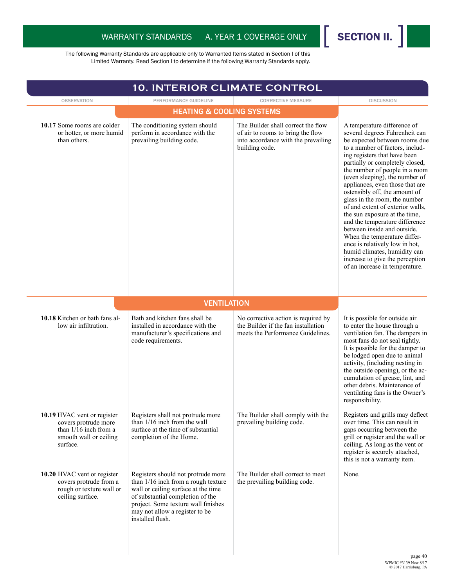

| 10. INTERIOR CLIMATE CONTROL                                                                                         |                                                                                                                                                                                                                                                   |                                                                                                                                  |                                                                                                                                                                                                                                                                                                                                                                                                                                                                                                                                                                                                                                                                                            |
|----------------------------------------------------------------------------------------------------------------------|---------------------------------------------------------------------------------------------------------------------------------------------------------------------------------------------------------------------------------------------------|----------------------------------------------------------------------------------------------------------------------------------|--------------------------------------------------------------------------------------------------------------------------------------------------------------------------------------------------------------------------------------------------------------------------------------------------------------------------------------------------------------------------------------------------------------------------------------------------------------------------------------------------------------------------------------------------------------------------------------------------------------------------------------------------------------------------------------------|
| <b>OBSERVATION</b>                                                                                                   | PERFORMANCE GUIDELINE                                                                                                                                                                                                                             | <b>CORRECTIVE MEASURE</b>                                                                                                        | <b>DISCUSSION</b>                                                                                                                                                                                                                                                                                                                                                                                                                                                                                                                                                                                                                                                                          |
|                                                                                                                      | <b>HEATING &amp; COOLING SYSTEMS</b>                                                                                                                                                                                                              |                                                                                                                                  |                                                                                                                                                                                                                                                                                                                                                                                                                                                                                                                                                                                                                                                                                            |
| 10.17 Some rooms are colder<br>or hotter, or more humid<br>than others.                                              | The conditioning system should<br>perform in accordance with the<br>prevailing building code.                                                                                                                                                     | The Builder shall correct the flow<br>of air to rooms to bring the flow<br>into accordance with the prevailing<br>building code. | A temperature difference of<br>several degrees Fahrenheit can<br>be expected between rooms due<br>to a number of factors, includ-<br>ing registers that have been<br>partially or completely closed,<br>the number of people in a room<br>(even sleeping), the number of<br>appliances, even those that are<br>ostensibly off, the amount of<br>glass in the room, the number<br>of and extent of exterior walls,<br>the sun exposure at the time,<br>and the temperature difference<br>between inside and outside.<br>When the temperature differ-<br>ence is relatively low in hot,<br>humid climates, humidity can<br>increase to give the perception<br>of an increase in temperature. |
|                                                                                                                      | <b>VENTILATION</b>                                                                                                                                                                                                                                |                                                                                                                                  |                                                                                                                                                                                                                                                                                                                                                                                                                                                                                                                                                                                                                                                                                            |
| 10.18 Kitchen or bath fans al-<br>low air infiltration.                                                              | Bath and kitchen fans shall be<br>installed in accordance with the<br>manufacturer's specifications and<br>code requirements.                                                                                                                     | No corrective action is required by<br>the Builder if the fan installation<br>meets the Performance Guidelines.                  | It is possible for outside air<br>to enter the house through a<br>ventilation fan. The dampers in<br>most fans do not seal tightly.<br>It is possible for the damper to<br>be lodged open due to animal<br>activity, (including nesting in<br>the outside opening), or the ac-<br>cumulation of grease, lint, and<br>other debris. Maintenance of<br>ventilating fans is the Owner's<br>responsibility.                                                                                                                                                                                                                                                                                    |
| 10.19 HVAC vent or register<br>covers protrude more<br>than $1/16$ inch from a<br>smooth wall or ceiling<br>surface. | Registers shall not protrude more<br>than $1/16$ inch from the wall<br>surface at the time of substantial<br>completion of the Home.                                                                                                              | The Builder shall comply with the<br>prevailing building code.                                                                   | Registers and grills may deflect<br>over time. This can result in<br>gaps occurring between the<br>grill or register and the wall or<br>ceiling. As long as the vent or<br>register is securely attached,<br>this is not a warranty item.                                                                                                                                                                                                                                                                                                                                                                                                                                                  |
| 10.20 HVAC vent or register<br>covers protrude from a<br>rough or texture wall or<br>ceiling surface.                | Registers should not protrude more<br>than 1/16 inch from a rough texture<br>wall or ceiling surface at the time<br>of substantial completion of the<br>project. Some texture wall finishes<br>may not allow a register to be<br>installed flush. | The Builder shall correct to meet<br>the prevailing building code.                                                               | None.                                                                                                                                                                                                                                                                                                                                                                                                                                                                                                                                                                                                                                                                                      |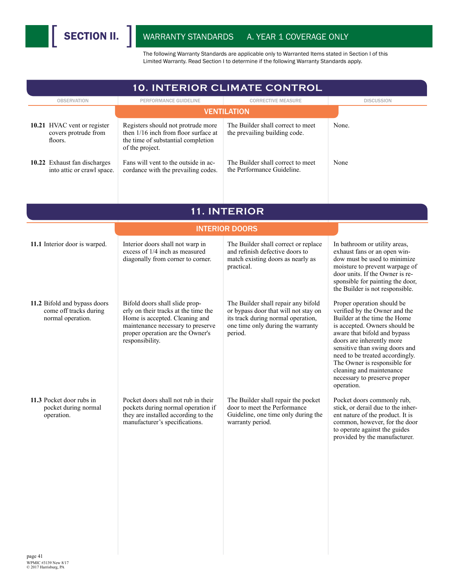| <b>10. INTERIOR CLIMATE CONTROL</b>                                         |                                                                                                                                                                                                      |                                                                                                                                                                   |                                                                                                                                                                                                                                                                                                                                                                          |  |
|-----------------------------------------------------------------------------|------------------------------------------------------------------------------------------------------------------------------------------------------------------------------------------------------|-------------------------------------------------------------------------------------------------------------------------------------------------------------------|--------------------------------------------------------------------------------------------------------------------------------------------------------------------------------------------------------------------------------------------------------------------------------------------------------------------------------------------------------------------------|--|
| <b>OBSERVATION</b>                                                          | PERFORMANCE GUIDELINE                                                                                                                                                                                | <b>CORRECTIVE MEASURE</b>                                                                                                                                         | <b>DISCUSSION</b>                                                                                                                                                                                                                                                                                                                                                        |  |
|                                                                             |                                                                                                                                                                                                      | <b>VENTILATION</b>                                                                                                                                                |                                                                                                                                                                                                                                                                                                                                                                          |  |
| 10.21 HVAC vent or register<br>covers protrude from<br>floors.              | Registers should not protrude more<br>then 1/16 inch from floor surface at<br>the time of substantial completion<br>of the project.                                                                  | The Builder shall correct to meet<br>the prevailing building code.                                                                                                | None.                                                                                                                                                                                                                                                                                                                                                                    |  |
| 10.22 Exhaust fan discharges<br>into attic or crawl space.                  | Fans will vent to the outside in ac-<br>cordance with the prevailing codes.                                                                                                                          | The Builder shall correct to meet<br>the Performance Guideline.                                                                                                   | None                                                                                                                                                                                                                                                                                                                                                                     |  |
|                                                                             |                                                                                                                                                                                                      | 11. INTERIOR                                                                                                                                                      |                                                                                                                                                                                                                                                                                                                                                                          |  |
|                                                                             |                                                                                                                                                                                                      | <b>INTERIOR DOORS</b>                                                                                                                                             |                                                                                                                                                                                                                                                                                                                                                                          |  |
| 11.1 Interior door is warped.                                               | Interior doors shall not warp in<br>excess of 1/4 inch as measured<br>diagonally from corner to corner.                                                                                              | The Builder shall correct or replace<br>and refinish defective doors to<br>match existing doors as nearly as<br>practical.                                        | In bathroom or utility areas,<br>exhaust fans or an open win-<br>dow must be used to minimize<br>moisture to prevent warpage of<br>door units. If the Owner is re-<br>sponsible for painting the door,<br>the Builder is not responsible.                                                                                                                                |  |
| 11.2 Bifold and bypass doors<br>come off tracks during<br>normal operation. | Bifold doors shall slide prop-<br>erly on their tracks at the time the<br>Home is accepted. Cleaning and<br>maintenance necessary to preserve<br>proper operation are the Owner's<br>responsibility. | The Builder shall repair any bifold<br>or bypass door that will not stay on<br>its track during normal operation,<br>one time only during the warranty<br>period. | Proper operation should be<br>verified by the Owner and the<br>Builder at the time the Home<br>is accepted. Owners should be<br>aware that bifold and bypass<br>doors are inherently more<br>sensitive than swing doors and<br>need to be treated accordingly.<br>The Owner is responsible for<br>cleaning and maintenance<br>necessary to preserve proper<br>operation. |  |
| 11.3 Pocket door rubs in<br>pocket during normal<br>operation.              | Pocket doors shall not rub in their<br>pockets during normal operation if<br>they are installed according to the<br>manufacturer's specifications.                                                   | The Builder shall repair the pocket<br>door to meet the Performance<br>Guideline, one time only during the<br>warranty period.                                    | Pocket doors commonly rub,<br>stick, or derail due to the inher-<br>ent nature of the product. It is<br>common, however, for the door<br>to operate against the guides<br>provided by the manufacturer.                                                                                                                                                                  |  |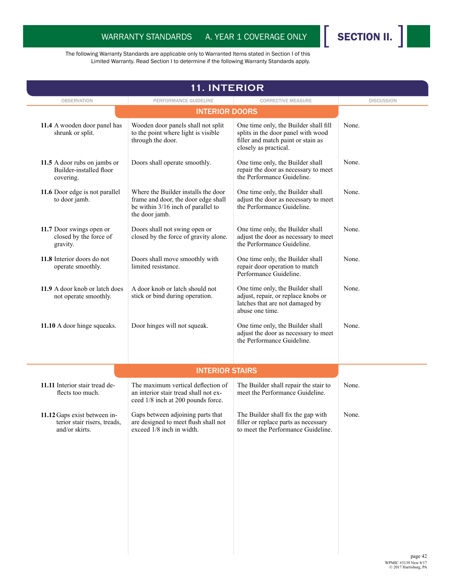

| <b>11. INTERIOR</b>                                                            |                                                                                                                                    |                                                                                                                                            |                   |
|--------------------------------------------------------------------------------|------------------------------------------------------------------------------------------------------------------------------------|--------------------------------------------------------------------------------------------------------------------------------------------|-------------------|
| <b>OBSERVATION</b>                                                             | PERFORMANCE GUIDELINE                                                                                                              | <b>CORRECTIVE MEASURE</b>                                                                                                                  | <b>DISCUSSION</b> |
|                                                                                | <b>INTERIOR DOORS</b>                                                                                                              |                                                                                                                                            |                   |
| 11.4 A wooden door panel has<br>shrunk or split.                               | Wooden door panels shall not split<br>to the point where light is visible<br>through the door.                                     | One time only, the Builder shall fill<br>splits in the door panel with wood<br>filler and match paint or stain as<br>closely as practical. | None.             |
| 11.5 A door rubs on jambs or<br>Builder-installed floor<br>covering.           | Doors shall operate smoothly.                                                                                                      | One time only, the Builder shall<br>repair the door as necessary to meet<br>the Performance Guideline.                                     | None.             |
| 11.6 Door edge is not parallel<br>to door jamb.                                | Where the Builder installs the door<br>frame and door, the door edge shall<br>be within 3/16 inch of parallel to<br>the door jamb. | One time only, the Builder shall<br>adjust the door as necessary to meet<br>the Performance Guideline.                                     | None.             |
| 11.7 Door swings open or<br>closed by the force of<br>gravity.                 | Doors shall not swing open or<br>closed by the force of gravity alone.                                                             | One time only, the Builder shall<br>adjust the door as necessary to meet<br>the Performance Guideline.                                     | None.             |
| 11.8 Interior doors do not<br>operate smoothly.                                | Doors shall move smoothly with<br>limited resistance.                                                                              | One time only, the Builder shall<br>repair door operation to match<br>Performance Guideline.                                               | None.             |
| 11.9 A door knob or latch does<br>not operate smoothly.                        | A door knob or latch should not<br>stick or bind during operation.                                                                 | One time only, the Builder shall<br>adjust, repair, or replace knobs or<br>latches that are not damaged by<br>abuse one time.              | None.             |
| 11.10 A door hinge squeaks.                                                    | Door hinges will not squeak.                                                                                                       | One time only, the Builder shall<br>adjust the door as necessary to meet<br>the Performance Guideline.                                     | None.             |
|                                                                                | <b>INTERIOR STAIRS</b>                                                                                                             |                                                                                                                                            |                   |
| 11.11 Interior stair tread de-<br>flects too much.                             | The maximum vertical deflection of<br>an interior stair tread shall not ex-<br>ceed 1/8 inch at 200 pounds force.                  | The Builder shall repair the stair to<br>meet the Performance Guideline.                                                                   | None.             |
| 11.12 Gaps exist between in-<br>terior stair risers, treads,<br>and/or skirts. | Gaps between adjoining parts that<br>are designed to meet flush shall not<br>exceed $1/8$ inch in width.                           | The Builder shall fix the gap with<br>filler or replace parts as necessary<br>to meet the Performance Guideline.                           | None.             |
|                                                                                |                                                                                                                                    |                                                                                                                                            |                   |
|                                                                                |                                                                                                                                    |                                                                                                                                            |                   |
|                                                                                |                                                                                                                                    |                                                                                                                                            |                   |
|                                                                                |                                                                                                                                    |                                                                                                                                            |                   |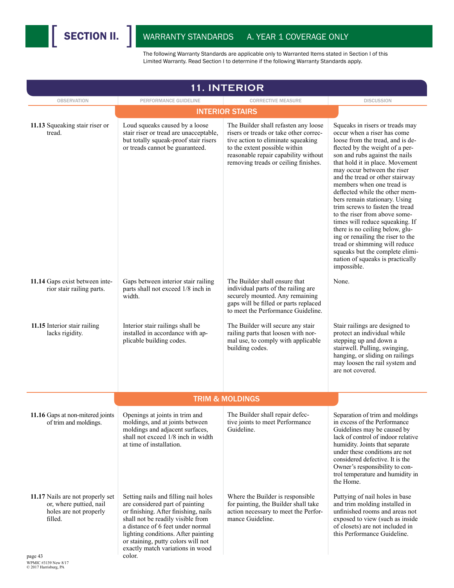

| <b>11. INTERIOR</b>                                                                                         |                                                                                                                                                                                                                                                                                                                      |                                                                                                                                                                                                                                       |                                                                                                                                                                                                                                                                                                                                                                                                                                                                                                                                                                                                                                                                                    |  |
|-------------------------------------------------------------------------------------------------------------|----------------------------------------------------------------------------------------------------------------------------------------------------------------------------------------------------------------------------------------------------------------------------------------------------------------------|---------------------------------------------------------------------------------------------------------------------------------------------------------------------------------------------------------------------------------------|------------------------------------------------------------------------------------------------------------------------------------------------------------------------------------------------------------------------------------------------------------------------------------------------------------------------------------------------------------------------------------------------------------------------------------------------------------------------------------------------------------------------------------------------------------------------------------------------------------------------------------------------------------------------------------|--|
| <b>OBSERVATION</b>                                                                                          | PERFORMANCE GUIDELINE                                                                                                                                                                                                                                                                                                | <b>CORRECTIVE MEASURE</b>                                                                                                                                                                                                             | <b>DISCUSSION</b>                                                                                                                                                                                                                                                                                                                                                                                                                                                                                                                                                                                                                                                                  |  |
|                                                                                                             |                                                                                                                                                                                                                                                                                                                      | <b>INTERIOR STAIRS</b>                                                                                                                                                                                                                |                                                                                                                                                                                                                                                                                                                                                                                                                                                                                                                                                                                                                                                                                    |  |
| 11.13 Squeaking stair riser or<br>tread.                                                                    | Loud squeaks caused by a loose<br>stair riser or tread are unacceptable,<br>but totally squeak-proof stair risers<br>or treads cannot be guaranteed.                                                                                                                                                                 | The Builder shall refasten any loose<br>risers or treads or take other correc-<br>tive action to eliminate squeaking<br>to the extent possible within<br>reasonable repair capability without<br>removing treads or ceiling finishes. | Squeaks in risers or treads may<br>occur when a riser has come<br>loose from the tread, and is de-<br>flected by the weight of a per-<br>son and rubs against the nails<br>that hold it in place. Movement<br>may occur between the riser<br>and the tread or other stairway<br>members when one tread is<br>deflected while the other mem-<br>bers remain stationary. Using<br>trim screws to fasten the tread<br>to the riser from above some-<br>times will reduce squeaking. If<br>there is no ceiling below, glu-<br>ing or renailing the riser to the<br>tread or shimming will reduce<br>squeaks but the complete elimi-<br>nation of squeaks is practically<br>impossible. |  |
| 11.14 Gaps exist between inte-<br>rior stair railing parts.                                                 | Gaps between interior stair railing<br>parts shall not exceed 1/8 inch in<br>width.                                                                                                                                                                                                                                  | The Builder shall ensure that<br>individual parts of the railing are<br>securely mounted. Any remaining<br>gaps will be filled or parts replaced<br>to meet the Performance Guideline.                                                | None.                                                                                                                                                                                                                                                                                                                                                                                                                                                                                                                                                                                                                                                                              |  |
| 11.15 Interior stair railing<br>lacks rigidity.                                                             | Interior stair railings shall be<br>installed in accordance with ap-<br>plicable building codes.                                                                                                                                                                                                                     | The Builder will secure any stair<br>railing parts that loosen with nor-<br>mal use, to comply with applicable<br>building codes.                                                                                                     | Stair railings are designed to<br>protect an individual while<br>stepping up and down a<br>stairwell. Pulling, swinging,<br>hanging, or sliding on railings<br>may loosen the rail system and<br>are not covered.                                                                                                                                                                                                                                                                                                                                                                                                                                                                  |  |
|                                                                                                             |                                                                                                                                                                                                                                                                                                                      | <b>TRIM &amp; MOLDINGS</b>                                                                                                                                                                                                            |                                                                                                                                                                                                                                                                                                                                                                                                                                                                                                                                                                                                                                                                                    |  |
| 11.16 Gaps at non-mitered joints<br>of trim and moldings.                                                   | Openings at joints in trim and<br>moldings, and at joints between<br>moldings and adjacent surfaces,<br>shall not exceed 1/8 inch in width<br>at time of installation.                                                                                                                                               | The Builder shall repair defec-<br>tive joints to meet Performance<br>Guideline.                                                                                                                                                      | Separation of trim and moldings<br>in excess of the Performance<br>Guidelines may be caused by<br>lack of control of indoor relative<br>humidity. Joints that separate<br>under these conditions are not<br>considered defective. It is the<br>Owner's responsibility to con-<br>trol temperature and humidity in<br>the Home.                                                                                                                                                                                                                                                                                                                                                     |  |
| 11.17 Nails are not properly set<br>or, where puttied, nail<br>holes are not properly<br>filled.<br>page 43 | Setting nails and filling nail holes<br>are considered part of painting<br>or finishing. After finishing, nails<br>shall not be readily visible from<br>a distance of 6 feet under normal<br>lighting conditions. After painting<br>or staining, putty colors will not<br>exactly match variations in wood<br>color. | Where the Builder is responsible<br>for painting, the Builder shall take<br>action necessary to meet the Perfor-<br>mance Guideline.                                                                                                  | Puttying of nail holes in base<br>and trim molding installed in<br>unfinished rooms and areas not<br>exposed to view (such as inside<br>of closets) are not included in<br>this Performance Guideline.                                                                                                                                                                                                                                                                                                                                                                                                                                                                             |  |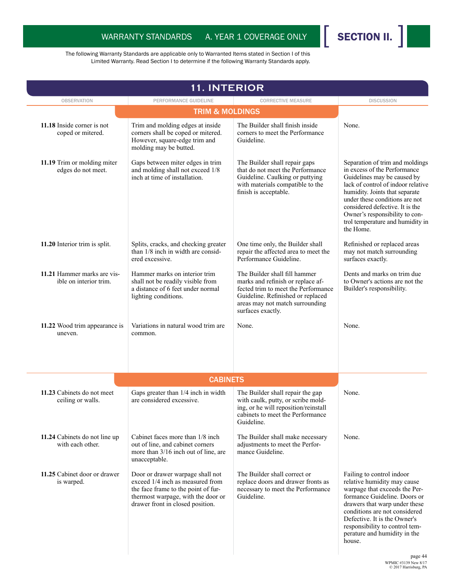

| <b>11. INTERIOR</b>                                   |                                                                                                                                                                                       |                                                                                                                                                                                                        |                                                                                                                                                                                                                                                                                                                                |
|-------------------------------------------------------|---------------------------------------------------------------------------------------------------------------------------------------------------------------------------------------|--------------------------------------------------------------------------------------------------------------------------------------------------------------------------------------------------------|--------------------------------------------------------------------------------------------------------------------------------------------------------------------------------------------------------------------------------------------------------------------------------------------------------------------------------|
| <b>OBSERVATION</b>                                    | PERFORMANCE GUIDELINE                                                                                                                                                                 | <b>CORRECTIVE MEASURE</b>                                                                                                                                                                              | <b>DISCUSSION</b>                                                                                                                                                                                                                                                                                                              |
|                                                       | <b>TRIM &amp; MOLDINGS</b>                                                                                                                                                            |                                                                                                                                                                                                        |                                                                                                                                                                                                                                                                                                                                |
| 11.18 Inside corner is not<br>coped or mitered.       | Trim and molding edges at inside<br>corners shall be coped or mitered.<br>However, square-edge trim and<br>molding may be butted.                                                     | The Builder shall finish inside<br>corners to meet the Performance<br>Guideline.                                                                                                                       | None.                                                                                                                                                                                                                                                                                                                          |
| 11.19 Trim or molding miter<br>edges do not meet.     | Gaps between miter edges in trim<br>and molding shall not exceed 1/8<br>inch at time of installation.                                                                                 | The Builder shall repair gaps<br>that do not meet the Performance<br>Guideline. Caulking or puttying<br>with materials compatible to the<br>finish is acceptable.                                      | Separation of trim and moldings<br>in excess of the Performance<br>Guidelines may be caused by<br>lack of control of indoor relative<br>humidity. Joints that separate<br>under these conditions are not<br>considered defective. It is the<br>Owner's responsibility to con-<br>trol temperature and humidity in<br>the Home. |
| 11.20 Interior trim is split.                         | Splits, cracks, and checking greater<br>than 1/8 inch in width are consid-<br>ered excessive.                                                                                         | One time only, the Builder shall<br>repair the affected area to meet the<br>Performance Guideline.                                                                                                     | Refinished or replaced areas<br>may not match surrounding<br>surfaces exactly.                                                                                                                                                                                                                                                 |
| 11.21 Hammer marks are vis-<br>ible on interior trim. | Hammer marks on interior trim<br>shall not be readily visible from<br>a distance of 6 feet under normal<br>lighting conditions.                                                       | The Builder shall fill hammer<br>marks and refinish or replace af-<br>fected trim to meet the Performance<br>Guideline. Refinished or replaced<br>areas may not match surrounding<br>surfaces exactly. | Dents and marks on trim due<br>to Owner's actions are not the<br>Builder's responsibility.                                                                                                                                                                                                                                     |
| 11.22 Wood trim appearance is<br>uneven.              | Variations in natural wood trim are.<br>common.                                                                                                                                       | None.                                                                                                                                                                                                  | None.                                                                                                                                                                                                                                                                                                                          |
|                                                       | <b>CABINETS</b>                                                                                                                                                                       |                                                                                                                                                                                                        |                                                                                                                                                                                                                                                                                                                                |
| 11.23 Cabinets do not meet<br>ceiling or walls.       | Gaps greater than 1/4 inch in width<br>are considered excessive.                                                                                                                      | The Builder shall repair the gap<br>with caulk, putty, or scribe mold-<br>ing, or he will reposition/reinstall<br>cabinets to meet the Performance<br>Guideline.                                       | None.                                                                                                                                                                                                                                                                                                                          |
| 11.24 Cabinets do not line up<br>with each other.     | Cabinet faces more than 1/8 inch<br>out of line, and cabinet corners<br>more than 3/16 inch out of line, are<br>unacceptable.                                                         | The Builder shall make necessary<br>adjustments to meet the Perfor-<br>mance Guideline.                                                                                                                | None.                                                                                                                                                                                                                                                                                                                          |
| 11.25 Cabinet door or drawer<br>is warped.            | Door or drawer warpage shall not<br>exceed 1/4 inch as measured from<br>the face frame to the point of fur-<br>thermost warpage, with the door or<br>drawer front in closed position. | The Builder shall correct or<br>replace doors and drawer fronts as<br>necessary to meet the Performance<br>Guideline.                                                                                  | Failing to control indoor<br>relative humidity may cause<br>warpage that exceeds the Per-<br>formance Guideline. Doors or<br>drawers that warp under these<br>conditions are not considered<br>Defective. It is the Owner's<br>responsibility to control tem-<br>perature and humidity in the<br>house.                        |
|                                                       |                                                                                                                                                                                       |                                                                                                                                                                                                        | page 44                                                                                                                                                                                                                                                                                                                        |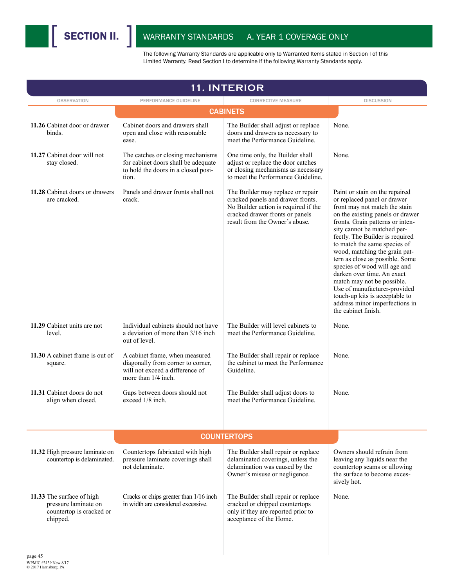

|                                                                                           | <b>11. INTERIOR</b>                                                                                                           |                                                                                                                                                                                     |                                                                                                                                                                                                                                                                                                                                                                                                                                                                                                                                                                     |  |  |
|-------------------------------------------------------------------------------------------|-------------------------------------------------------------------------------------------------------------------------------|-------------------------------------------------------------------------------------------------------------------------------------------------------------------------------------|---------------------------------------------------------------------------------------------------------------------------------------------------------------------------------------------------------------------------------------------------------------------------------------------------------------------------------------------------------------------------------------------------------------------------------------------------------------------------------------------------------------------------------------------------------------------|--|--|
| <b>OBSERVATION</b>                                                                        | PERFORMANCE GUIDELINE                                                                                                         | <b>CORRECTIVE MEASURE</b>                                                                                                                                                           | <b>DISCUSSION</b>                                                                                                                                                                                                                                                                                                                                                                                                                                                                                                                                                   |  |  |
|                                                                                           |                                                                                                                               | <b>CABINETS</b>                                                                                                                                                                     |                                                                                                                                                                                                                                                                                                                                                                                                                                                                                                                                                                     |  |  |
| 11.26 Cabinet door or drawer<br>binds.                                                    | Cabinet doors and drawers shall<br>open and close with reasonable<br>ease.                                                    | The Builder shall adjust or replace<br>doors and drawers as necessary to<br>meet the Performance Guideline.                                                                         | None.                                                                                                                                                                                                                                                                                                                                                                                                                                                                                                                                                               |  |  |
| 11.27 Cabinet door will not<br>stay closed.                                               | The catches or closing mechanisms<br>for cabinet doors shall be adequate<br>to hold the doors in a closed posi-<br>tion.      | One time only, the Builder shall<br>adjust or replace the door catches<br>or closing mechanisms as necessary<br>to meet the Performance Guideline                                   | None.                                                                                                                                                                                                                                                                                                                                                                                                                                                                                                                                                               |  |  |
| 11.28 Cabinet doors or drawers<br>are cracked.                                            | Panels and drawer fronts shall not<br>crack.                                                                                  | The Builder may replace or repair<br>cracked panels and drawer fronts.<br>No Builder action is required if the<br>cracked drawer fronts or panels<br>result from the Owner's abuse. | Paint or stain on the repaired<br>or replaced panel or drawer<br>front may not match the stain<br>on the existing panels or drawer<br>fronts. Grain patterns or inten-<br>sity cannot be matched per-<br>fectly. The Builder is required<br>to match the same species of<br>wood, matching the grain pat-<br>tern as close as possible. Some<br>species of wood will age and<br>darken over time. An exact<br>match may not be possible.<br>Use of manufacturer-provided<br>touch-up kits is acceptable to<br>address minor imperfections in<br>the cabinet finish. |  |  |
| 11.29 Cabinet units are not<br>level.                                                     | Individual cabinets should not have<br>a deviation of more than 3/16 inch.<br>out of level.                                   | The Builder will level cabinets to<br>meet the Performance Guideline.                                                                                                               | None.                                                                                                                                                                                                                                                                                                                                                                                                                                                                                                                                                               |  |  |
| 11.30 A cabinet frame is out of<br>square.                                                | A cabinet frame, when measured<br>diagonally from corner to corner,<br>will not exceed a difference of<br>more than 1/4 inch. | The Builder shall repair or replace<br>the cabinet to meet the Performance<br>Guideline.                                                                                            | None.                                                                                                                                                                                                                                                                                                                                                                                                                                                                                                                                                               |  |  |
| 11.31 Cabinet doors do not<br>align when closed.                                          | Gaps between doors should not<br>exceed 1/8 inch.                                                                             | The Builder shall adjust doors to<br>meet the Performance Guideline                                                                                                                 | None.                                                                                                                                                                                                                                                                                                                                                                                                                                                                                                                                                               |  |  |
|                                                                                           |                                                                                                                               | <b>COUNTERTOPS</b>                                                                                                                                                                  |                                                                                                                                                                                                                                                                                                                                                                                                                                                                                                                                                                     |  |  |
| 11.32 High pressure laminate on<br>countertop is delaminated.                             | Countertops fabricated with high<br>pressure laminate coverings shall<br>not delaminate.                                      | The Builder shall repair or replace<br>delaminated coverings, unless the<br>delamination was caused by the<br>Owner's misuse or negligence.                                         | Owners should refrain from<br>leaving any liquids near the<br>countertop seams or allowing<br>the surface to become exces-<br>sively hot.                                                                                                                                                                                                                                                                                                                                                                                                                           |  |  |
| 11.33 The surface of high<br>pressure laminate on<br>countertop is cracked or<br>chipped. | Cracks or chips greater than 1/16 inch<br>in width are considered excessive.                                                  | The Builder shall repair or replace<br>cracked or chipped countertops<br>only if they are reported prior to<br>acceptance of the Home.                                              | None.                                                                                                                                                                                                                                                                                                                                                                                                                                                                                                                                                               |  |  |
| page 45                                                                                   |                                                                                                                               |                                                                                                                                                                                     |                                                                                                                                                                                                                                                                                                                                                                                                                                                                                                                                                                     |  |  |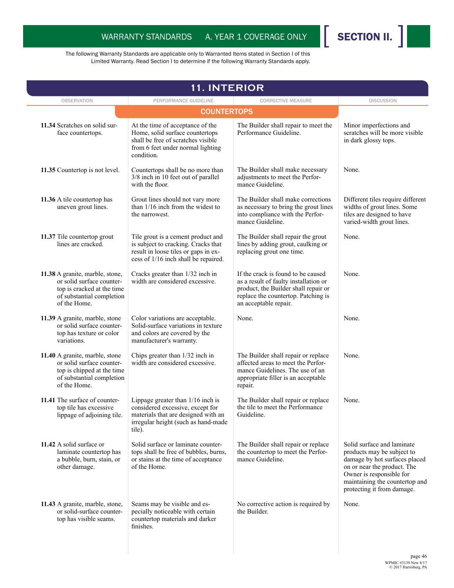

| <b>11. INTERIOR</b>                                                                                                                     |                                                                                                                                                                 |                                                                                                                                                                                     |                                                                                                                                                                                                                      |
|-----------------------------------------------------------------------------------------------------------------------------------------|-----------------------------------------------------------------------------------------------------------------------------------------------------------------|-------------------------------------------------------------------------------------------------------------------------------------------------------------------------------------|----------------------------------------------------------------------------------------------------------------------------------------------------------------------------------------------------------------------|
| <b>OBSERVATION</b>                                                                                                                      | PERFORMANCE GUIDELINE                                                                                                                                           | <b>CORRECTIVE MEASURE</b>                                                                                                                                                           | <b>DISCUSSION</b>                                                                                                                                                                                                    |
|                                                                                                                                         |                                                                                                                                                                 |                                                                                                                                                                                     |                                                                                                                                                                                                                      |
| 11.34 Scratches on solid sur-<br>face countertops.                                                                                      | At the time of acceptance of the<br>Home, solid surface countertops<br>shall be free of scratches visible<br>from 6 feet under normal lighting<br>condition.    | The Builder shall repair to meet the<br>Performance Guideline.                                                                                                                      | Minor imperfections and<br>scratches will be more visible<br>in dark glossy tops.                                                                                                                                    |
| 11.35 Countertop is not level.                                                                                                          | Countertops shall be no more than<br>3/8 inch in 10 feet out of parallel<br>with the floor.                                                                     | The Builder shall make necessary<br>adjustments to meet the Perfor-<br>mance Guideline.                                                                                             | None.                                                                                                                                                                                                                |
| 11.36 A tile countertop has<br>uneven grout lines.                                                                                      | Grout lines should not vary more<br>than $1/16$ inch from the widest to<br>the narrowest.                                                                       | The Builder shall make corrections<br>as necessary to bring the grout lines<br>into compliance with the Perfor-<br>mance Guideline.                                                 | Different tiles require different<br>widths of grout lines. Some<br>tiles are designed to have<br>varied-width grout lines.                                                                                          |
| 11.37 Tile countertop grout<br>lines are cracked.                                                                                       | Tile grout is a cement product and<br>is subject to cracking. Cracks that<br>result in loose tiles or gaps in ex-<br>cess of 1/16 inch shall be repaired.       | The Builder shall repair the grout<br>lines by adding grout, caulking or<br>replacing grout one time.                                                                               | None.                                                                                                                                                                                                                |
| 11.38 A granite, marble, stone,<br>or solid surface counter-<br>top is cracked at the time<br>of substantial completion<br>of the Home. | Cracks greater than 1/32 inch in<br>width are considered excessive.                                                                                             | If the crack is found to be caused<br>as a result of faulty installation or<br>product, the Builder shall repair or<br>replace the countertop. Patching is<br>an acceptable repair. | None.                                                                                                                                                                                                                |
| 11.39 A granite, marble, stone<br>or solid surface counter-<br>top has texture or color<br>variations.                                  | Color variations are acceptable.<br>Solid-surface variations in texture<br>and colors are covered by the<br>manufacturer's warranty.                            | None.                                                                                                                                                                               | None.                                                                                                                                                                                                                |
| 11.40 A granite, marble, stone<br>or solid surface counter-<br>top is chipped at the time<br>of substantial completion<br>of the Home.  | Chips greater than 1/32 inch in<br>width are considered excessive.                                                                                              | The Builder shall repair or replace<br>affected areas to meet the Perfor-<br>mance Guidelines. The use of an<br>appropriate filler is an acceptable<br>repair.                      | None.                                                                                                                                                                                                                |
| 11.41 The surface of counter-<br>top tile has excessive<br>lippage of adjoining tile.                                                   | Lippage greater than $1/16$ inch is<br>considered excessive, except for<br>materials that are designed with an<br>irregular height (such as hand-made<br>tile). | The Builder shall repair or replace<br>the tile to meet the Performance<br>Guideline.                                                                                               | None.                                                                                                                                                                                                                |
| 11.42 A solid surface or<br>laminate countertop has<br>a bubble, burn, stain, or<br>other damage.                                       | Solid surface or laminate counter-<br>tops shall be free of bubbles, burns,<br>or stains at the time of acceptance<br>of the Home.                              | The Builder shall repair or replace<br>the countertop to meet the Perfor-<br>mance Guideline.                                                                                       | Solid surface and laminate<br>products may be subject to<br>damage by hot surfaces placed<br>on or near the product. The<br>Owner is responsible for<br>maintaining the countertop and<br>protecting it from damage. |
| 11.43 A granite, marble, stone,<br>or solid-surface counter-<br>top has visible seams.                                                  | Seams may be visible and es-<br>pecially noticeable with certain<br>countertop materials and darker<br>finishes.                                                | No corrective action is required by<br>the Builder.                                                                                                                                 | None.                                                                                                                                                                                                                |
|                                                                                                                                         |                                                                                                                                                                 |                                                                                                                                                                                     |                                                                                                                                                                                                                      |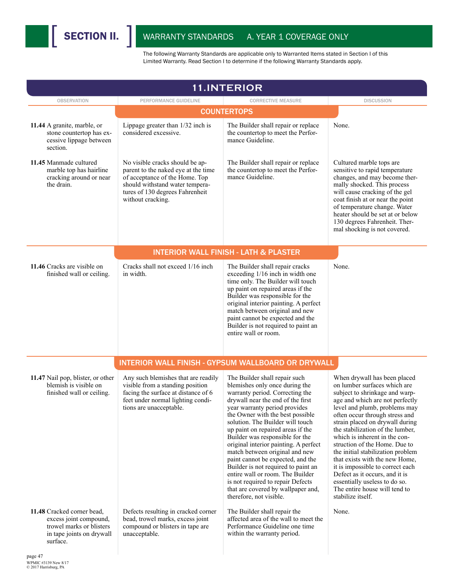

| <b>11.INTERIOR</b>                                                                                                        |                                                                                                                                                                                                     |                                                                                                                                                                                                                                                                                                                                                                                                                                                                                                                                                                                                                           |                                                                                                                                                                                                                                                                                                                                                                                                                                                                                                                                                                                   |  |  |
|---------------------------------------------------------------------------------------------------------------------------|-----------------------------------------------------------------------------------------------------------------------------------------------------------------------------------------------------|---------------------------------------------------------------------------------------------------------------------------------------------------------------------------------------------------------------------------------------------------------------------------------------------------------------------------------------------------------------------------------------------------------------------------------------------------------------------------------------------------------------------------------------------------------------------------------------------------------------------------|-----------------------------------------------------------------------------------------------------------------------------------------------------------------------------------------------------------------------------------------------------------------------------------------------------------------------------------------------------------------------------------------------------------------------------------------------------------------------------------------------------------------------------------------------------------------------------------|--|--|
| <b>OBSERVATION</b>                                                                                                        | PERFORMANCE GUIDELINE                                                                                                                                                                               | <b>CORRECTIVE MEASURE</b>                                                                                                                                                                                                                                                                                                                                                                                                                                                                                                                                                                                                 | <b>DISCUSSION</b>                                                                                                                                                                                                                                                                                                                                                                                                                                                                                                                                                                 |  |  |
|                                                                                                                           | <b>COUNTERTOPS</b>                                                                                                                                                                                  |                                                                                                                                                                                                                                                                                                                                                                                                                                                                                                                                                                                                                           |                                                                                                                                                                                                                                                                                                                                                                                                                                                                                                                                                                                   |  |  |
| 11.44 A granite, marble, or<br>stone countertop has ex-<br>cessive lippage between<br>section.                            | Lippage greater than 1/32 inch is<br>considered excessive.                                                                                                                                          | The Builder shall repair or replace<br>the countertop to meet the Perfor-<br>mance Guideline.                                                                                                                                                                                                                                                                                                                                                                                                                                                                                                                             | None.                                                                                                                                                                                                                                                                                                                                                                                                                                                                                                                                                                             |  |  |
| 11.45 Manmade cultured<br>marble top has hairline<br>cracking around or near<br>the drain.                                | No visible cracks should be ap-<br>parent to the naked eye at the time<br>of acceptance of the Home. Top<br>should withstand water tempera-<br>tures of 130 degrees Fahrenheit<br>without cracking. | The Builder shall repair or replace<br>the countertop to meet the Perfor-<br>mance Guideline.                                                                                                                                                                                                                                                                                                                                                                                                                                                                                                                             | Cultured marble tops are<br>sensitive to rapid temperature<br>changes, and may become ther-<br>mally shocked. This process<br>will cause cracking of the gel<br>coat finish at or near the point<br>of temperature change. Water<br>heater should be set at or below<br>130 degrees Fahrenheit. Ther-<br>mal shocking is not covered.                                                                                                                                                                                                                                             |  |  |
|                                                                                                                           |                                                                                                                                                                                                     | <b>INTERIOR WALL FINISH - LATH &amp; PLASTER</b>                                                                                                                                                                                                                                                                                                                                                                                                                                                                                                                                                                          |                                                                                                                                                                                                                                                                                                                                                                                                                                                                                                                                                                                   |  |  |
| 11.46 Cracks are visible on<br>finished wall or ceiling.                                                                  | Cracks shall not exceed 1/16 inch<br>in width.                                                                                                                                                      | The Builder shall repair cracks<br>exceeding 1/16 inch in width one<br>time only. The Builder will touch<br>up paint on repaired areas if the<br>Builder was responsible for the<br>original interior painting. A perfect<br>match between original and new<br>paint cannot be expected and the<br>Builder is not required to paint an<br>entire wall or room.                                                                                                                                                                                                                                                            | None.                                                                                                                                                                                                                                                                                                                                                                                                                                                                                                                                                                             |  |  |
|                                                                                                                           |                                                                                                                                                                                                     | INTERIOR WALL FINISH - GYPSUM WALLBOARD OR DRYWALL                                                                                                                                                                                                                                                                                                                                                                                                                                                                                                                                                                        |                                                                                                                                                                                                                                                                                                                                                                                                                                                                                                                                                                                   |  |  |
| 11.47 Nail pop, blister, or other<br>blemish is visible on<br>finished wall or ceiling.                                   | Any such blemishes that are readily<br>visible from a standing position<br>facing the surface at distance of 6<br>feet under normal lighting condi-<br>tions are unacceptable.                      | The Builder shall repair such<br>blemishes only once during the<br>warranty period. Correcting the<br>drywall near the end of the first<br>year warranty period provides<br>the Owner with the best possible<br>solution. The Builder will touch<br>up paint on repaired areas if the<br>Builder was responsible for the<br>original interior painting. A perfect<br>match between original and new<br>paint cannot be expected, and the<br>Builder is not required to paint an<br>entire wall or room. The Builder<br>is not required to repair Defects<br>that are covered by wallpaper and,<br>therefore, not visible. | When drywall has been placed<br>on lumber surfaces which are<br>subject to shrinkage and warp-<br>age and which are not perfectly<br>level and plumb, problems may<br>often occur through stress and<br>strain placed on drywall during<br>the stabilization of the lumber,<br>which is inherent in the con-<br>struction of the Home. Due to<br>the initial stabilization problem<br>that exists with the new Home,<br>it is impossible to correct each<br>Defect as it occurs, and it is<br>essentially useless to do so.<br>The entire house will tend to<br>stabilize itself. |  |  |
| 11.48 Cracked corner bead,<br>excess joint compound,<br>trowel marks or blisters<br>in tape joints on drywall<br>surface. | Defects resulting in cracked corner<br>bead, trowel marks, excess joint<br>compound or blisters in tape are<br>unacceptable.                                                                        | The Builder shall repair the<br>affected area of the wall to meet the<br>Performance Guideline one time<br>within the warranty period.                                                                                                                                                                                                                                                                                                                                                                                                                                                                                    | None.                                                                                                                                                                                                                                                                                                                                                                                                                                                                                                                                                                             |  |  |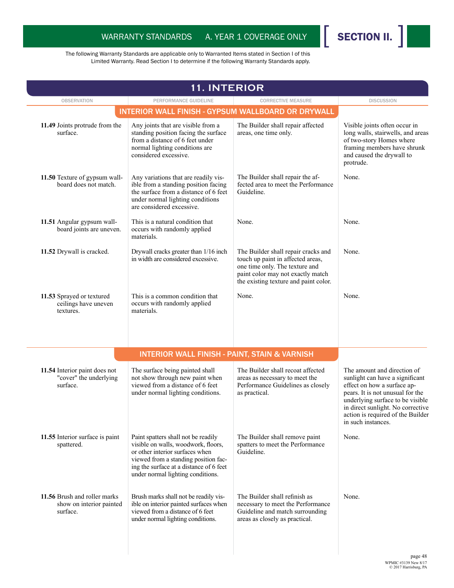

| <b>11. INTERIOR</b>                                                  |                                                                                                                                                                                                                                       |                                                                                                                                                                                          |                                                                                                                                                                                                                                                                       |
|----------------------------------------------------------------------|---------------------------------------------------------------------------------------------------------------------------------------------------------------------------------------------------------------------------------------|------------------------------------------------------------------------------------------------------------------------------------------------------------------------------------------|-----------------------------------------------------------------------------------------------------------------------------------------------------------------------------------------------------------------------------------------------------------------------|
| <b>OBSERVATION</b>                                                   | PERFORMANCE GUIDELINE                                                                                                                                                                                                                 | <b>CORRECTIVE MEASURE</b>                                                                                                                                                                | <b>DISCUSSION</b>                                                                                                                                                                                                                                                     |
|                                                                      | <b>INTERIOR WALL FINISH - GYPSUM WALLBOARD OR DRYWALL</b>                                                                                                                                                                             |                                                                                                                                                                                          |                                                                                                                                                                                                                                                                       |
| 11.49 Joints protrude from the<br>surface.                           | Any joints that are visible from a<br>standing position facing the surface<br>from a distance of 6 feet under<br>normal lighting conditions are<br>considered excessive.                                                              | The Builder shall repair affected<br>areas, one time only.                                                                                                                               | Visible joints often occur in<br>long walls, stairwells, and areas<br>of two-story Homes where<br>framing members have shrunk<br>and caused the drywall to<br>protrude.                                                                                               |
| 11.50 Texture of gypsum wall-<br>board does not match.               | Any variations that are readily vis-<br>ible from a standing position facing<br>the surface from a distance of 6 feet<br>under normal lighting conditions<br>are considered excessive.                                                | The Builder shall repair the af-<br>fected area to meet the Performance<br>Guideline.                                                                                                    | None.                                                                                                                                                                                                                                                                 |
| 11.51 Angular gypsum wall-<br>board joints are uneven.               | This is a natural condition that<br>occurs with randomly applied<br>materials.                                                                                                                                                        | None.                                                                                                                                                                                    | None.                                                                                                                                                                                                                                                                 |
| 11.52 Drywall is cracked.                                            | Drywall cracks greater than 1/16 inch<br>in width are considered excessive.                                                                                                                                                           | The Builder shall repair cracks and<br>touch up paint in affected areas,<br>one time only. The texture and<br>paint color may not exactly match<br>the existing texture and paint color. | None.                                                                                                                                                                                                                                                                 |
| 11.53 Sprayed or textured<br>ceilings have uneven<br>textures.       | This is a common condition that<br>occurs with randomly applied<br>materials.                                                                                                                                                         | None.                                                                                                                                                                                    | None.                                                                                                                                                                                                                                                                 |
|                                                                      | <b>INTERIOR WALL FINISH - PAINT, STAIN &amp; VARNISH</b>                                                                                                                                                                              |                                                                                                                                                                                          |                                                                                                                                                                                                                                                                       |
| 11.54 Interior paint does not<br>"cover" the underlying<br>surface.  | The surface being painted shall<br>not show through new paint when<br>viewed from a distance of 6 feet<br>under normal lighting conditions.                                                                                           | The Builder shall recoat affected<br>areas as necessary to meet the<br>Performance Guidelines as closely<br>as practical.                                                                | The amount and direction of<br>sunlight can have a significant<br>effect on how a surface ap-<br>pears. It is not unusual for the<br>underlying surface to be visible<br>in direct sunlight. No corrective<br>action is required of the Builder<br>in such instances. |
| 11.55 Interior surface is paint<br>spattered.                        | Paint spatters shall not be readily<br>visible on walls, woodwork, floors,<br>or other interior surfaces when<br>viewed from a standing position fac-<br>ing the surface at a distance of 6 feet<br>under normal lighting conditions. | The Builder shall remove paint<br>spatters to meet the Performance<br>Guideline.                                                                                                         | None.                                                                                                                                                                                                                                                                 |
| 11.56 Brush and roller marks<br>show on interior painted<br>surface. | Brush marks shall not be readily vis-<br>ible on interior painted surfaces when<br>viewed from a distance of 6 feet<br>under normal lighting conditions.                                                                              | The Builder shall refinish as<br>necessary to meet the Performance<br>Guideline and match surrounding<br>areas as closely as practical.                                                  | None.                                                                                                                                                                                                                                                                 |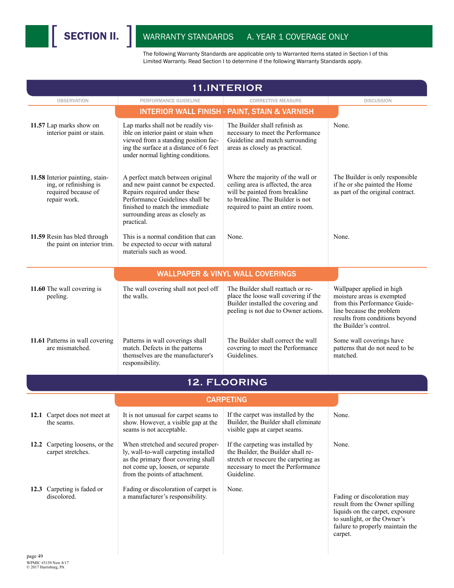| <b>11.INTERIOR</b>                                                                               |                                                                                                                                                                                                                              |                                                                                                                                                                                    |                                                                                                                                                                                 |
|--------------------------------------------------------------------------------------------------|------------------------------------------------------------------------------------------------------------------------------------------------------------------------------------------------------------------------------|------------------------------------------------------------------------------------------------------------------------------------------------------------------------------------|---------------------------------------------------------------------------------------------------------------------------------------------------------------------------------|
| <b>OBSERVATION</b>                                                                               | PERFORMANCE GUIDELINE                                                                                                                                                                                                        | <b>CORRECTIVE MEASURE</b>                                                                                                                                                          | <b>DISCUSSION</b>                                                                                                                                                               |
|                                                                                                  |                                                                                                                                                                                                                              | <b>INTERIOR WALL FINISH - PAINT, STAIN &amp; VARNISH</b>                                                                                                                           |                                                                                                                                                                                 |
| 11.57 Lap marks show on<br>interior paint or stain.                                              | Lap marks shall not be readily vis-<br>ible on interior paint or stain when<br>viewed from a standing position fac-<br>ing the surface at a distance of 6 feet<br>under normal lighting conditions.                          | The Builder shall refinish as<br>necessary to meet the Performance<br>Guideline and match surrounding<br>areas as closely as practical.                                            | None.                                                                                                                                                                           |
| 11.58 Interior painting, stain-<br>ing, or refinishing is<br>required because of<br>repair work. | A perfect match between original<br>and new paint cannot be expected.<br>Repairs required under these<br>Performance Guidelines shall be<br>finished to match the immediate<br>surrounding areas as closely as<br>practical. | Where the majority of the wall or<br>ceiling area is affected, the area<br>will be painted from breakline<br>to breakline. The Builder is not<br>required to paint an entire room. | The Builder is only responsible<br>if he or she painted the Home<br>as part of the original contract.                                                                           |
| 11.59 Resin has bled through<br>the paint on interior trim.                                      | This is a normal condition that can<br>be expected to occur with natural<br>materials such as wood.                                                                                                                          | None.                                                                                                                                                                              | None.                                                                                                                                                                           |
|                                                                                                  |                                                                                                                                                                                                                              | <b>WALLPAPER &amp; VINYL WALL COVERINGS</b>                                                                                                                                        |                                                                                                                                                                                 |
| 11.60 The wall covering is<br>peeling.                                                           | The wall covering shall not peel off<br>the walls.                                                                                                                                                                           | The Builder shall reattach or re-<br>place the loose wall covering if the<br>Builder installed the covering and<br>peeling is not due to Owner actions.                            | Wallpaper applied in high<br>moisture areas is exempted<br>from this Performance Guide-<br>line because the problem<br>results from conditions beyond<br>the Builder's control. |
| 11.61 Patterns in wall covering<br>are mismatched.                                               | Patterns in wall coverings shall<br>match. Defects in the patterns<br>themselves are the manufacturer's<br>responsibility.                                                                                                   | The Builder shall correct the wall<br>covering to meet the Performance<br>Guidelines.                                                                                              | Some wall coverings have<br>patterns that do not need to be<br>matched.                                                                                                         |
|                                                                                                  |                                                                                                                                                                                                                              | 12. FLOORING                                                                                                                                                                       |                                                                                                                                                                                 |
|                                                                                                  |                                                                                                                                                                                                                              | <b>CARPETING</b>                                                                                                                                                                   |                                                                                                                                                                                 |
| 12.1 Carpet does not meet at<br>the seams.                                                       | It is not unusual for carpet seams to<br>show. However, a visible gap at the<br>seams is not acceptable.                                                                                                                     | If the carpet was installed by the<br>Builder, the Builder shall eliminate<br>visible gaps at carpet seams.                                                                        | None.                                                                                                                                                                           |
| 12.2 Carpeting loosens, or the<br>carpet stretches.                                              | When stretched and secured proper-<br>ly, wall-to-wall carpeting installed<br>as the primary floor covering shall<br>not come up, loosen, or separate<br>from the points of attachment.                                      | If the carpeting was installed by<br>the Builder, the Builder shall re-<br>stretch or resecure the carpeting as<br>necessary to meet the Performance<br>Guideline.                 | None.                                                                                                                                                                           |
| 12.3 Carpeting is faded or<br>discolored.                                                        | Fading or discoloration of carpet is<br>a manufacturer's responsibility.                                                                                                                                                     | None.                                                                                                                                                                              | Fading or discoloration may<br>result from the Owner spilling<br>liquids on the carpet, exposure<br>to sunlight, or the Owner's<br>failure to properly maintain the<br>carpet.  |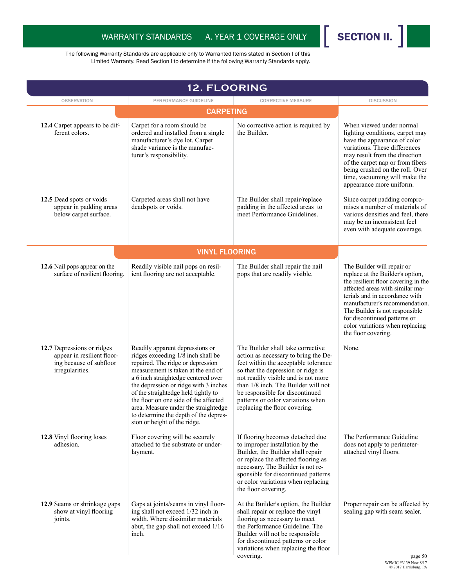

|                                                                                                        | 12. FLOORING                                                                                                                                                                                                                                                                                                                                                                                                                      |                                                                                                                                                                                                                                                                                                                                                |                                                                                                                                                                                                                                                                                                                                          |
|--------------------------------------------------------------------------------------------------------|-----------------------------------------------------------------------------------------------------------------------------------------------------------------------------------------------------------------------------------------------------------------------------------------------------------------------------------------------------------------------------------------------------------------------------------|------------------------------------------------------------------------------------------------------------------------------------------------------------------------------------------------------------------------------------------------------------------------------------------------------------------------------------------------|------------------------------------------------------------------------------------------------------------------------------------------------------------------------------------------------------------------------------------------------------------------------------------------------------------------------------------------|
| <b>OBSERVATION</b>                                                                                     | PERFORMANCE GUIDELINE                                                                                                                                                                                                                                                                                                                                                                                                             | <b>CORRECTIVE MEASURE</b>                                                                                                                                                                                                                                                                                                                      | <b>DISCUSSION</b>                                                                                                                                                                                                                                                                                                                        |
|                                                                                                        | <b>CARPETING</b>                                                                                                                                                                                                                                                                                                                                                                                                                  |                                                                                                                                                                                                                                                                                                                                                |                                                                                                                                                                                                                                                                                                                                          |
| 12.4 Carpet appears to be dif-<br>ferent colors.                                                       | Carpet for a room should be<br>ordered and installed from a single<br>manufacturer's dye lot. Carpet<br>shade variance is the manufac-<br>turer's responsibility.                                                                                                                                                                                                                                                                 | No corrective action is required by<br>the Builder.                                                                                                                                                                                                                                                                                            | When viewed under normal<br>lighting conditions, carpet may<br>have the appearance of color<br>variations. These differences<br>may result from the direction<br>of the carpet nap or from fibers<br>being crushed on the roll. Over<br>time, vacuuming will make the<br>appearance more uniform.                                        |
| 12.5 Dead spots or voids<br>appear in padding areas<br>below carpet surface.                           | Carpeted areas shall not have<br>deadspots or voids.                                                                                                                                                                                                                                                                                                                                                                              | The Builder shall repair/replace<br>padding in the affected areas to<br>meet Performance Guidelines.                                                                                                                                                                                                                                           | Since carpet padding compro-<br>mises a number of materials of<br>various densities and feel, there<br>may be an inconsistent feel<br>even with adequate coverage.                                                                                                                                                                       |
|                                                                                                        | <b>VINYL FLOORING</b>                                                                                                                                                                                                                                                                                                                                                                                                             |                                                                                                                                                                                                                                                                                                                                                |                                                                                                                                                                                                                                                                                                                                          |
| 12.6 Nail pops appear on the<br>surface of resilient flooring.                                         | Readily visible nail pops on resil-<br>ient flooring are not acceptable.                                                                                                                                                                                                                                                                                                                                                          | The Builder shall repair the nail<br>pops that are readily visible.                                                                                                                                                                                                                                                                            | The Builder will repair or<br>replace at the Builder's option,<br>the resilient floor covering in the<br>affected areas with similar ma-<br>terials and in accordance with<br>manufacturer's recommendation.<br>The Builder is not responsible<br>for discontinued patterns or<br>color variations when replacing<br>the floor covering. |
| 12.7 Depressions or ridges<br>appear in resilient floor-<br>ing because of subfloor<br>irregularities. | Readily apparent depressions or<br>ridges exceeding 1/8 inch shall be<br>repaired. The ridge or depression<br>measurement is taken at the end of<br>a 6 inch straightedge centered over<br>the depression or ridge with 3 inches<br>of the straightedge held tightly to<br>the floor on one side of the affected<br>area. Measure under the straightedge<br>to determine the depth of the depres-<br>sion or height of the ridge. | The Builder shall take corrective<br>action as necessary to bring the De-<br>fect within the acceptable tolerance<br>so that the depression or ridge is<br>not readily visible and is not more<br>than 1/8 inch. The Builder will not<br>be responsible for discontinued<br>patterns or color variations when<br>replacing the floor covering. | None.                                                                                                                                                                                                                                                                                                                                    |
| 12.8 Vinyl flooring loses<br>adhesion.                                                                 | Floor covering will be securely<br>attached to the substrate or under-<br>layment.                                                                                                                                                                                                                                                                                                                                                | If flooring becomes detached due<br>to improper installation by the<br>Builder, the Builder shall repair<br>or replace the affected flooring as<br>necessary. The Builder is not re-<br>sponsible for discontinued patterns<br>or color variations when replacing<br>the floor covering.                                                       | The Performance Guideline<br>does not apply to perimeter-<br>attached vinyl floors.                                                                                                                                                                                                                                                      |
| 12.9 Seams or shrinkage gaps<br>show at vinyl flooring<br>joints.                                      | Gaps at joints/seams in vinyl floor-<br>ing shall not exceed 1/32 inch in<br>width. Where dissimilar materials<br>abut, the gap shall not exceed 1/16<br>inch.                                                                                                                                                                                                                                                                    | At the Builder's option, the Builder<br>shall repair or replace the vinyl<br>flooring as necessary to meet<br>the Performance Guideline. The<br>Builder will not be responsible<br>for discontinued patterns or color<br>variations when replacing the floor<br>covering.                                                                      | Proper repair can be affected by<br>sealing gap with seam sealer.                                                                                                                                                                                                                                                                        |
|                                                                                                        |                                                                                                                                                                                                                                                                                                                                                                                                                                   |                                                                                                                                                                                                                                                                                                                                                | page 50<br>WPMIC #3139 New 8/17<br>© 2017 Harrisburg, PA                                                                                                                                                                                                                                                                                 |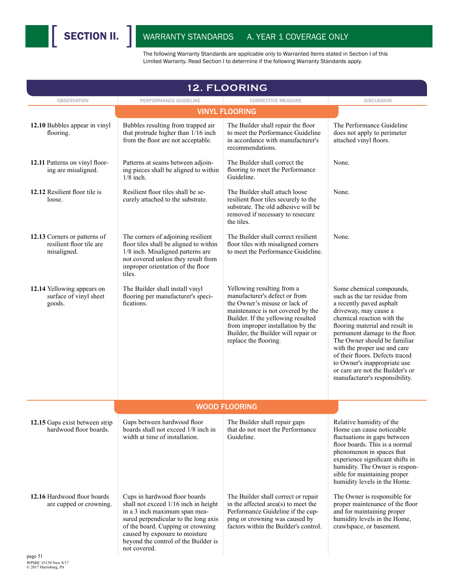

| <b>12. FLOORING</b>                                                     |                                                                                                                                                                                                                                                                               |                                                                                                                                                                                                                                                                              |                                                                                                                                                                                                                                                                                                                                                                                                                           |  |
|-------------------------------------------------------------------------|-------------------------------------------------------------------------------------------------------------------------------------------------------------------------------------------------------------------------------------------------------------------------------|------------------------------------------------------------------------------------------------------------------------------------------------------------------------------------------------------------------------------------------------------------------------------|---------------------------------------------------------------------------------------------------------------------------------------------------------------------------------------------------------------------------------------------------------------------------------------------------------------------------------------------------------------------------------------------------------------------------|--|
| <b>OBSERVATION</b>                                                      | PERFORMANCE GUIDELINE                                                                                                                                                                                                                                                         | <b>CORRECTIVE MEASURE</b>                                                                                                                                                                                                                                                    | <b>DISCUSSION</b>                                                                                                                                                                                                                                                                                                                                                                                                         |  |
|                                                                         |                                                                                                                                                                                                                                                                               | <b>VINYL FLOORING</b>                                                                                                                                                                                                                                                        |                                                                                                                                                                                                                                                                                                                                                                                                                           |  |
| 12.10 Bubbles appear in vinyl<br>flooring.                              | Bubbles resulting from trapped air<br>that protrude higher than 1/16 inch<br>from the floor are not acceptable.                                                                                                                                                               | The Builder shall repair the floor<br>to meet the Performance Guideline<br>in accordance with manufacturer's<br>recommendations.                                                                                                                                             | The Performance Guideline<br>does not apply to perimeter<br>attached vinyl floors.                                                                                                                                                                                                                                                                                                                                        |  |
| 12.11 Patterns on vinyl floor-<br>ing are misaligned.                   | Patterns at seams between adjoin-<br>ing pieces shall be aligned to within<br>$1/8$ inch.                                                                                                                                                                                     | The Builder shall correct the<br>flooring to meet the Performance<br>Guideline.                                                                                                                                                                                              | None.                                                                                                                                                                                                                                                                                                                                                                                                                     |  |
| 12.12 Resilient floor tile is<br>loose.                                 | Resilient floor tiles shall be se-<br>curely attached to the substrate.                                                                                                                                                                                                       | The Builder shall attach loose<br>resilient floor tiles securely to the<br>substrate. The old adhesive will be<br>removed if necessary to resecure<br>the tiles.                                                                                                             | None.                                                                                                                                                                                                                                                                                                                                                                                                                     |  |
| 12.13 Corners or patterns of<br>resilient floor tile are<br>misaligned. | The corners of adjoining resilient<br>floor tiles shall be aligned to within<br>1/8 inch. Misaligned patterns are<br>not covered unless they result from<br>improper orientation of the floor<br>tiles.                                                                       | The Builder shall correct resilient<br>floor tiles with misaligned corners<br>to meet the Performance Guideline.                                                                                                                                                             | None.                                                                                                                                                                                                                                                                                                                                                                                                                     |  |
| 12.14 Yellowing appears on<br>surface of vinyl sheet<br>goods.          | The Builder shall install vinyl<br>flooring per manufacturer's speci-<br>fications.                                                                                                                                                                                           | Yellowing resulting from a<br>manufacturer's defect or from<br>the Owner's misuse or lack of<br>maintenance is not covered by the<br>Builder. If the yellowing resulted<br>from improper installation by the<br>Builder, the Builder will repair or<br>replace the flooring. | Some chemical compounds.<br>such as the tar residue from<br>a recently paved asphalt<br>driveway, may cause a<br>chemical reaction with the<br>flooring material and result in<br>permanent damage to the floor.<br>The Owner should be familiar<br>with the proper use and care<br>of their floors. Defects traced<br>to Owner's inappropriate use<br>or care are not the Builder's or<br>manufacturer's responsibility. |  |
|                                                                         |                                                                                                                                                                                                                                                                               | <b>WOOD FLOORING</b>                                                                                                                                                                                                                                                         |                                                                                                                                                                                                                                                                                                                                                                                                                           |  |
| 12.15 Gaps exist between strip<br>hardwood floor boards.                | Gaps between hardwood floor<br>boards shall not exceed 1/8 inch in<br>width at time of installation.                                                                                                                                                                          | The Builder shall repair gaps<br>that do not meet the Performance<br>Guideline.                                                                                                                                                                                              | Relative humidity of the<br>Home can cause noticeable<br>fluctuations in gaps between<br>floor boards. This is a normal<br>phenomenon in spaces that<br>experience significant shifts in<br>humidity. The Owner is respon-<br>sible for maintaining proper<br>humidity levels in the Home.                                                                                                                                |  |
| 12.16 Hardwood floor boards<br>are cupped or crowning.                  | Cups in hardwood floor boards<br>shall not exceed 1/16 inch in height<br>in a 3 inch maximum span mea-<br>sured perpendicular to the long axis<br>of the board. Cupping or crowning<br>caused by exposure to moisture<br>beyond the control of the Builder is<br>not covered. | The Builder shall correct or repair<br>in the affected area(s) to meet the<br>Performance Guideline if the cup-<br>ping or crowning was caused by<br>factors within the Builder's control.                                                                                   | The Owner is responsible for<br>proper maintenance of the floor<br>and for maintaining proper<br>humidity levels in the Home,<br>crawlspace, or basement.                                                                                                                                                                                                                                                                 |  |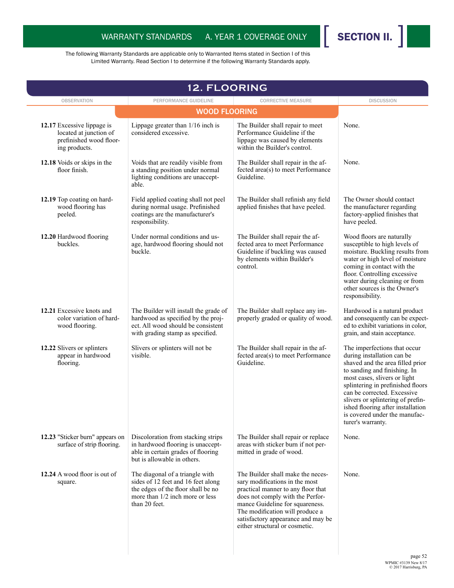

| <b>12. FLOORING</b>                                                                              |                                                                                                                                                                 |                                                                                                                                                                                                                                                                                             |                                                                                                                                                                                                                                                                                                                                                                    |
|--------------------------------------------------------------------------------------------------|-----------------------------------------------------------------------------------------------------------------------------------------------------------------|---------------------------------------------------------------------------------------------------------------------------------------------------------------------------------------------------------------------------------------------------------------------------------------------|--------------------------------------------------------------------------------------------------------------------------------------------------------------------------------------------------------------------------------------------------------------------------------------------------------------------------------------------------------------------|
| <b>OBSERVATION</b>                                                                               | PERFORMANCE GUIDELINE<br><b>WOOD FLOORING</b>                                                                                                                   | <b>CORRECTIVE MEASURE</b>                                                                                                                                                                                                                                                                   | <b>DISCUSSION</b>                                                                                                                                                                                                                                                                                                                                                  |
|                                                                                                  |                                                                                                                                                                 |                                                                                                                                                                                                                                                                                             |                                                                                                                                                                                                                                                                                                                                                                    |
| 12.17 Excessive lippage is<br>located at junction of<br>prefinished wood floor-<br>ing products. | Lippage greater than 1/16 inch is<br>considered excessive.                                                                                                      | The Builder shall repair to meet<br>Performance Guideline if the<br>lippage was caused by elements<br>within the Builder's control.                                                                                                                                                         | None.                                                                                                                                                                                                                                                                                                                                                              |
| 12.18 Voids or skips in the<br>floor finish.                                                     | Voids that are readily visible from<br>a standing position under normal<br>lighting conditions are unaccept-<br>able.                                           | The Builder shall repair in the af-<br>fected area(s) to meet Performance<br>Guideline.                                                                                                                                                                                                     | None.                                                                                                                                                                                                                                                                                                                                                              |
| 12.19 Top coating on hard-<br>wood flooring has<br>peeled.                                       | Field applied coating shall not peel<br>during normal usage. Prefinished<br>coatings are the manufacturer's<br>responsibility.                                  | The Builder shall refinish any field<br>applied finishes that have peeled.                                                                                                                                                                                                                  | The Owner should contact<br>the manufacturer regarding<br>factory-applied finishes that<br>have peeled.                                                                                                                                                                                                                                                            |
| 12.20 Hardwood flooring<br>buckles.                                                              | Under normal conditions and us-<br>age, hardwood flooring should not<br>buckle.                                                                                 | The Builder shall repair the af-<br>fected area to meet Performance<br>Guideline if buckling was caused<br>by elements within Builder's<br>control.                                                                                                                                         | Wood floors are naturally<br>susceptible to high levels of<br>moisture. Buckling results from<br>water or high level of moisture<br>coming in contact with the<br>floor. Controlling excessive<br>water during cleaning or from<br>other sources is the Owner's<br>responsibility.                                                                                 |
| 12.21 Excessive knots and<br>color variation of hard-<br>wood flooring.                          | The Builder will install the grade of<br>hardwood as specified by the proj-<br>ect. All wood should be consistent<br>with grading stamp as specified.           | The Builder shall replace any im-<br>properly graded or quality of wood.                                                                                                                                                                                                                    | Hardwood is a natural product<br>and consequently can be expect-<br>ed to exhibit variations in color,<br>grain, and stain acceptance.                                                                                                                                                                                                                             |
| 12.22 Slivers or splinters<br>appear in hardwood<br>flooring.                                    | Slivers or splinters will not be<br>visible.                                                                                                                    | The Builder shall repair in the af-<br>fected area(s) to meet Performance<br>Guideline.                                                                                                                                                                                                     | The imperfections that occur<br>during installation can be<br>shaved and the area filled prior<br>to sanding and finishing. In<br>most cases, slivers or light<br>splintering in prefinished floors<br>can be corrected. Excessive<br>slivers or splintering of prefin-<br>ished flooring after installation<br>is covered under the manufac-<br>turer's warranty. |
| 12.23 "Sticker burn" appears on<br>surface of strip flooring.                                    | Discoloration from stacking strips<br>in hardwood flooring is unaccept-<br>able in certain grades of flooring<br>but is allowable in others.                    | The Builder shall repair or replace<br>areas with sticker burn if not per-<br>mitted in grade of wood.                                                                                                                                                                                      | None.                                                                                                                                                                                                                                                                                                                                                              |
| 12.24 A wood floor is out of<br>square.                                                          | The diagonal of a triangle with<br>sides of 12 feet and 16 feet along<br>the edges of the floor shall be no<br>more than 1/2 inch more or less<br>than 20 feet. | The Builder shall make the neces-<br>sary modifications in the most<br>practical manner to any floor that<br>does not comply with the Perfor-<br>mance Guideline for squareness.<br>The modification will produce a<br>satisfactory appearance and may be<br>either structural or cosmetic. | None.                                                                                                                                                                                                                                                                                                                                                              |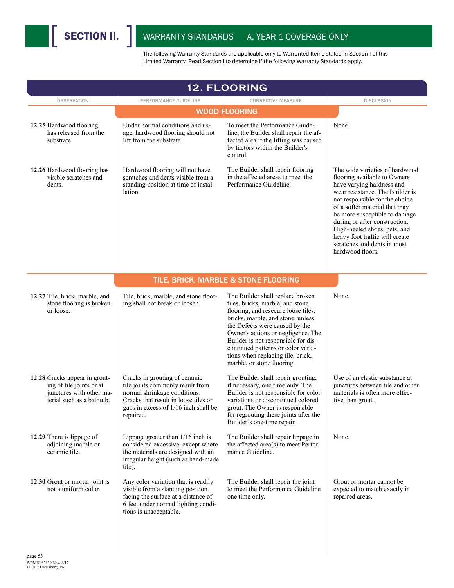| <b>12. FLOORING</b>                                                                                                |                                                                                                                                                                                                |                                                                                                                                                                                                                                                                                                                                                                          |                                                                                                                                                                                                                                                                                                                                                                                          |  |
|--------------------------------------------------------------------------------------------------------------------|------------------------------------------------------------------------------------------------------------------------------------------------------------------------------------------------|--------------------------------------------------------------------------------------------------------------------------------------------------------------------------------------------------------------------------------------------------------------------------------------------------------------------------------------------------------------------------|------------------------------------------------------------------------------------------------------------------------------------------------------------------------------------------------------------------------------------------------------------------------------------------------------------------------------------------------------------------------------------------|--|
| <b>OBSERVATION</b>                                                                                                 | PERFORMANCE GUIDELINE                                                                                                                                                                          | <b>CORRECTIVE MEASURE</b>                                                                                                                                                                                                                                                                                                                                                | <b>DISCUSSION</b>                                                                                                                                                                                                                                                                                                                                                                        |  |
|                                                                                                                    |                                                                                                                                                                                                | <b>WOOD FLOORING</b>                                                                                                                                                                                                                                                                                                                                                     |                                                                                                                                                                                                                                                                                                                                                                                          |  |
| 12.25 Hardwood flooring<br>has released from the<br>substrate.                                                     | Under normal conditions and us-<br>age, hardwood flooring should not<br>lift from the substrate.                                                                                               | To meet the Performance Guide-<br>line, the Builder shall repair the af-<br>fected area if the lifting was caused<br>by factors within the Builder's<br>control.                                                                                                                                                                                                         | None.                                                                                                                                                                                                                                                                                                                                                                                    |  |
| 12.26 Hardwood flooring has<br>visible scratches and<br>dents.                                                     | Hardwood flooring will not have<br>scratches and dents visible from a<br>standing position at time of instal-<br>lation.                                                                       | The Builder shall repair flooring<br>in the affected areas to meet the<br>Performance Guideline.                                                                                                                                                                                                                                                                         | The wide varieties of hardwood<br>flooring available to Owners<br>have varying hardness and<br>wear resistance. The Builder is<br>not responsible for the choice<br>of a softer material that may<br>be more susceptible to damage<br>during or after construction.<br>High-heeled shoes, pets, and<br>heavy foot traffic will create<br>scratches and dents in most<br>hardwood floors. |  |
|                                                                                                                    |                                                                                                                                                                                                | TILE, BRICK, MARBLE & STONE FLOORING                                                                                                                                                                                                                                                                                                                                     |                                                                                                                                                                                                                                                                                                                                                                                          |  |
| 12.27 Tile, brick, marble, and<br>stone flooring is broken<br>or loose.                                            | Tile, brick, marble, and stone floor-<br>ing shall not break or loosen.                                                                                                                        | The Builder shall replace broken<br>tiles, bricks, marble, and stone<br>flooring, and resecure loose tiles,<br>bricks, marble, and stone, unless<br>the Defects were caused by the<br>Owner's actions or negligence. The<br>Builder is not responsible for dis-<br>continued patterns or color varia-<br>tions when replacing tile, brick,<br>marble, or stone flooring. | None.                                                                                                                                                                                                                                                                                                                                                                                    |  |
| 12.28 Cracks appear in grout-<br>ing of tile joints or at<br>junctures with other ma-<br>terial such as a bathtub. | Cracks in grouting of ceramic<br>tile joints commonly result from<br>normal shrinkage conditions.<br>Cracks that result in loose tiles or<br>gaps in excess of 1/16 inch shall be<br>repaired. | The Builder shall repair grouting,<br>if necessary, one time only. The<br>Builder is not responsible for color<br>variations or discontinued colored<br>grout. The Owner is responsible<br>for regrouting these joints after the<br>Builder's one-time repair.                                                                                                           | Use of an elastic substance at<br>junctures between tile and other<br>materials is often more effec-<br>tive than grout.                                                                                                                                                                                                                                                                 |  |
| 12.29 There is lippage of<br>adjoining marble or<br>ceramic tile.                                                  | Lippage greater than $1/16$ inch is<br>considered excessive, except where<br>the materials are designed with an<br>irregular height (such as hand-made<br>tile).                               | The Builder shall repair lippage in<br>the affected area(s) to meet Perfor-<br>mance Guideline.                                                                                                                                                                                                                                                                          | None.                                                                                                                                                                                                                                                                                                                                                                                    |  |
| 12.30 Grout or mortar joint is<br>not a uniform color.                                                             | Any color variation that is readily<br>visible from a standing position<br>facing the surface at a distance of<br>6 feet under normal lighting condi-<br>tions is unacceptable.                | The Builder shall repair the joint<br>to meet the Performance Guideline<br>one time only.                                                                                                                                                                                                                                                                                | Grout or mortar cannot be<br>expected to match exactly in<br>repaired areas.                                                                                                                                                                                                                                                                                                             |  |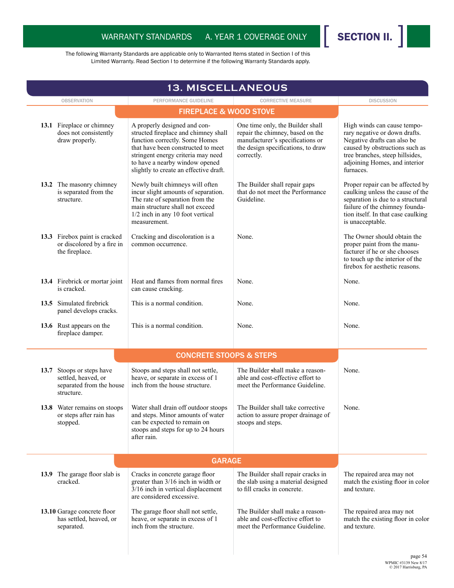

|                                                                                            | <b>13. MISCELLANEOUS</b>                                                                                                                                                                                                                                       |                                                                                                                                                              |                                                                                                                                                                                                                |
|--------------------------------------------------------------------------------------------|----------------------------------------------------------------------------------------------------------------------------------------------------------------------------------------------------------------------------------------------------------------|--------------------------------------------------------------------------------------------------------------------------------------------------------------|----------------------------------------------------------------------------------------------------------------------------------------------------------------------------------------------------------------|
| <b>OBSERVATION</b>                                                                         | PERFORMANCE GUIDELINE                                                                                                                                                                                                                                          | <b>CORRECTIVE MEASURE</b>                                                                                                                                    | <b>DISCUSSION</b>                                                                                                                                                                                              |
|                                                                                            | <b>FIREPLACE &amp; WOOD STOVE</b>                                                                                                                                                                                                                              |                                                                                                                                                              |                                                                                                                                                                                                                |
| 13.1 Fireplace or chimney<br>does not consistently<br>draw properly.                       | A properly designed and con-<br>structed fireplace and chimney shall<br>function correctly. Some Homes<br>that have been constructed to meet<br>stringent energy criteria may need<br>to have a nearby window opened<br>slightly to create an effective draft. | One time only, the Builder shall<br>repair the chimney, based on the<br>manufacturer's specifications or<br>the design specifications, to draw<br>correctly. | High winds can cause tempo-<br>rary negative or down drafts.<br>Negative drafts can also be<br>caused by obstructions such as<br>tree branches, steep hillsides,<br>adjoining Homes, and interior<br>furnaces. |
| 13.2 The masonry chimney<br>is separated from the<br>structure.                            | Newly built chimneys will often<br>incur slight amounts of separation.<br>The rate of separation from the<br>main structure shall not exceed<br>1/2 inch in any 10 foot vertical<br>measurement.                                                               | The Builder shall repair gaps<br>that do not meet the Performance<br>Guideline.                                                                              | Proper repair can be affected by<br>caulking unless the cause of the<br>separation is due to a structural<br>failure of the chimney founda-<br>tion itself. In that case caulking<br>is unacceptable.          |
| 13.3 Firebox paint is cracked<br>or discolored by a fire in<br>the fireplace.              | Cracking and discoloration is a<br>common occurrence.                                                                                                                                                                                                          | None.                                                                                                                                                        | The Owner should obtain the<br>proper paint from the manu-<br>facturer if he or she chooses<br>to touch up the interior of the<br>firebox for aesthetic reasons.                                               |
| 13.4 Firebrick or mortar joint<br>is cracked.                                              | Heat and flames from normal fires<br>can cause cracking.                                                                                                                                                                                                       | None.                                                                                                                                                        | None.                                                                                                                                                                                                          |
| 13.5 Simulated firebrick<br>panel develops cracks.                                         | This is a normal condition.                                                                                                                                                                                                                                    | None.                                                                                                                                                        | None.                                                                                                                                                                                                          |
| 13.6 Rust appears on the<br>fireplace damper.                                              | This is a normal condition.                                                                                                                                                                                                                                    | None.                                                                                                                                                        | None.                                                                                                                                                                                                          |
|                                                                                            | <b>CONCRETE STOOPS &amp; STEPS</b>                                                                                                                                                                                                                             |                                                                                                                                                              |                                                                                                                                                                                                                |
| 13.7 Stoops or steps have<br>settled, heaved, or<br>separated from the house<br>structure. | Stoops and steps shall not settle,<br>heave, or separate in excess of 1<br>inch from the house structure.                                                                                                                                                      | The Builder shall make a reason-<br>able and cost-effective effort to<br>meet the Performance Guideline.                                                     | None.                                                                                                                                                                                                          |
| 13.8 Water remains on stoops<br>or steps after rain has<br>stopped.                        | Water shall drain off outdoor stoops<br>and steps. Minor amounts of water<br>can be expected to remain on<br>stoops and steps for up to 24 hours<br>after rain.                                                                                                | The Builder shall take corrective<br>action to assure proper drainage of<br>stoops and steps.                                                                | None.                                                                                                                                                                                                          |
|                                                                                            |                                                                                                                                                                                                                                                                |                                                                                                                                                              |                                                                                                                                                                                                                |
| 13.9 The garage floor slab is<br>cracked.                                                  | Cracks in concrete garage floor<br>greater than 3/16 inch in width or<br>3/16 inch in vertical displacement<br>are considered excessive.                                                                                                                       | The Builder shall repair cracks in<br>the slab using a material designed<br>to fill cracks in concrete.                                                      | The repaired area may not<br>match the existing floor in color<br>and texture.                                                                                                                                 |
| 13.10 Garage concrete floor<br>has settled, heaved, or<br>separated.                       | The garage floor shall not settle,<br>heave, or separate in excess of 1<br>inch from the structure.                                                                                                                                                            | The Builder shall make a reason-<br>able and cost-effective effort to<br>meet the Performance Guideline.                                                     | The repaired area may not<br>match the existing floor in color<br>and texture.                                                                                                                                 |
|                                                                                            |                                                                                                                                                                                                                                                                |                                                                                                                                                              | page 54                                                                                                                                                                                                        |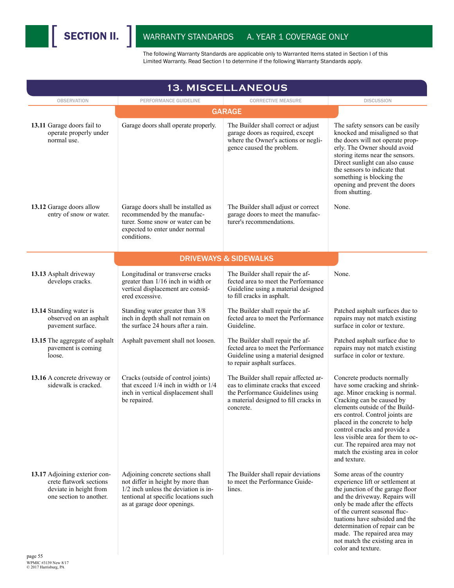

| <b>13. MISCELLANEOUS</b>                                                                                      |                                                                                                                                                                                         |                                                                                                                                                                        |                                                                                                                                                                                                                                                                                                                                                                                               |  |  |  |
|---------------------------------------------------------------------------------------------------------------|-----------------------------------------------------------------------------------------------------------------------------------------------------------------------------------------|------------------------------------------------------------------------------------------------------------------------------------------------------------------------|-----------------------------------------------------------------------------------------------------------------------------------------------------------------------------------------------------------------------------------------------------------------------------------------------------------------------------------------------------------------------------------------------|--|--|--|
| <b>OBSERVATION</b>                                                                                            | PERFORMANCE GUIDELINE                                                                                                                                                                   | <b>CORRECTIVE MEASURE</b>                                                                                                                                              | <b>DISCUSSION</b>                                                                                                                                                                                                                                                                                                                                                                             |  |  |  |
|                                                                                                               | <b>GARAGE</b>                                                                                                                                                                           |                                                                                                                                                                        |                                                                                                                                                                                                                                                                                                                                                                                               |  |  |  |
| 13.11 Garage doors fail to<br>operate properly under<br>normal use.                                           | Garage doors shall operate properly.                                                                                                                                                    | The Builder shall correct or adjust<br>garage doors as required, except<br>where the Owner's actions or negli-<br>gence caused the problem.                            | The safety sensors can be easily<br>knocked and misaligned so that<br>the doors will not operate prop-<br>erly. The Owner should avoid<br>storing items near the sensors.<br>Direct sunlight can also cause<br>the sensors to indicate that<br>something is blocking the<br>opening and prevent the doors<br>from shutting.                                                                   |  |  |  |
| 13.12 Garage doors allow<br>entry of snow or water.                                                           | Garage doors shall be installed as<br>recommended by the manufac-<br>turer. Some snow or water can be<br>expected to enter under normal<br>conditions.                                  | The Builder shall adjust or correct<br>garage doors to meet the manufac-<br>turer's recommendations.                                                                   | None.                                                                                                                                                                                                                                                                                                                                                                                         |  |  |  |
|                                                                                                               |                                                                                                                                                                                         | <b>DRIVEWAYS &amp; SIDEWALKS</b>                                                                                                                                       |                                                                                                                                                                                                                                                                                                                                                                                               |  |  |  |
| 13.13 Asphalt driveway<br>develops cracks.                                                                    | Longitudinal or transverse cracks<br>greater than 1/16 inch in width or<br>vertical displacement are consid-<br>ered excessive.                                                         | The Builder shall repair the af-<br>fected area to meet the Performance<br>Guideline using a material designed<br>to fill cracks in asphalt.                           | None.                                                                                                                                                                                                                                                                                                                                                                                         |  |  |  |
| 13.14 Standing water is<br>observed on an asphalt<br>pavement surface.                                        | Standing water greater than 3/8<br>inch in depth shall not remain on<br>the surface 24 hours after a rain.                                                                              | The Builder shall repair the af-<br>fected area to meet the Performance<br>Guideline.                                                                                  | Patched asphalt surfaces due to<br>repairs may not match existing<br>surface in color or texture.                                                                                                                                                                                                                                                                                             |  |  |  |
| 13.15 The aggregate of asphalt<br>pavement is coming<br>loose.                                                | Asphalt pavement shall not loosen.                                                                                                                                                      | The Builder shall repair the af-<br>fected area to meet the Performance<br>Guideline using a material designed<br>to repair asphalt surfaces.                          | Patched asphalt surface due to<br>repairs may not match existing<br>surface in color or texture.                                                                                                                                                                                                                                                                                              |  |  |  |
| 13.16 A concrete driveway or<br>sidewalk is cracked.                                                          | Cracks (outside of control joints)<br>that exceed $1/4$ inch in width or $1/4$<br>inch in vertical displacement shall<br>be repaired.                                                   | The Builder shall repair affected ar-<br>eas to eliminate cracks that exceed<br>the Performance Guidelines using<br>a material designed to fill cracks in<br>concrete. | Concrete products normally<br>have some cracking and shrink-<br>age. Minor cracking is normal.<br>Cracking can be caused by<br>elements outside of the Build-<br>ers control. Control joints are<br>placed in the concrete to help<br>control cracks and provide a<br>less visible area for them to oc-<br>cur. The repaired area may not<br>match the existing area in color<br>and texture. |  |  |  |
| 13.17 Adjoining exterior con-<br>crete flatwork sections<br>deviate in height from<br>one section to another. | Adjoining concrete sections shall<br>not differ in height by more than<br>$1/2$ inch unless the deviation is in-<br>tentional at specific locations such<br>as at garage door openings. | The Builder shall repair deviations<br>to meet the Performance Guide-<br>lines.                                                                                        | Some areas of the country<br>experience lift or settlement at<br>the junction of the garage floor<br>and the driveway. Repairs will<br>only be made after the effects<br>of the current seasonal fluc-<br>tuations have subsided and the<br>determination of repair can be<br>made. The repaired area may<br>not match the existing area in<br>color and texture.                             |  |  |  |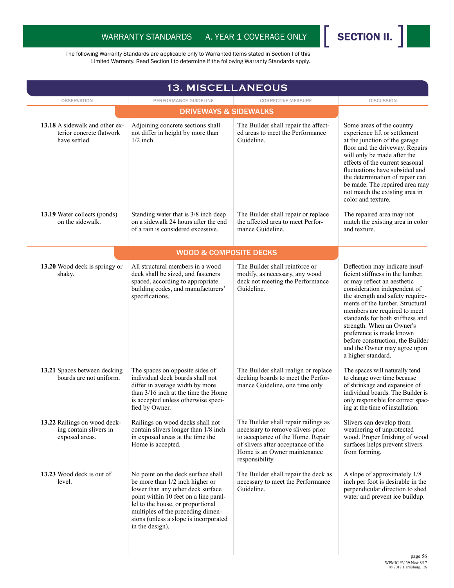

|                                                                             | <b>13. MISCELLANEOUS</b>                                                                                                                                                                                                                                                                  |                                                                                                                                                                                                         |                                                                                                                                                                                                                                                                                                                                                                                                                                 |
|-----------------------------------------------------------------------------|-------------------------------------------------------------------------------------------------------------------------------------------------------------------------------------------------------------------------------------------------------------------------------------------|---------------------------------------------------------------------------------------------------------------------------------------------------------------------------------------------------------|---------------------------------------------------------------------------------------------------------------------------------------------------------------------------------------------------------------------------------------------------------------------------------------------------------------------------------------------------------------------------------------------------------------------------------|
| <b>OBSERVATION</b>                                                          | PERFORMANCE GUIDELINE                                                                                                                                                                                                                                                                     | <b>CORRECTIVE MEASURE</b>                                                                                                                                                                               | <b>DISCUSSION</b>                                                                                                                                                                                                                                                                                                                                                                                                               |
|                                                                             |                                                                                                                                                                                                                                                                                           |                                                                                                                                                                                                         |                                                                                                                                                                                                                                                                                                                                                                                                                                 |
| 13.18 A sidewalk and other ex-<br>terior concrete flatwork<br>have settled. | Adjoining concrete sections shall<br>not differ in height by more than<br>$1/2$ inch.                                                                                                                                                                                                     | The Builder shall repair the affect-<br>ed areas to meet the Performance<br>Guideline.                                                                                                                  | Some areas of the country<br>experience lift or settlement<br>at the junction of the garage<br>floor and the driveway. Repairs<br>will only be made after the<br>effects of the current seasonal<br>fluctuations have subsided and<br>the determination of repair can<br>be made. The repaired area may<br>not match the existing area in<br>color and texture.                                                                 |
| 13.19 Water collects (ponds)<br>on the sidewalk.                            | Standing water that is 3/8 inch deep<br>on a sidewalk 24 hours after the end<br>of a rain is considered excessive.                                                                                                                                                                        | The Builder shall repair or replace<br>the affected area to meet Perfor-<br>mance Guideline                                                                                                             | The repaired area may not<br>match the existing area in color<br>and texture.                                                                                                                                                                                                                                                                                                                                                   |
|                                                                             | <b>WOOD &amp; COMPOSITE DECKS</b>                                                                                                                                                                                                                                                         |                                                                                                                                                                                                         |                                                                                                                                                                                                                                                                                                                                                                                                                                 |
| 13.20 Wood deck is springy or<br>shaky.                                     | All structural members in a wood<br>deck shall be sized, and fasteners<br>spaced, according to appropriate<br>building codes, and manufacturers'<br>specifications.                                                                                                                       | The Builder shall reinforce or<br>modify, as necessary, any wood<br>deck not meeting the Performance<br>Guideline.                                                                                      | Deflection may indicate insuf-<br>ficient stiffness in the lumber,<br>or may reflect an aesthetic<br>consideration independent of<br>the strength and safety require-<br>ments of the lumber. Structural<br>members are required to meet<br>standards for both stiffness and<br>strength. When an Owner's<br>preference is made known<br>before construction, the Builder<br>and the Owner may agree upon<br>a higher standard. |
| 13.21 Spaces between decking<br>boards are not uniform.                     | The spaces on opposite sides of<br>individual deck boards shall not<br>differ in average width by more<br>than 3/16 inch at the time the Home<br>is accepted unless otherwise speci-<br>fied by Owner.                                                                                    | The Builder shall realign or replace<br>decking boards to meet the Perfor-<br>mance Guideline, one time only.                                                                                           | The spaces will naturally tend<br>to change over time because<br>of shrinkage and expansion of<br>individual boards. The Builder is<br>only responsible for correct spac-<br>ing at the time of installation.                                                                                                                                                                                                                   |
| 13.22 Railings on wood deck-<br>ing contain slivers in<br>exposed areas.    | Railings on wood decks shall not<br>contain slivers longer than 1/8 inch<br>in exposed areas at the time the<br>Home is accepted.                                                                                                                                                         | The Builder shall repair railings as<br>necessary to remove slivers prior<br>to acceptance of the Home. Repair<br>of slivers after acceptance of the<br>Home is an Owner maintenance<br>responsibility. | Slivers can develop from<br>weathering of unprotected<br>wood. Proper finishing of wood<br>surfaces helps prevent slivers<br>from forming.                                                                                                                                                                                                                                                                                      |
| 13.23 Wood deck is out of<br>level.                                         | No point on the deck surface shall<br>be more than 1/2 inch higher or<br>lower than any other deck surface<br>point within 10 feet on a line paral-<br>lel to the house, or proportional<br>multiples of the preceding dimen-<br>sions (unless a slope is incorporated<br>in the design). | The Builder shall repair the deck as<br>necessary to meet the Performance<br>Guideline.                                                                                                                 | A slope of approximately 1/8<br>inch per foot is desirable in the<br>perpendicular direction to shed<br>water and prevent ice buildup.                                                                                                                                                                                                                                                                                          |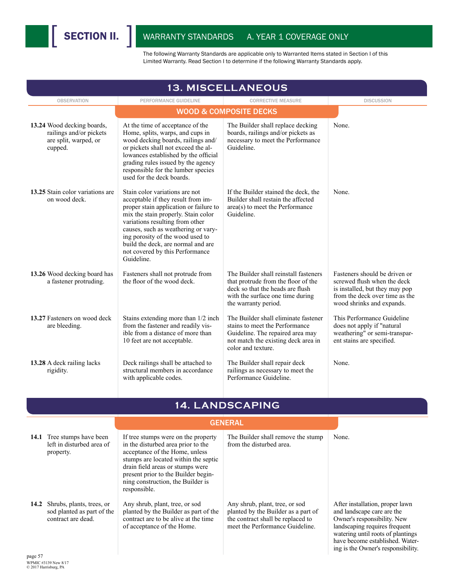| <b>13. MISCELLANEOUS</b>                                                                  |                                                                                                                                                                                                                                                                                                                                                            |                                                                                                                                                                              |                                                                                                                                                                                                                                             |  |
|-------------------------------------------------------------------------------------------|------------------------------------------------------------------------------------------------------------------------------------------------------------------------------------------------------------------------------------------------------------------------------------------------------------------------------------------------------------|------------------------------------------------------------------------------------------------------------------------------------------------------------------------------|---------------------------------------------------------------------------------------------------------------------------------------------------------------------------------------------------------------------------------------------|--|
| <b>OBSERVATION</b>                                                                        | PERFORMANCE GUIDELINE                                                                                                                                                                                                                                                                                                                                      | <b>CORRECTIVE MEASURE</b>                                                                                                                                                    | <b>DISCUSSION</b>                                                                                                                                                                                                                           |  |
|                                                                                           |                                                                                                                                                                                                                                                                                                                                                            | <b>WOOD &amp; COMPOSITE DECKS</b>                                                                                                                                            |                                                                                                                                                                                                                                             |  |
| 13.24 Wood decking boards,<br>railings and/or pickets<br>are split, warped, or<br>cupped. | At the time of acceptance of the<br>Home, splits, warps, and cups in<br>wood decking boards, railings and/<br>or pickets shall not exceed the al-<br>lowances established by the official<br>grading rules issued by the agency<br>responsible for the lumber species<br>used for the deck boards.                                                         | The Builder shall replace decking<br>boards, railings and/or pickets as<br>necessary to meet the Performance<br>Guideline.                                                   | None.                                                                                                                                                                                                                                       |  |
| 13.25 Stain color variations are<br>on wood deck.                                         | Stain color variations are not<br>acceptable if they result from im-<br>proper stain application or failure to<br>mix the stain properly. Stain color<br>variations resulting from other<br>causes, such as weathering or vary-<br>ing porosity of the wood used to<br>build the deck, are normal and are<br>not covered by this Performance<br>Guideline. | If the Builder stained the deck, the<br>Builder shall restain the affected<br>area(s) to meet the Performance<br>Guideline.                                                  | None.                                                                                                                                                                                                                                       |  |
| 13.26 Wood decking board has<br>a fastener protruding.                                    | Fasteners shall not protrude from<br>the floor of the wood deck.                                                                                                                                                                                                                                                                                           | The Builder shall reinstall fasteners<br>that protrude from the floor of the<br>deck so that the heads are flush<br>with the surface one time during<br>the warranty period. | Fasteners should be driven or<br>screwed flush when the deck<br>is installed, but they may pop<br>from the deck over time as the<br>wood shrinks and expands.                                                                               |  |
| 13.27 Fasteners on wood deck<br>are bleeding.                                             | Stains extending more than 1/2 inch<br>from the fastener and readily vis-<br>ible from a distance of more than<br>10 feet are not acceptable.                                                                                                                                                                                                              | The Builder shall eliminate fastener<br>stains to meet the Performance<br>Guideline. The repaired area may<br>not match the existing deck area in<br>color and texture.      | This Performance Guideline<br>does not apply if "natural<br>weathering" or semi-transpar-<br>ent stains are specified.                                                                                                                      |  |
| 13.28 A deck railing lacks<br>rigidity.                                                   | Deck railings shall be attached to<br>structural members in accordance<br>with applicable codes.                                                                                                                                                                                                                                                           | The Builder shall repair deck<br>railings as necessary to meet the<br>Performance Guideline.                                                                                 | None.                                                                                                                                                                                                                                       |  |
|                                                                                           |                                                                                                                                                                                                                                                                                                                                                            | 14. LANDSCAPING                                                                                                                                                              |                                                                                                                                                                                                                                             |  |
|                                                                                           |                                                                                                                                                                                                                                                                                                                                                            | <b>GENERAL</b>                                                                                                                                                               |                                                                                                                                                                                                                                             |  |
| 14.1 Tree stumps have been                                                                | If tree stumps were on the property                                                                                                                                                                                                                                                                                                                        | The Builder shall remove the stump                                                                                                                                           | None.                                                                                                                                                                                                                                       |  |
| left in disturbed area of<br>property.                                                    | in the disturbed area prior to the<br>acceptance of the Home, unless<br>stumps are located within the septic<br>drain field areas or stumps were<br>present prior to the Builder begin-<br>ning construction, the Builder is<br>responsible.                                                                                                               | from the disturbed area.                                                                                                                                                     |                                                                                                                                                                                                                                             |  |
| 14.2 Shrubs, plants, trees, or<br>sod planted as part of the<br>contract are dead.        | Any shrub, plant, tree, or sod<br>planted by the Builder as part of the<br>contract are to be alive at the time<br>of acceptance of the Home.                                                                                                                                                                                                              | Any shrub, plant, tree, or sod<br>planted by the Builder as a part of<br>the contract shall be replaced to<br>meet the Performance Guideline.                                | After installation, proper lawn<br>and landscape care are the<br>Owner's responsibility. New<br>landscaping requires frequent<br>watering until roots of plantings<br>have become established. Water-<br>ing is the Owner's responsibility. |  |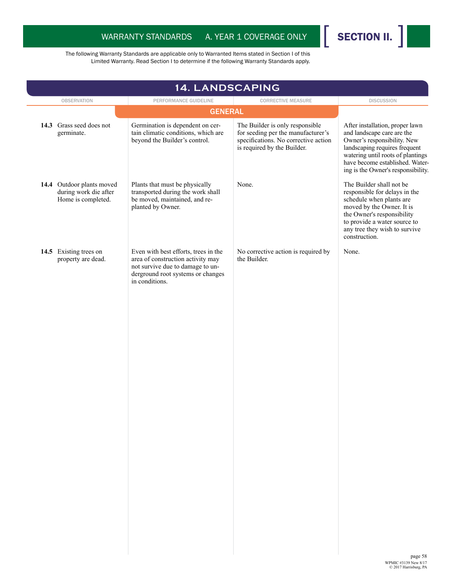

| 14. LANDSCAPING                                                          |                                                                                                                                                                      |                                                                                                                                              |                                                                                                                                                                                                                                             |
|--------------------------------------------------------------------------|----------------------------------------------------------------------------------------------------------------------------------------------------------------------|----------------------------------------------------------------------------------------------------------------------------------------------|---------------------------------------------------------------------------------------------------------------------------------------------------------------------------------------------------------------------------------------------|
| <b>OBSERVATION</b>                                                       | PERFORMANCE GUIDELINE<br><b>GENERAL</b>                                                                                                                              | <b>CORRECTIVE MEASURE</b>                                                                                                                    | <b>DISCUSSION</b>                                                                                                                                                                                                                           |
|                                                                          |                                                                                                                                                                      |                                                                                                                                              |                                                                                                                                                                                                                                             |
| 14.3 Grass seed does not<br>germinate.                                   | Germination is dependent on cer-<br>tain climatic conditions, which are<br>beyond the Builder's control.                                                             | The Builder is only responsible<br>for seeding per the manufacturer's<br>specifications. No corrective action<br>is required by the Builder. | After installation, proper lawn<br>and landscape care are the<br>Owner's responsibility. New<br>landscaping requires frequent<br>watering until roots of plantings<br>have become established. Water-<br>ing is the Owner's responsibility. |
| 14.4 Outdoor plants moved<br>during work die after<br>Home is completed. | Plants that must be physically<br>transported during the work shall<br>be moved, maintained, and re-<br>planted by Owner.                                            | None.                                                                                                                                        | The Builder shall not be<br>responsible for delays in the<br>schedule when plants are<br>moved by the Owner. It is<br>the Owner's responsibility<br>to provide a water source to<br>any tree they wish to survive<br>construction.          |
| 14.5 Existing trees on<br>property are dead.                             | Even with best efforts, trees in the<br>area of construction activity may<br>not survive due to damage to un-<br>derground root systems or changes<br>in conditions. | No corrective action is required by<br>the Builder.                                                                                          | None.                                                                                                                                                                                                                                       |
|                                                                          |                                                                                                                                                                      |                                                                                                                                              | page 58                                                                                                                                                                                                                                     |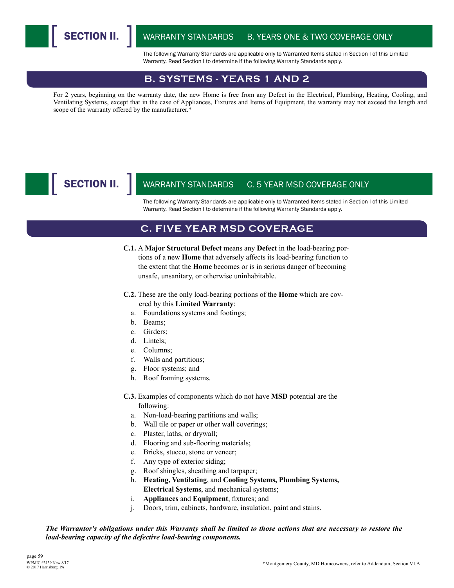SECTION II.

WARRANTY STANDARDS B. YEARS ONE & TWO COVERAGE ONLY

The following Warranty Standards are applicable only to Warranted Items stated in Section I of this Limited Warranty. Read Section I to determine if the following Warranty Standards apply.

#### **B. SYSTEMS - YEARS 1 AND 2**

For 2 years, beginning on the warranty date, the new Home is free from any Defect in the Electrical, Plumbing, Heating, Cooling, and Ventilating Systems, except that in the case of Appliances, Fixtures and Items of Equipment, the warranty may not exceed the length and scope of the warranty offered by the manufacturer.\*

## SECTION II.

#### WARRANTY STANDARDS C. 5 YEAR MSD COVERAGE ONLY

The following Warranty Standards are applicable only to Warranted Items stated in Section I of this Limited Warranty. Read Section I to determine if the following Warranty Standards apply.

#### **C. FIVE YEAR MSD COVERAGE**

- **C.1.** A **Major Structural Defect** means any **Defect** in the load-bearing portions of a new **Home** that adversely affects its load-bearing function to the extent that the **Home** becomes or is in serious danger of becoming unsafe, unsanitary, or otherwise uninhabitable.
- **C.2.** These are the only load-bearing portions of the **Home** which are covered by this **Limited Warranty**:
	- a. Foundations systems and footings;
	- b. Beams;
	- c. Girders;
	- d. Lintels;
	- e. Columns;
	- f. Walls and partitions;
	- g. Floor systems; and
	- h. Roof framing systems.
- **C.3.** Examples of components which do not have **MSD** potential are the following:
	- a. Non-load-bearing partitions and walls;
	- b. Wall tile or paper or other wall coverings;
	- c. Plaster, laths, or drywall;
	- d. Flooring and sub-flooring materials;
	- e. Bricks, stucco, stone or veneer;
	- f. Any type of exterior siding;
	- g. Roof shingles, sheathing and tarpaper;
	- h. **Heating, Ventilating**, and **Cooling Systems, Plumbing Systems,**
	- **Electrical Systems**, and mechanical systems;
	- i. **Appliances** and **Equipment**, fixtures; and
	- j. Doors, trim, cabinets, hardware, insulation, paint and stains.

#### *The Warrantor's obligations under this Warranty shall be limited to those actions that are necessary to restore the load-bearing capacity of the defective load-bearing components.*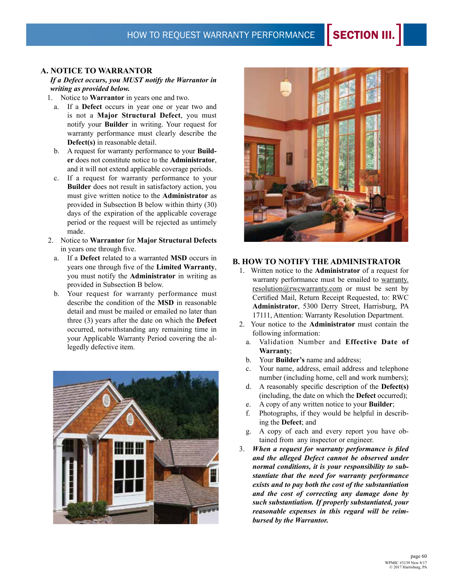#### **A. NOTICE TO WARRANTOR**

 *If a Defect occurs, you MUST notify the Warrantor in writing as provided below.* 

1. Notice to **Warrantor** in years one and two.

- a. If a **Defect** occurs in year one or year two and is not a **Major Structural Defect**, you must notify your **Builder** in writing. Your request for warranty performance must clearly describe the **Defect(s)** in reasonable detail.
- b. A request for warranty performance to your **Builder** does not constitute notice to the **Administrator**, and it will not extend applicable coverage periods.
- c. If a request for warranty performance to your **Builder** does not result in satisfactory action, you must give written notice to the **Administrator** as provided in Subsection B below within thirty (30) days of the expiration of the applicable coverage period or the request will be rejected as untimely made.
- 2. Notice to **Warrantor** for **Major Structural Defects** in years one through five.
	- a. If a **Defect** related to a warranted **MSD** occurs in years one through five of the **Limited Warranty**, you must notify the **Administrator** in writing as provided in Subsection B below.
	- b. Your request for warranty performance must describe the condition of the **MSD** in reasonable detail and must be mailed or emailed no later than three (3) years after the date on which the **Defect** occurred, notwithstanding any remaining time in your Applicable Warranty Period covering the allegedly defective item.





#### **B. HOW TO NOTIFY THE ADMINISTRATOR**

- 1. Written notice to the **Administrator** of a request for warranty performance must be emailed to warranty. resolution@rwcwarranty.com or must be sent by Certified Mail, Return Receipt Requested, to: RWC **Administrator**, 5300 Derry Street, Harrisburg, PA 17111, Attention: Warranty Resolution Department.
- 2. Your notice to the **Administrator** must contain the following information:
	- a. Validation Number and **Effective Date of Warranty**;
	- b. Your **Builder's** name and address;
	- c. Your name, address, email address and telephone number (including home, cell and work numbers);
	- d. A reasonably specific description of the **Defect(s)** (including, the date on which the **Defect** occurred);
	- e. A copy of any written notice to your **Builder**;
	- f. Photographs, if they would be helpful in describing the **Defect**; and
	- g. A copy of each and every report you have obtained from any inspector or engineer.
- 3. *When a request for warranty performance is filed and the alleged Defect cannot be observed under normal conditions, it is your responsibility to substantiate that the need for warranty performance exists and to pay both the cost of the substantiation and the cost of correcting any damage done by such substantiation. If properly substantiated, your reasonable expenses in this regard will be reimbursed by the Warrantor.*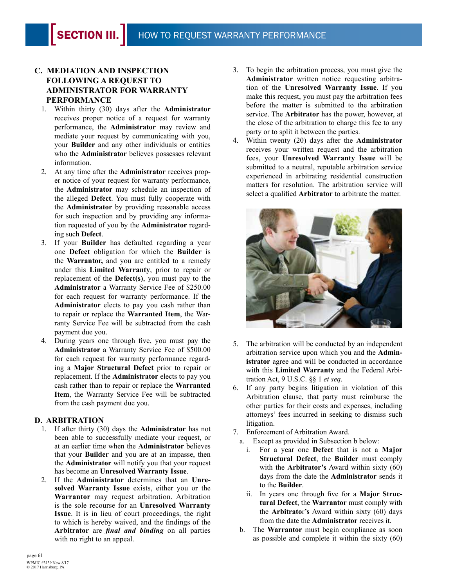#### **C. MEDIATION AND INSPECTION FOLLOWING A REQUEST TO ADMINISTRATOR FOR WARRANTY PERFORMANCE**

- 1. Within thirty (30) days after the **Administrator** receives proper notice of a request for warranty performance, the **Administrator** may review and mediate your request by communicating with you, your **Builder** and any other individuals or entities who the **Administrator** believes possesses relevant information.
- 2. At any time after the **Administrator** receives proper notice of your request for warranty performance, the **Administrator** may schedule an inspection of the alleged **Defect**. You must fully cooperate with the **Administrator** by providing reasonable access for such inspection and by providing any information requested of you by the **Administrator** regarding such **Defect**.
- 3. If your **Builder** has defaulted regarding a year one **Defect** obligation for which the **Builder** is the **Warrantor,** and you are entitled to a remedy under this **Limited Warranty**, prior to repair or replacement of the **Defect(s)**, you must pay to the **Administrator** a Warranty Service Fee of \$250.00 for each request for warranty performance. If the **Administrator** elects to pay you cash rather than to repair or replace the **Warranted Item**, the Warranty Service Fee will be subtracted from the cash payment due you.
- 4. During years one through five, you must pay the **Administrator** a Warranty Service Fee of \$500.00 for each request for warranty performance regarding a **Major Structural Defect** prior to repair or replacement. If the **Administrator** elects to pay you cash rather than to repair or replace the **Warranted Item**, the Warranty Service Fee will be subtracted from the cash payment due you.

#### **D. ARBITRATION**

- 1. If after thirty (30) days the **Administrator** has not been able to successfully mediate your request, or at an earlier time when the **Administrator** believes that your **Builder** and you are at an impasse, then the **Administrator** will notify you that your request has become an **Unresolved Warranty Issue**.
- 2. If the **Administrator** determines that an **Unresolved Warranty Issue** exists, either you or the **Warrantor** may request arbitration. Arbitration is the sole recourse for an **Unresolved Warranty Issue**. It is in lieu of court proceedings, the right to which is hereby waived, and the findings of the **Arbitrator** are *final and binding* on all parties with no right to an appeal.
- 3. To begin the arbitration process, you must give the **Administrator** written notice requesting arbitration of the **Unresolved Warranty Issue**. If you make this request, you must pay the arbitration fees before the matter is submitted to the arbitration service. The **Arbitrator** has the power, however, at the close of the arbitration to charge this fee to any party or to split it between the parties.
- 4. Within twenty (20) days after the **Administrator**  receives your written request and the arbitration fees, your **Unresolved Warranty Issue** will be submitted to a neutral, reputable arbitration service experienced in arbitrating residential construction matters for resolution. The arbitration service will select a qualified **Arbitrator** to arbitrate the matter.



- 5. The arbitration will be conducted by an independent arbitration service upon which you and the **Administrator** agree and will be conducted in accordance with this **Limited Warranty** and the Federal Arbitration Act, 9 U.S.C. §§ 1 *et seq*.
- 6. If any party begins litigation in violation of this Arbitration clause, that party must reimburse the other parties for their costs and expenses, including attorneys' fees incurred in seeking to dismiss such litigation.
- 7. Enforcement of Arbitration Award.
	- a. Except as provided in Subsection b below:
		- i. For a year one **Defect** that is not a **Major Structural Defect**, the **Builder** must comply with the **Arbitrator's** Award within sixty (60) days from the date the **Administrator** sends it to the **Builder**.
		- ii. In years one through five for a **Major Structural Defect**, the **Warrantor** must comply with the **Arbitrato**r**'s** Award within sixty (60) days from the date the **Administrator** receives it.
	- b. The **Warrantor** must begin compliance as soon as possible and complete it within the sixty (60)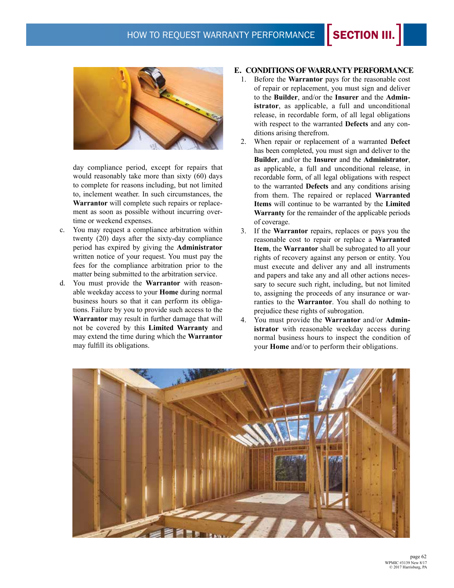### HOW TO REQUEST WARRANTY PERFORMANCE **SECTION III.**



day compliance period, except for repairs that would reasonably take more than sixty (60) days to complete for reasons including, but not limited to, inclement weather. In such circumstances, the **Warrantor** will complete such repairs or replacement as soon as possible without incurring overtime or weekend expenses.

- c. You may request a compliance arbitration within twenty (20) days after the sixty-day compliance period has expired by giving the **Administrator** written notice of your request. You must pay the fees for the compliance arbitration prior to the matter being submitted to the arbitration service.
- d. You must provide the **Warrantor** with reasonable weekday access to your **Home** during normal business hours so that it can perform its obligations. Failure by you to provide such access to the **Warrantor** may result in further damage that will not be covered by this **Limited Warranty** and may extend the time during which the **Warrantor** may fulfill its obligations.

#### **E. CONDITIONS OF WARRANTY PERFORMANCE**

- 1. Before the **Warrantor** pays for the reasonable cost of repair or replacement, you must sign and deliver to the **Builder**, and/or the **Insurer** and the **Administrator**, as applicable, a full and unconditional release, in recordable form, of all legal obligations with respect to the warranted **Defects** and any conditions arising therefrom.
- 2. When repair or replacement of a warranted **Defect** has been completed, you must sign and deliver to the **Builder**, and/or the **Insurer** and the **Administrator**, as applicable, a full and unconditional release, in recordable form, of all legal obligations with respect to the warranted **Defects** and any conditions arising from them. The repaired or replaced **Warranted Items** will continue to be warranted by the **Limited Warranty** for the remainder of the applicable periods of coverage.
- 3. If the **Warrantor** repairs, replaces or pays you the reasonable cost to repair or replace a **Warranted Item**, the **Warrantor** shall be subrogated to all your rights of recovery against any person or entity. You must execute and deliver any and all instruments and papers and take any and all other actions necessary to secure such right, including, but not limited to, assigning the proceeds of any insurance or warranties to the **Warrantor**. You shall do nothing to prejudice these rights of subrogation.
- 4. You must provide the **Warrantor** and/or **Administrator** with reasonable weekday access during normal business hours to inspect the condition of your **Home** and/or to perform their obligations.

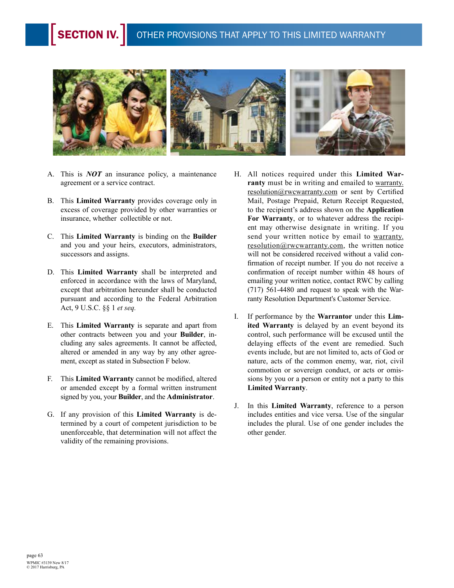

- A. This is *NOT* an insurance policy, a maintenance agreement or a service contract.
- B. This **Limited Warranty** provides coverage only in excess of coverage provided by other warranties or insurance, whether collectible or not.
- C. This **Limited Warranty** is binding on the **Builder** and you and your heirs, executors, administrators, successors and assigns.
- D. This **Limited Warranty** shall be interpreted and enforced in accordance with the laws of Maryland, except that arbitration hereunder shall be conducted pursuant and according to the Federal Arbitration Act, 9 U.S.C. §§ 1 *et seq.*
- E. This **Limited Warranty** is separate and apart from other contracts between you and your **Builder**, including any sales agreements. It cannot be affected, altered or amended in any way by any other agreement, except as stated in Subsection F below.
- F. This **Limited Warranty** cannot be modified, altered or amended except by a formal written instrument signed by you, your **Builder**, and the **Administrator**.
- G. If any provision of this **Limited Warranty** is determined by a court of competent jurisdiction to be unenforceable, that determination will not affect the validity of the remaining provisions.
- H. All notices required under this **Limited War**ranty must be in writing and emailed to warranty. resolution@rwcwarranty.com or sent by Certified Mail, Postage Prepaid, Return Receipt Requested, to the recipient's address shown on the **Application For Warranty**, or to whatever address the recipient may otherwise designate in writing. If you send your written notice by email to warranty. resolution@rwcwarranty.com, the written notice will not be considered received without a valid confirmation of receipt number. If you do not receive a confirmation of receipt number within 48 hours of emailing your written notice, contact RWC by calling (717) 561-4480 and request to speak with the Warranty Resolution Department's Customer Service.
- I. If performance by the **Warrantor** under this **Limited Warranty** is delayed by an event beyond its control, such performance will be excused until the delaying effects of the event are remedied. Such events include, but are not limited to, acts of God or nature, acts of the common enemy, war, riot, civil commotion or sovereign conduct, or acts or omissions by you or a person or entity not a party to this **Limited Warranty**.
- J. In this **Limited Warranty**, reference to a person includes entities and vice versa. Use of the singular includes the plural. Use of one gender includes the other gender.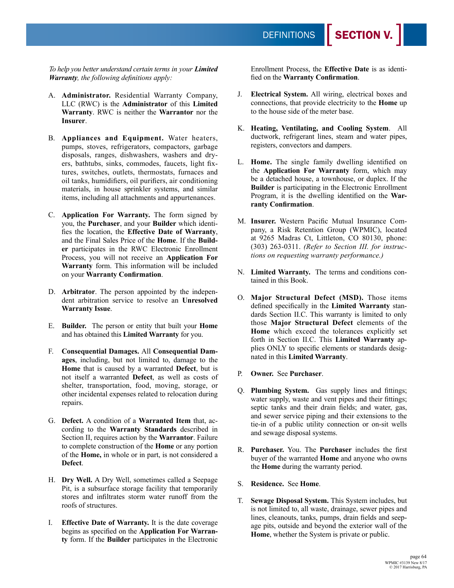*To help you better understand certain terms in your Limited Warranty, the following definitions apply:*

- A. **Administrator.** Residential Warranty Company, LLC (RWC) is the **Administrator** of this **Limited Warranty**. RWC is neither the **Warrantor** nor the **Insurer**.
- B. **Appliances and Equipment.** Water heaters, pumps, stoves, refrigerators, compactors, garbage disposals, ranges, dishwashers, washers and dryers, bathtubs, sinks, commodes, faucets, light fixtures, switches, outlets, thermostats, furnaces and oil tanks, humidifiers, oil purifiers, air conditioning materials, in house sprinkler systems, and similar items, including all attachments and appurtenances.
- C. **Application For Warranty.** The form signed by you, the **Purchaser**, and your **Builder** which identifies the location, the **Effective Date of Warranty**, and the Final Sales Price of the **Home**. If the **Builder** participates in the RWC Electronic Enrollment Process, you will not receive an **Application For Warranty** form. This information will be included on your **Warranty Confirmation**.
- D. **Arbitrator**. The person appointed by the independent arbitration service to resolve an **Unresolved Warranty Issue**.
- E. **Builder.** The person or entity that built your **Home** and has obtained this **Limited Warranty** for you.
- F. **Consequential Damages.** All **Consequential Damages**, including, but not limited to, damage to the **Home** that is caused by a warranted **Defect**, but is not itself a warranted **Defect**, as well as costs of shelter, transportation, food, moving, storage, or other incidental expenses related to relocation during repairs.
- G. **Defect.** A condition of a **Warranted Item** that, according to the **Warranty Standards** described in Section II, requires action by the **Warrantor**. Failure to complete construction of the **Home** or any portion of the **Home,** in whole or in part, is not considered a **Defect**.
- H. **Dry Well.** A Dry Well, sometimes called a Seepage Pit, is a subsurface storage facility that temporarily stores and infiltrates storm water runoff from the roofs of structures.
- I. **Effective Date of Warranty.** It is the date coverage begins as specified on the **Application For Warranty** form. If the **Builder** participates in the Electronic

Enrollment Process, the **Effective Date** is as identified on the **Warranty Confirmation**.

- J. **Electrical System.** All wiring, electrical boxes and connections, that provide electricity to the **Home** up to the house side of the meter base.
- K. **Heating, Ventilating, and Cooling System**. All ductwork, refrigerant lines, steam and water pipes, registers, convectors and dampers.
- L. **Home.** The single family dwelling identified on the **Application For Warranty** form, which may be a detached house, a townhouse, or duplex. If the **Builder** is participating in the Electronic Enrollment Program, it is the dwelling identified on the **Warranty Confirmation**.
- M. **Insurer.** Western Pacific Mutual Insurance Company, a Risk Retention Group (WPMIC), located at 9265 Madras Ct, Littleton, CO 80130, phone: (303) 263-0311. *(Refer to Section III. for instructions on requesting warranty performance.)*
- N. **Limited Warranty.** The terms and conditions contained in this Book.
- O. **Major Structural Defect (MSD).** Those items defined specifically in the **Limited Warranty** standards Section II.C. This warranty is limited to only those **Major Structural Defect** elements of the **Home** which exceed the tolerances explicitly set forth in Section II.C. This **Limited Warranty** applies ONLY to specific elements or standards designated in this **Limited Warranty**.
- P. **Owner.** See **Purchaser**.
- Q. **Plumbing System.** Gas supply lines and fittings; water supply, waste and vent pipes and their fittings; septic tanks and their drain fields; and water, gas, and sewer service piping and their extensions to the tie-in of a public utility connection or on-sit wells and sewage disposal systems.
- R. **Purchaser.** You. The **Purchaser** includes the first buyer of the warranted **Home** and anyone who owns the **Home** during the warranty period.
- S. **Residence.** See **Home**.
- T. **Sewage Disposal System.** This System includes, but is not limited to, all waste, drainage, sewer pipes and lines, cleanouts, tanks, pumps, drain fields and seepage pits, outside and beyond the exterior wall of the **Home**, whether the System is private or public.